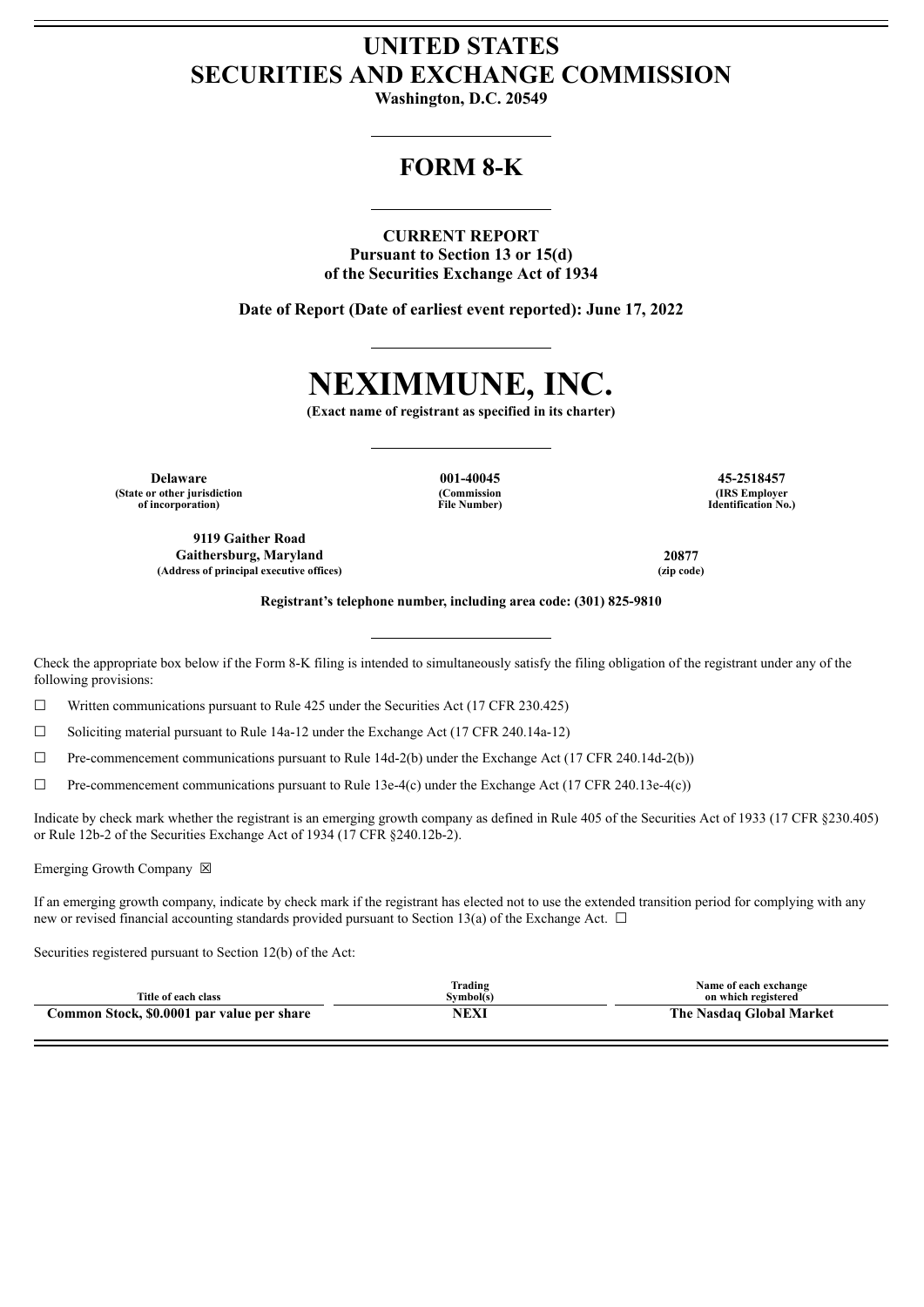# **UNITED STATES SECURITIES AND EXCHANGE COMMISSION**

**Washington, D.C. 20549**

## **FORM 8-K**

**CURRENT REPORT Pursuant to Section 13 or 15(d) of the Securities Exchange Act of 1934**

**Date of Report (Date of earliest event reported): June 17, 2022**

# **NEXIMMUNE, INC.**

**(Exact name of registrant as specified in its charter)**

**(Commission File Number)**

**Delaware 001-40045 45-2518457 (State or other jurisdiction of incorporation)**

**9119 Gaither Road Gaithersburg, Maryland 20877 (Address of principal executive offices) (zip code)**

**(IRS Employer Identification No.)**

**Registrant's telephone number, including area code: (301) 825-9810**

Check the appropriate box below if the Form 8-K filing is intended to simultaneously satisfy the filing obligation of the registrant under any of the following provisions:

 $\Box$  Written communications pursuant to Rule 425 under the Securities Act (17 CFR 230.425)

 $\Box$  Soliciting material pursuant to Rule 14a-12 under the Exchange Act (17 CFR 240.14a-12)

 $\Box$  Pre-commencement communications pursuant to Rule 14d-2(b) under the Exchange Act (17 CFR 240.14d-2(b))

 $\Box$  Pre-commencement communications pursuant to Rule 13e-4(c) under the Exchange Act (17 CFR 240.13e-4(c))

Indicate by check mark whether the registrant is an emerging growth company as defined in Rule 405 of the Securities Act of 1933 (17 CFR §230.405) or Rule 12b-2 of the Securities Exchange Act of 1934 (17 CFR §240.12b-2).

Emerging Growth Company  $\boxtimes$ 

If an emerging growth company, indicate by check mark if the registrant has elected not to use the extended transition period for complying with any new or revised financial accounting standards provided pursuant to Section 13(a) of the Exchange Act.  $\Box$ 

Securities registered pursuant to Section 12(b) of the Act:

| Title of each class                        | lrading<br>Symbol(s) | Name of each exchange<br>on which registered |
|--------------------------------------------|----------------------|----------------------------------------------|
| Common Stock, \$0.0001 par value per share | NEXI                 | The Nasdag Global Market                     |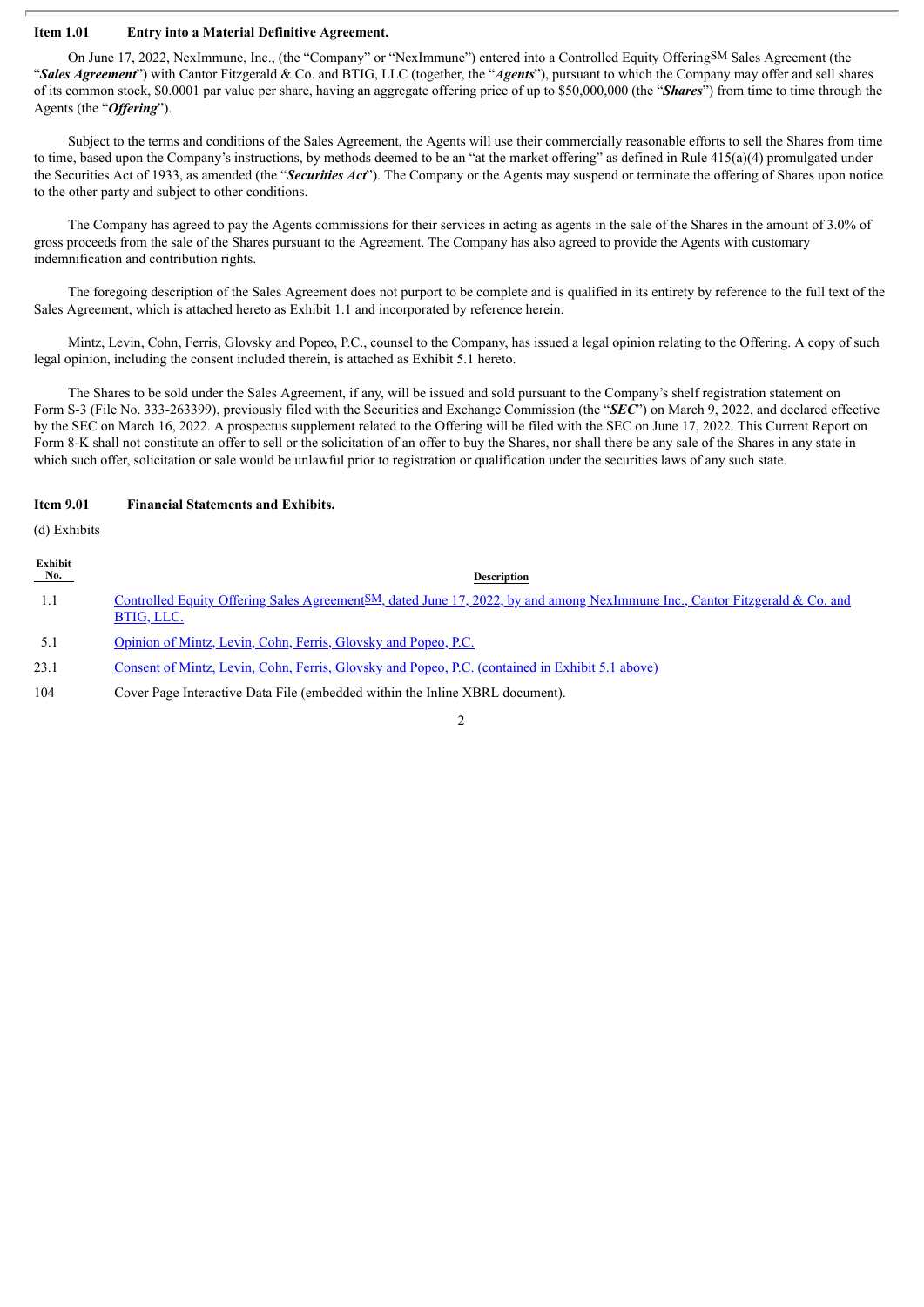#### **Item 1.01 Entry into a Material Definitive Agreement.**

On June 17, 2022, NexImmune, Inc., (the "Company" or "NexImmune") entered into a Controlled Equity OfferingSM Sales Agreement (the "*Sales Agreement*") with Cantor Fitzgerald & Co. and BTIG, LLC (together, the "*Agents*"), pursuant to which the Company may offer and sell shares of its common stock, \$0.0001 par value per share, having an aggregate offering price of up to \$50,000,000 (the "*Shares*") from time to time through the Agents (the "*Offering*").

Subject to the terms and conditions of the Sales Agreement, the Agents will use their commercially reasonable efforts to sell the Shares from time to time, based upon the Company's instructions, by methods deemed to be an "at the market offering" as defined in Rule 415(a)(4) promulgated under the Securities Act of 1933, as amended (the "*Securities Act*"). The Company or the Agents may suspend or terminate the offering of Shares upon notice to the other party and subject to other conditions.

The Company has agreed to pay the Agents commissions for their services in acting as agents in the sale of the Shares in the amount of 3.0% of gross proceeds from the sale of the Shares pursuant to the Agreement. The Company has also agreed to provide the Agents with customary indemnification and contribution rights.

The foregoing description of the Sales Agreement does not purport to be complete and is qualified in its entirety by reference to the full text of the Sales Agreement, which is attached hereto as Exhibit 1.1 and incorporated by reference herein.

Mintz, Levin, Cohn, Ferris, Glovsky and Popeo, P.C., counsel to the Company, has issued a legal opinion relating to the Offering. A copy of such legal opinion, including the consent included therein, is attached as Exhibit 5.1 hereto.

The Shares to be sold under the Sales Agreement, if any, will be issued and sold pursuant to the Company's shelf registration statement on Form S-3 (File No. 333-263399), previously filed with the Securities and Exchange Commission (the "*SEC*") on March 9, 2022, and declared effective by the SEC on March 16, 2022. A prospectus supplement related to the Offering will be filed with the SEC on June 17, 2022. This Current Report on Form 8-K shall not constitute an offer to sell or the solicitation of an offer to buy the Shares, nor shall there be any sale of the Shares in any state in which such offer, solicitation or sale would be unlawful prior to registration or qualification under the securities laws of any such state.

#### **Item 9.01 Financial Statements and Exhibits.**

(d) Exhibits

| Exhibit<br>$N_{0.}$ | <b>Description</b>                                                                                                                                     |
|---------------------|--------------------------------------------------------------------------------------------------------------------------------------------------------|
| 1.1                 | Controlled Equity Offering Sales Agreement <sup>SM</sup> , dated June 17, 2022, by and among NexImmune Inc., Cantor Fitzgerald & Co. and<br>BTIG, LLC. |
| 5.1                 | Opinion of Mintz, Levin, Cohn, Ferris, Glovsky and Popeo, P.C.                                                                                         |
| 23.1                | <u>Consent of Mintz, Levin, Cohn, Ferris, Glovsky and Popeo, P.C. (contained in Exhibit 5.1 above)</u>                                                 |
| 104                 | Cover Page Interactive Data File (embedded within the Inline XBRL document).                                                                           |

 $\overline{2}$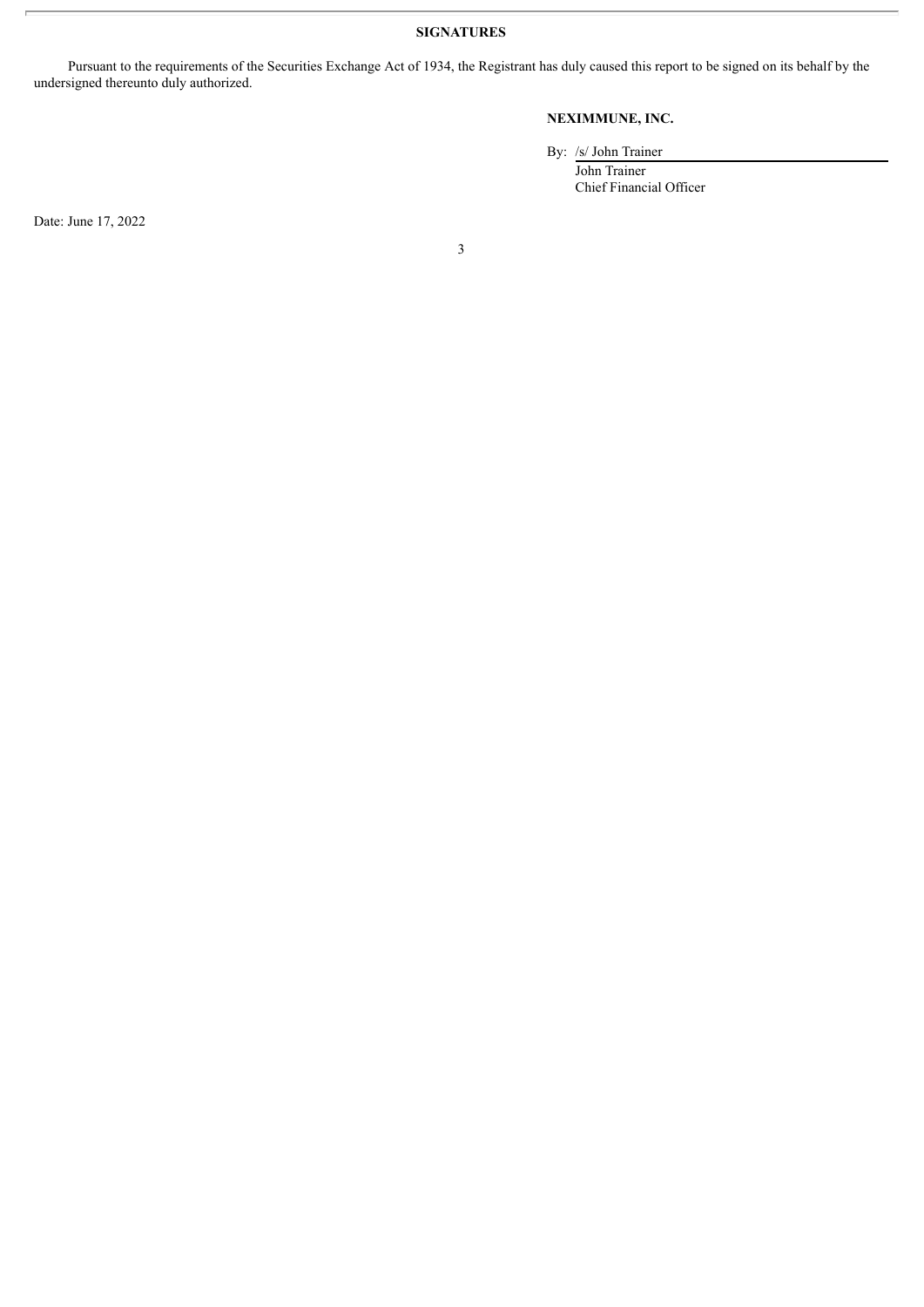**SIGNATURES**

Pursuant to the requirements of the Securities Exchange Act of 1934, the Registrant has duly caused this report to be signed on its behalf by the undersigned thereunto duly authorized.

## **NEXIMMUNE, INC.**

By: /s/ John Trainer John Trainer Chief Financial Officer

Date: June 17, 2022

3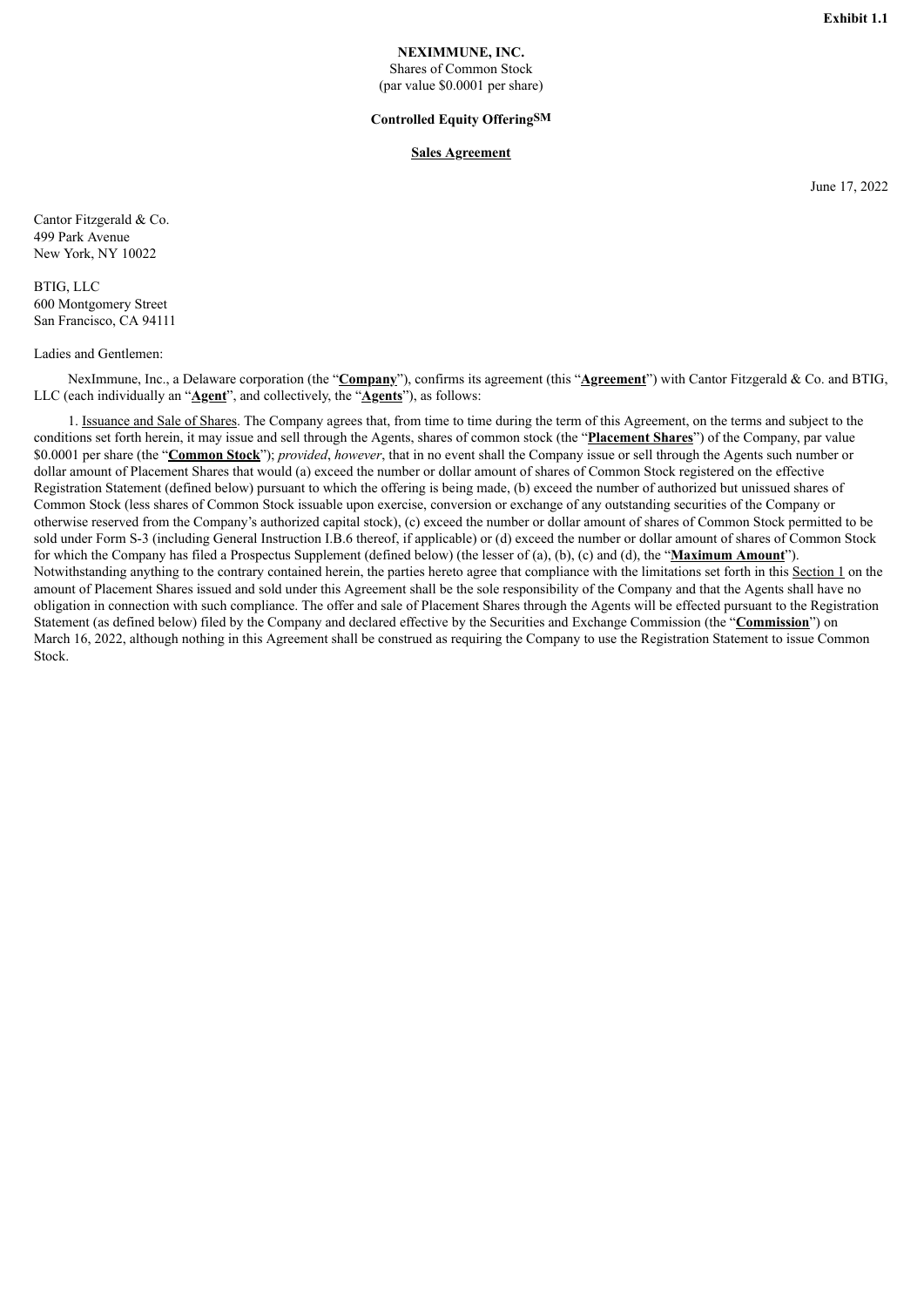### **NEXIMMUNE, INC.**

Shares of Common Stock (par value \$0.0001 per share)

#### **Controlled Equity OfferingSM**

#### **Sales Agreement**

June 17, 2022

<span id="page-3-0"></span>Cantor Fitzgerald & Co. 499 Park Avenue New York, NY 10022

BTIG, LLC 600 Montgomery Street San Francisco, CA 94111

#### Ladies and Gentlemen:

NexImmune, Inc., a Delaware corporation (the "**Company**"), confirms its agreement (this "**Agreement**") with Cantor Fitzgerald & Co. and BTIG, LLC (each individually an "**Agent**", and collectively, the "**Agents**"), as follows:

1. Issuance and Sale of Shares. The Company agrees that, from time to time during the term of this Agreement, on the terms and subject to the conditions set forth herein, it may issue and sell through the Agents, shares of common stock (the "**Placement Shares**") of the Company, par value \$0.0001 per share (the "**Common Stock**"); *provided*, *however*, that in no event shall the Company issue or sell through the Agents such number or dollar amount of Placement Shares that would (a) exceed the number or dollar amount of shares of Common Stock registered on the effective Registration Statement (defined below) pursuant to which the offering is being made, (b) exceed the number of authorized but unissued shares of Common Stock (less shares of Common Stock issuable upon exercise, conversion or exchange of any outstanding securities of the Company or otherwise reserved from the Company's authorized capital stock), (c) exceed the number or dollar amount of shares of Common Stock permitted to be sold under Form S-3 (including General Instruction I.B.6 thereof, if applicable) or (d) exceed the number or dollar amount of shares of Common Stock for which the Company has filed a Prospectus Supplement (defined below) (the lesser of (a), (b), (c) and (d), the "**Maximum Amount**"). Notwithstanding anything to the contrary contained herein, the parties hereto agree that compliance with the limitations set forth in this Section 1 on the amount of Placement Shares issued and sold under this Agreement shall be the sole responsibility of the Company and that the Agents shall have no obligation in connection with such compliance. The offer and sale of Placement Shares through the Agents will be effected pursuant to the Registration Statement (as defined below) filed by the Company and declared effective by the Securities and Exchange Commission (the "**Commission**") on March 16, 2022, although nothing in this Agreement shall be construed as requiring the Company to use the Registration Statement to issue Common Stock.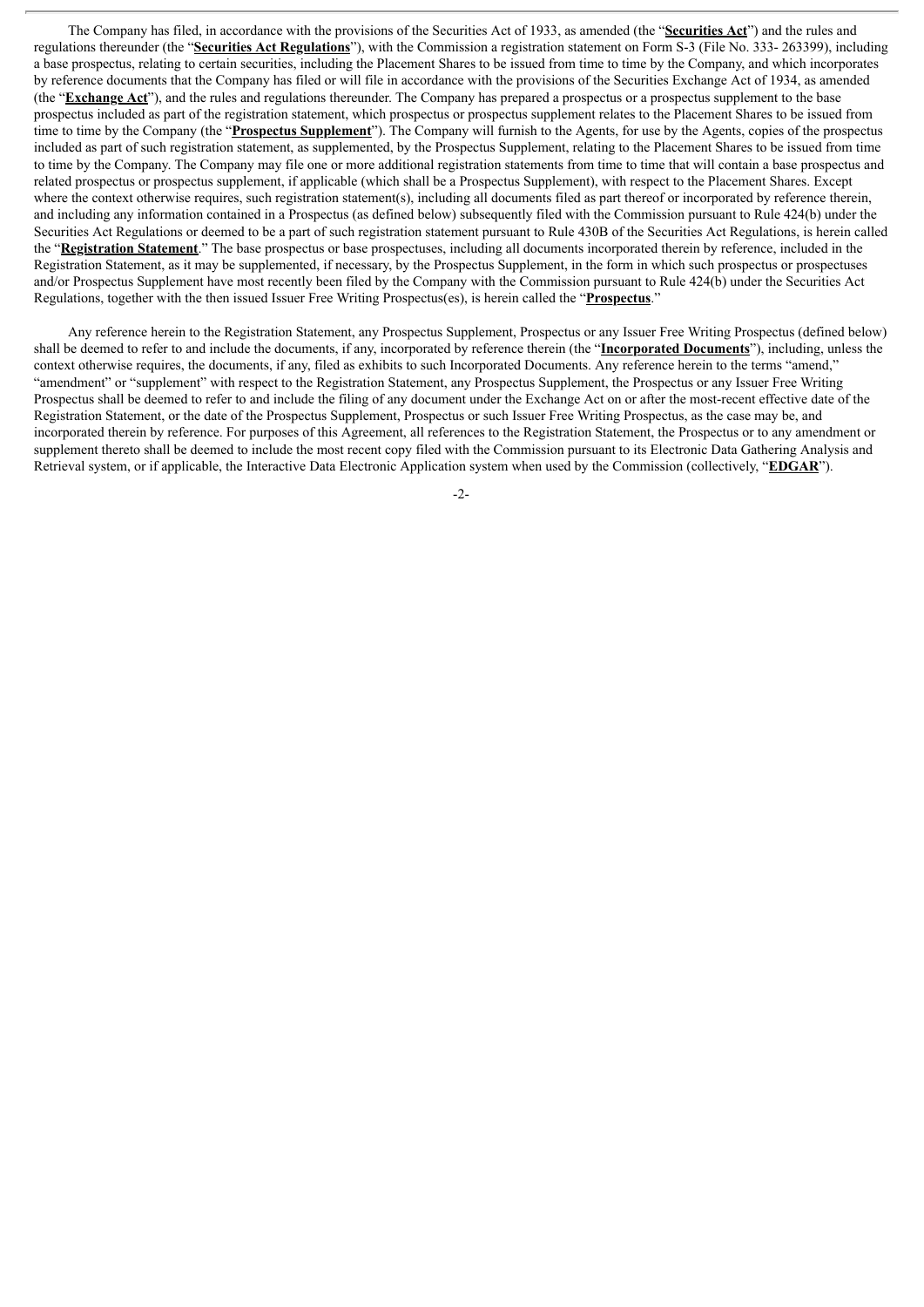The Company has filed, in accordance with the provisions of the Securities Act of 1933, as amended (the "**Securities Act**") and the rules and regulations thereunder (the "**Securities Act Regulations**"), with the Commission a registration statement on Form S-3 (File No. 333- 263399), including a base prospectus, relating to certain securities, including the Placement Shares to be issued from time to time by the Company, and which incorporates by reference documents that the Company has filed or will file in accordance with the provisions of the Securities Exchange Act of 1934, as amended (the "**Exchange Act**"), and the rules and regulations thereunder. The Company has prepared a prospectus or a prospectus supplement to the base prospectus included as part of the registration statement, which prospectus or prospectus supplement relates to the Placement Shares to be issued from time to time by the Company (the "**Prospectus Supplement**"). The Company will furnish to the Agents, for use by the Agents, copies of the prospectus included as part of such registration statement, as supplemented, by the Prospectus Supplement, relating to the Placement Shares to be issued from time to time by the Company. The Company may file one or more additional registration statements from time to time that will contain a base prospectus and related prospectus or prospectus supplement, if applicable (which shall be a Prospectus Supplement), with respect to the Placement Shares. Except where the context otherwise requires, such registration statement(s), including all documents filed as part thereof or incorporated by reference therein, and including any information contained in a Prospectus (as defined below) subsequently filed with the Commission pursuant to Rule 424(b) under the Securities Act Regulations or deemed to be a part of such registration statement pursuant to Rule 430B of the Securities Act Regulations, is herein called the "**Registration Statement**." The base prospectus or base prospectuses, including all documents incorporated therein by reference, included in the Registration Statement, as it may be supplemented, if necessary, by the Prospectus Supplement, in the form in which such prospectus or prospectuses and/or Prospectus Supplement have most recently been filed by the Company with the Commission pursuant to Rule 424(b) under the Securities Act Regulations, together with the then issued Issuer Free Writing Prospectus(es), is herein called the "**Prospectus**."

Any reference herein to the Registration Statement, any Prospectus Supplement, Prospectus or any Issuer Free Writing Prospectus (defined below) shall be deemed to refer to and include the documents, if any, incorporated by reference therein (the "**Incorporated Documents**"), including, unless the context otherwise requires, the documents, if any, filed as exhibits to such Incorporated Documents. Any reference herein to the terms "amend," "amendment" or "supplement" with respect to the Registration Statement, any Prospectus Supplement, the Prospectus or any Issuer Free Writing Prospectus shall be deemed to refer to and include the filing of any document under the Exchange Act on or after the most-recent effective date of the Registration Statement, or the date of the Prospectus Supplement, Prospectus or such Issuer Free Writing Prospectus, as the case may be, and incorporated therein by reference. For purposes of this Agreement, all references to the Registration Statement, the Prospectus or to any amendment or supplement thereto shall be deemed to include the most recent copy filed with the Commission pursuant to its Electronic Data Gathering Analysis and Retrieval system, or if applicable, the Interactive Data Electronic Application system when used by the Commission (collectively, "**EDGAR**").

 $-2$ -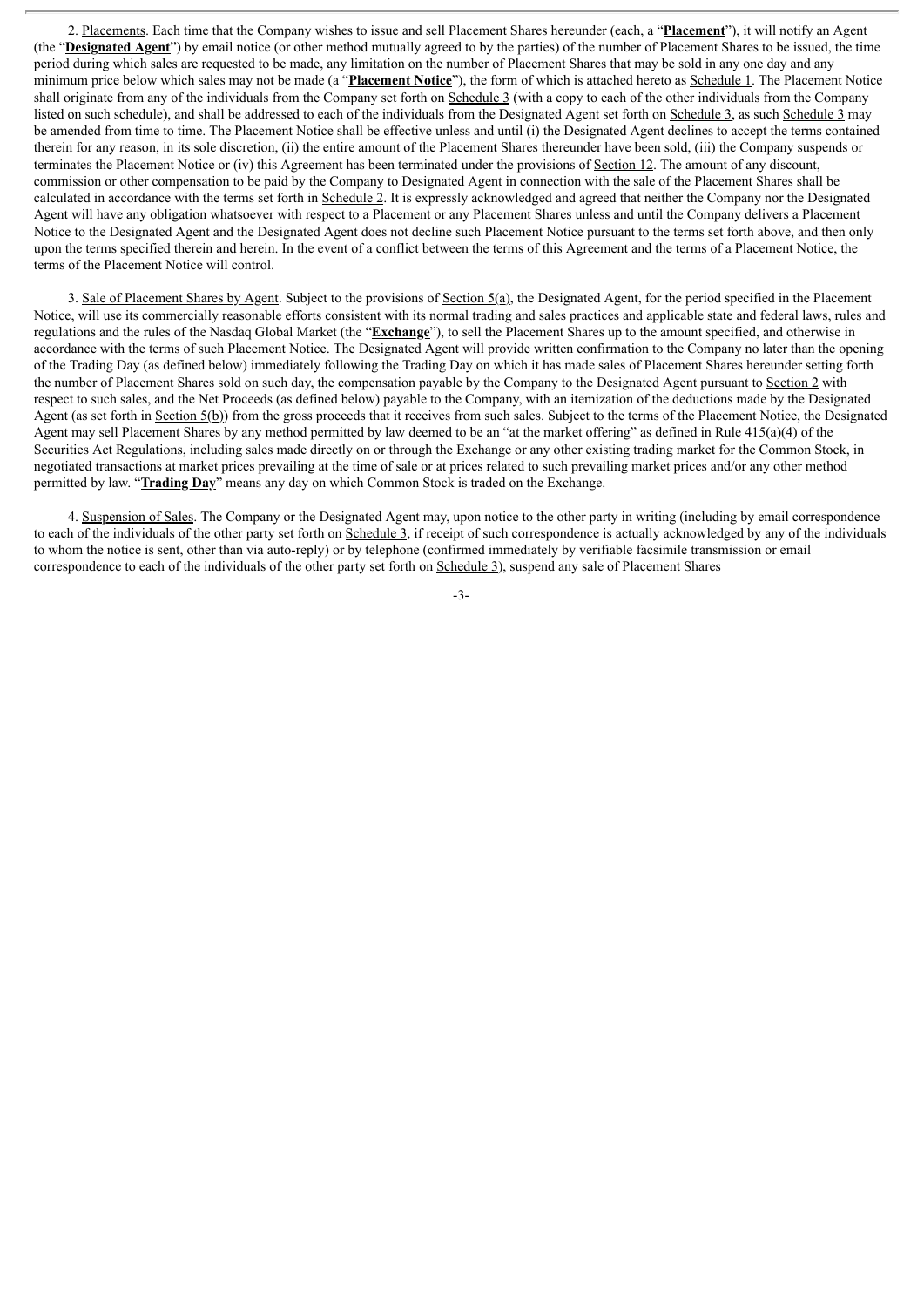2. Placements. Each time that the Company wishes to issue and sell Placement Shares hereunder (each, a "**Placement**"), it will notify an Agent (the "**Designated Agent**") by email notice (or other method mutually agreed to by the parties) of the number of Placement Shares to be issued, the time period during which sales are requested to be made, any limitation on the number of Placement Shares that may be sold in any one day and any minimum price below which sales may not be made (a "**Placement Notice**"), the form of which is attached hereto as Schedule 1. The Placement Notice shall originate from any of the individuals from the Company set forth on Schedule 3 (with a copy to each of the other individuals from the Company listed on such schedule), and shall be addressed to each of the individuals from the Designated Agent set forth on Schedule 3, as such Schedule 3 may be amended from time to time. The Placement Notice shall be effective unless and until (i) the Designated Agent declines to accept the terms contained therein for any reason, in its sole discretion, (ii) the entire amount of the Placement Shares thereunder have been sold, (iii) the Company suspends or terminates the Placement Notice or (iv) this Agreement has been terminated under the provisions of Section 12. The amount of any discount, commission or other compensation to be paid by the Company to Designated Agent in connection with the sale of the Placement Shares shall be calculated in accordance with the terms set forth in Schedule 2. It is expressly acknowledged and agreed that neither the Company nor the Designated Agent will have any obligation whatsoever with respect to a Placement or any Placement Shares unless and until the Company delivers a Placement Notice to the Designated Agent and the Designated Agent does not decline such Placement Notice pursuant to the terms set forth above, and then only upon the terms specified therein and herein. In the event of a conflict between the terms of this Agreement and the terms of a Placement Notice, the terms of the Placement Notice will control.

3. Sale of Placement Shares by Agent. Subject to the provisions of Section  $5(a)$ , the Designated Agent, for the period specified in the Placement Notice, will use its commercially reasonable efforts consistent with its normal trading and sales practices and applicable state and federal laws, rules and regulations and the rules of the Nasdaq Global Market (the "**Exchange**"), to sell the Placement Shares up to the amount specified, and otherwise in accordance with the terms of such Placement Notice. The Designated Agent will provide written confirmation to the Company no later than the opening of the Trading Day (as defined below) immediately following the Trading Day on which it has made sales of Placement Shares hereunder setting forth the number of Placement Shares sold on such day, the compensation payable by the Company to the Designated Agent pursuant to Section 2 with respect to such sales, and the Net Proceeds (as defined below) payable to the Company, with an itemization of the deductions made by the Designated Agent (as set forth in Section 5(b)) from the gross proceeds that it receives from such sales. Subject to the terms of the Placement Notice, the Designated Agent may sell Placement Shares by any method permitted by law deemed to be an "at the market offering" as defined in Rule 415(a)(4) of the Securities Act Regulations, including sales made directly on or through the Exchange or any other existing trading market for the Common Stock, in negotiated transactions at market prices prevailing at the time of sale or at prices related to such prevailing market prices and/or any other method permitted by law. "**Trading Day**" means any day on which Common Stock is traded on the Exchange.

4. Suspension of Sales. The Company or the Designated Agent may, upon notice to the other party in writing (including by email correspondence to each of the individuals of the other party set forth on Schedule 3, if receipt of such correspondence is actually acknowledged by any of the individuals to whom the notice is sent, other than via auto-reply) or by telephone (confirmed immediately by verifiable facsimile transmission or email correspondence to each of the individuals of the other party set forth on Schedule 3), suspend any sale of Placement Shares

-3-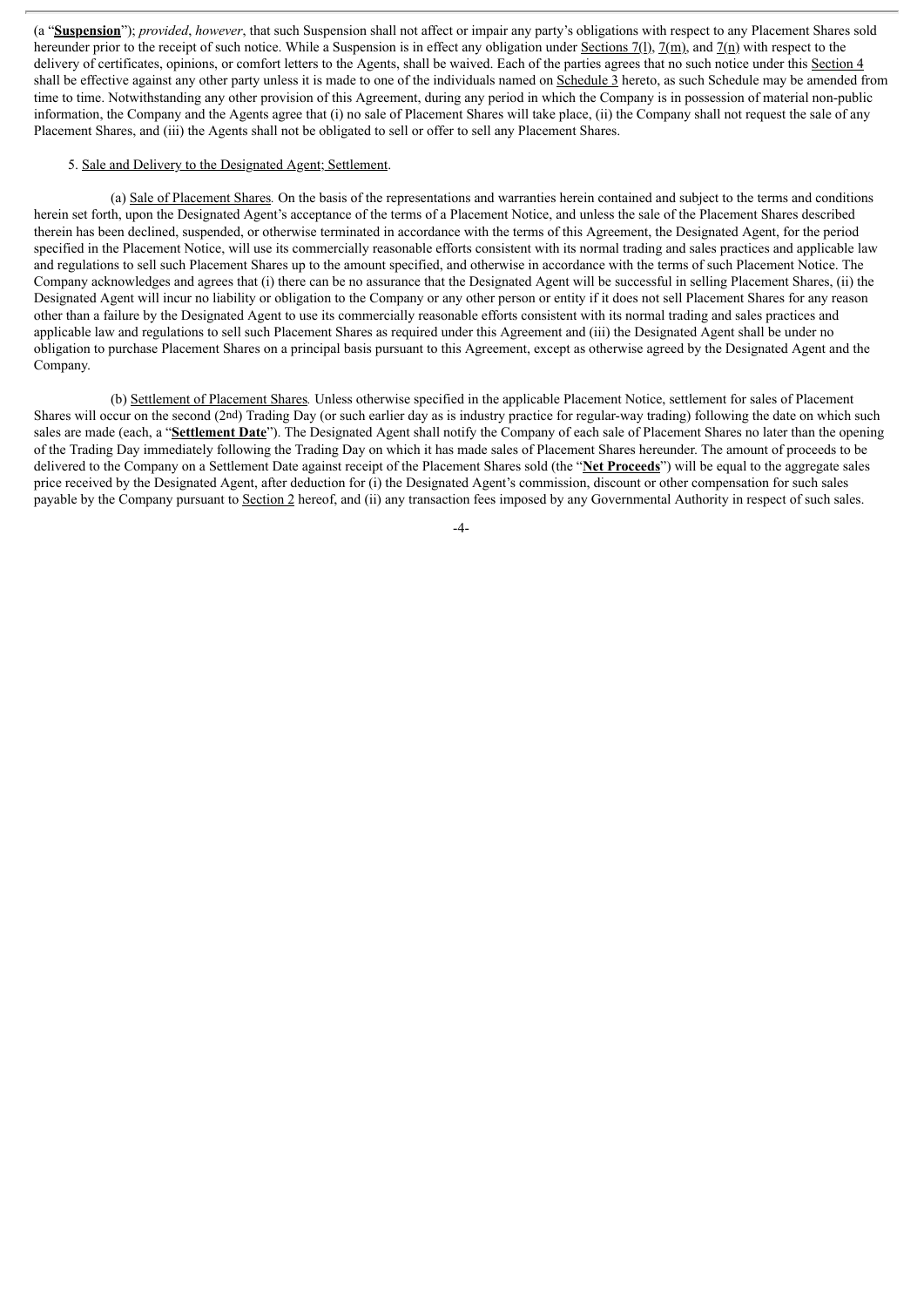(a "**Suspension**"); *provided*, *however*, that such Suspension shall not affect or impair any party's obligations with respect to any Placement Shares sold hereunder prior to the receipt of such notice. While a Suspension is in effect any obligation under Sections 7(1), 7(m), and 7(n) with respect to the delivery of certificates, opinions, or comfort letters to the Agents, shall be waived. Each of the parties agrees that no such notice under this Section 4 shall be effective against any other party unless it is made to one of the individuals named on Schedule 3 hereto, as such Schedule may be amended from time to time. Notwithstanding any other provision of this Agreement, during any period in which the Company is in possession of material non-public information, the Company and the Agents agree that (i) no sale of Placement Shares will take place, (ii) the Company shall not request the sale of any Placement Shares, and (iii) the Agents shall not be obligated to sell or offer to sell any Placement Shares.

#### 5. Sale and Delivery to the Designated Agent; Settlement.

(a) Sale of Placement Shares*.* On the basis of the representations and warranties herein contained and subject to the terms and conditions herein set forth, upon the Designated Agent's acceptance of the terms of a Placement Notice, and unless the sale of the Placement Shares described therein has been declined, suspended, or otherwise terminated in accordance with the terms of this Agreement, the Designated Agent, for the period specified in the Placement Notice, will use its commercially reasonable efforts consistent with its normal trading and sales practices and applicable law and regulations to sell such Placement Shares up to the amount specified, and otherwise in accordance with the terms of such Placement Notice. The Company acknowledges and agrees that (i) there can be no assurance that the Designated Agent will be successful in selling Placement Shares, (ii) the Designated Agent will incur no liability or obligation to the Company or any other person or entity if it does not sell Placement Shares for any reason other than a failure by the Designated Agent to use its commercially reasonable efforts consistent with its normal trading and sales practices and applicable law and regulations to sell such Placement Shares as required under this Agreement and (iii) the Designated Agent shall be under no obligation to purchase Placement Shares on a principal basis pursuant to this Agreement, except as otherwise agreed by the Designated Agent and the Company.

(b) Settlement of Placement Shares*.* Unless otherwise specified in the applicable Placement Notice, settlement for sales of Placement Shares will occur on the second (2nd) Trading Day (or such earlier day as is industry practice for regular-way trading) following the date on which such sales are made (each, a "**Settlement Date**"). The Designated Agent shall notify the Company of each sale of Placement Shares no later than the opening of the Trading Day immediately following the Trading Day on which it has made sales of Placement Shares hereunder. The amount of proceeds to be delivered to the Company on a Settlement Date against receipt of the Placement Shares sold (the "**Net Proceeds**") will be equal to the aggregate sales price received by the Designated Agent, after deduction for (i) the Designated Agent's commission, discount or other compensation for such sales payable by the Company pursuant to Section 2 hereof, and (ii) any transaction fees imposed by any Governmental Authority in respect of such sales.

-4-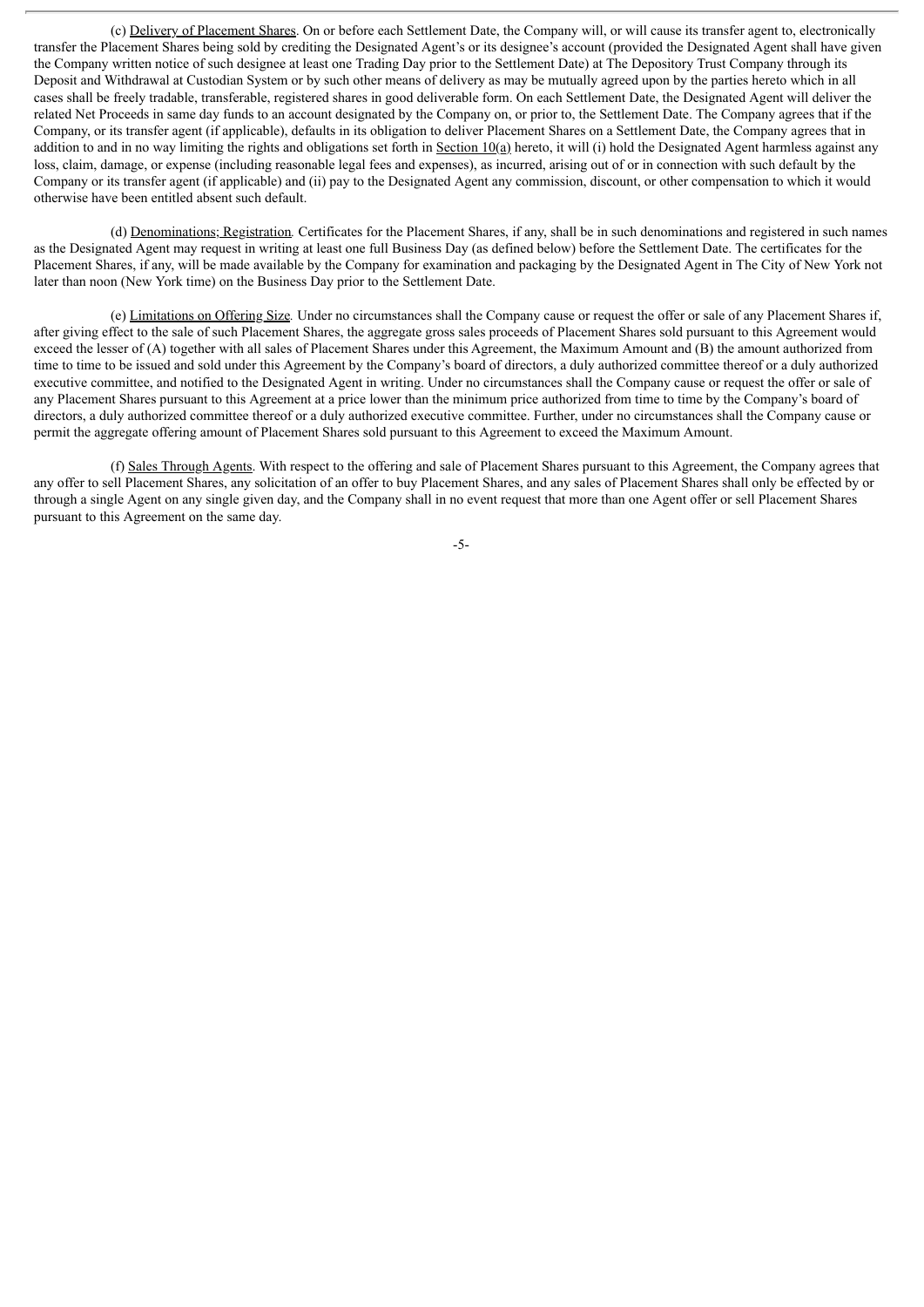(c) Delivery of Placement Shares. On or before each Settlement Date, the Company will, or will cause its transfer agent to, electronically transfer the Placement Shares being sold by crediting the Designated Agent's or its designee's account (provided the Designated Agent shall have given the Company written notice of such designee at least one Trading Day prior to the Settlement Date) at The Depository Trust Company through its Deposit and Withdrawal at Custodian System or by such other means of delivery as may be mutually agreed upon by the parties hereto which in all cases shall be freely tradable, transferable, registered shares in good deliverable form. On each Settlement Date, the Designated Agent will deliver the related Net Proceeds in same day funds to an account designated by the Company on, or prior to, the Settlement Date. The Company agrees that if the Company, or its transfer agent (if applicable), defaults in its obligation to deliver Placement Shares on a Settlement Date, the Company agrees that in addition to and in no way limiting the rights and obligations set forth in Section  $10(a)$  hereto, it will (i) hold the Designated Agent harmless against any loss, claim, damage, or expense (including reasonable legal fees and expenses), as incurred, arising out of or in connection with such default by the Company or its transfer agent (if applicable) and (ii) pay to the Designated Agent any commission, discount, or other compensation to which it would otherwise have been entitled absent such default.

(d) Denominations; Registration*.* Certificates for the Placement Shares, if any, shall be in such denominations and registered in such names as the Designated Agent may request in writing at least one full Business Day (as defined below) before the Settlement Date. The certificates for the Placement Shares, if any, will be made available by the Company for examination and packaging by the Designated Agent in The City of New York not later than noon (New York time) on the Business Day prior to the Settlement Date.

(e) Limitations on Offering Size*.* Under no circumstances shall the Company cause or request the offer or sale of any Placement Shares if, after giving effect to the sale of such Placement Shares, the aggregate gross sales proceeds of Placement Shares sold pursuant to this Agreement would exceed the lesser of (A) together with all sales of Placement Shares under this Agreement, the Maximum Amount and (B) the amount authorized from time to time to be issued and sold under this Agreement by the Company's board of directors, a duly authorized committee thereof or a duly authorized executive committee, and notified to the Designated Agent in writing. Under no circumstances shall the Company cause or request the offer or sale of any Placement Shares pursuant to this Agreement at a price lower than the minimum price authorized from time to time by the Company's board of directors, a duly authorized committee thereof or a duly authorized executive committee. Further, under no circumstances shall the Company cause or permit the aggregate offering amount of Placement Shares sold pursuant to this Agreement to exceed the Maximum Amount.

(f) Sales Through Agents. With respect to the offering and sale of Placement Shares pursuant to this Agreement, the Company agrees that any offer to sell Placement Shares, any solicitation of an offer to buy Placement Shares, and any sales of Placement Shares shall only be effected by or through a single Agent on any single given day, and the Company shall in no event request that more than one Agent offer or sell Placement Shares pursuant to this Agreement on the same day.

-5-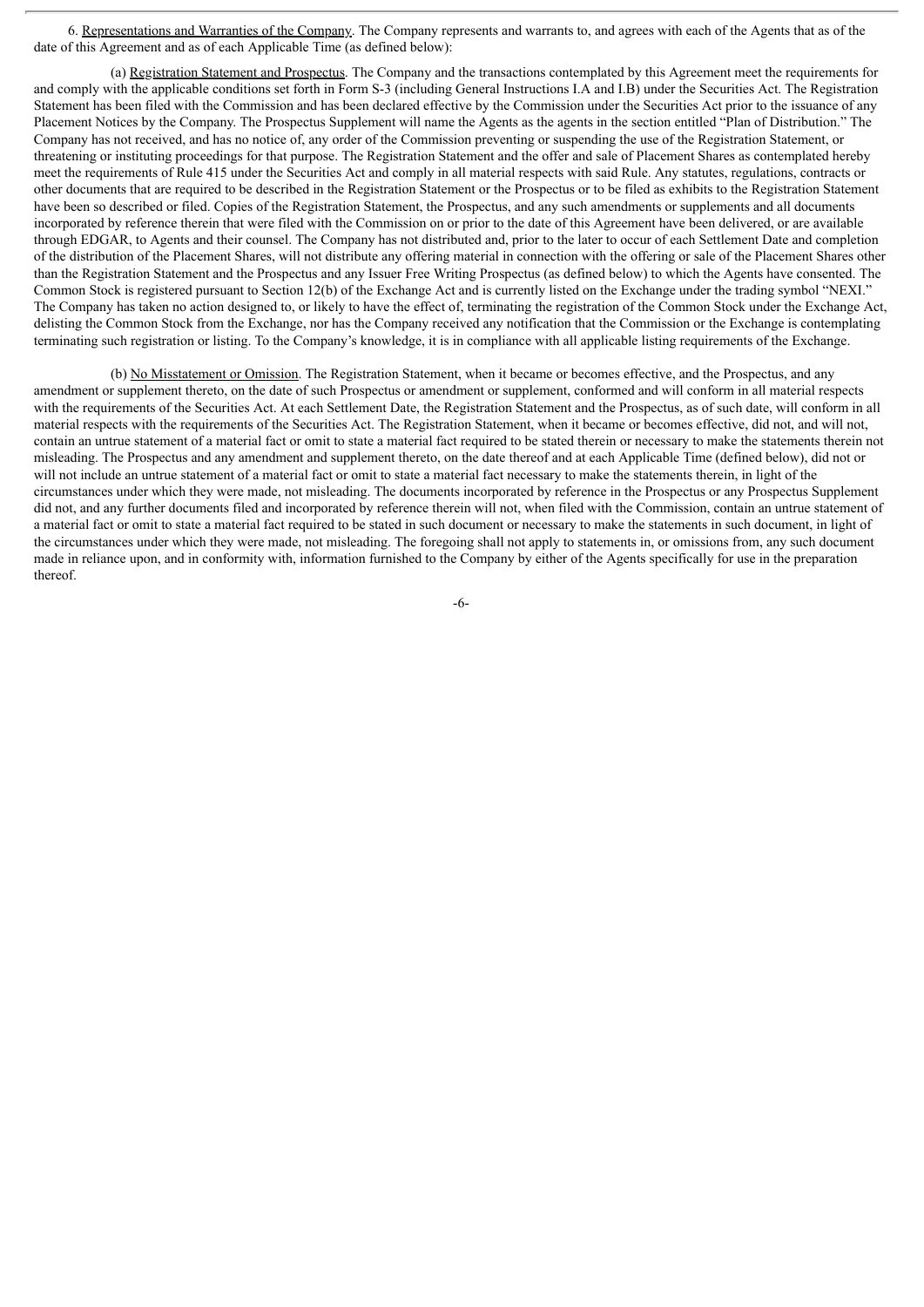6. Representations and Warranties of the Company. The Company represents and warrants to, and agrees with each of the Agents that as of the date of this Agreement and as of each Applicable Time (as defined below):

(a) Registration Statement and Prospectus. The Company and the transactions contemplated by this Agreement meet the requirements for and comply with the applicable conditions set forth in Form S-3 (including General Instructions I.A and I.B) under the Securities Act. The Registration Statement has been filed with the Commission and has been declared effective by the Commission under the Securities Act prior to the issuance of any Placement Notices by the Company. The Prospectus Supplement will name the Agents as the agents in the section entitled "Plan of Distribution." The Company has not received, and has no notice of, any order of the Commission preventing or suspending the use of the Registration Statement, or threatening or instituting proceedings for that purpose. The Registration Statement and the offer and sale of Placement Shares as contemplated hereby meet the requirements of Rule 415 under the Securities Act and comply in all material respects with said Rule. Any statutes, regulations, contracts or other documents that are required to be described in the Registration Statement or the Prospectus or to be filed as exhibits to the Registration Statement have been so described or filed. Copies of the Registration Statement, the Prospectus, and any such amendments or supplements and all documents incorporated by reference therein that were filed with the Commission on or prior to the date of this Agreement have been delivered, or are available through EDGAR, to Agents and their counsel. The Company has not distributed and, prior to the later to occur of each Settlement Date and completion of the distribution of the Placement Shares, will not distribute any offering material in connection with the offering or sale of the Placement Shares other than the Registration Statement and the Prospectus and any Issuer Free Writing Prospectus (as defined below) to which the Agents have consented. The Common Stock is registered pursuant to Section 12(b) of the Exchange Act and is currently listed on the Exchange under the trading symbol "NEXI." The Company has taken no action designed to, or likely to have the effect of, terminating the registration of the Common Stock under the Exchange Act, delisting the Common Stock from the Exchange, nor has the Company received any notification that the Commission or the Exchange is contemplating terminating such registration or listing. To the Company's knowledge, it is in compliance with all applicable listing requirements of the Exchange.

(b) No Misstatement or Omission. The Registration Statement, when it became or becomes effective, and the Prospectus, and any amendment or supplement thereto, on the date of such Prospectus or amendment or supplement, conformed and will conform in all material respects with the requirements of the Securities Act. At each Settlement Date, the Registration Statement and the Prospectus, as of such date, will conform in all material respects with the requirements of the Securities Act. The Registration Statement, when it became or becomes effective, did not, and will not, contain an untrue statement of a material fact or omit to state a material fact required to be stated therein or necessary to make the statements therein not misleading. The Prospectus and any amendment and supplement thereto, on the date thereof and at each Applicable Time (defined below), did not or will not include an untrue statement of a material fact or omit to state a material fact necessary to make the statements therein, in light of the circumstances under which they were made, not misleading. The documents incorporated by reference in the Prospectus or any Prospectus Supplement did not, and any further documents filed and incorporated by reference therein will not, when filed with the Commission, contain an untrue statement of a material fact or omit to state a material fact required to be stated in such document or necessary to make the statements in such document, in light of the circumstances under which they were made, not misleading. The foregoing shall not apply to statements in, or omissions from, any such document made in reliance upon, and in conformity with, information furnished to the Company by either of the Agents specifically for use in the preparation thereof.

-6-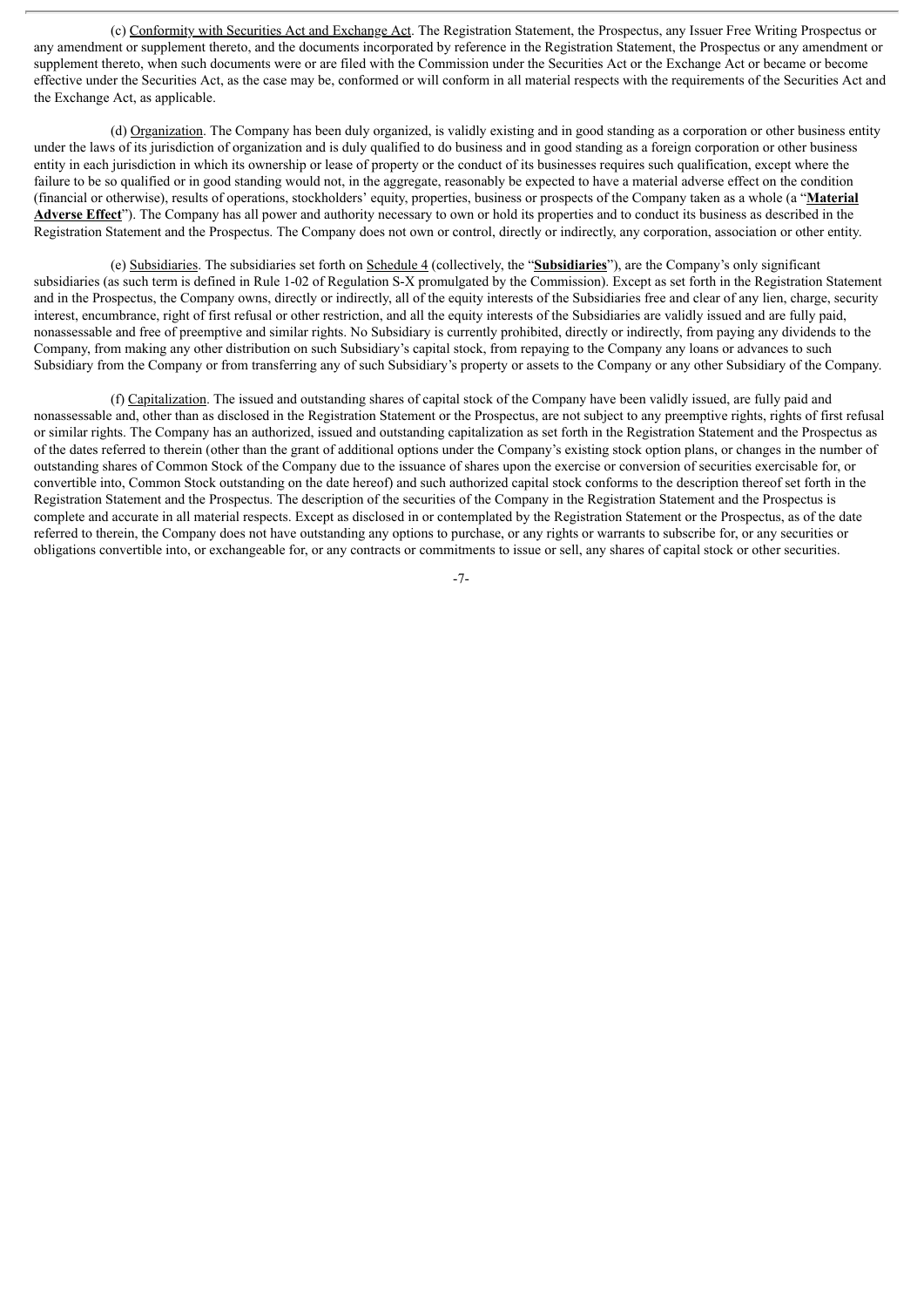(c) Conformity with Securities Act and Exchange Act. The Registration Statement, the Prospectus, any Issuer Free Writing Prospectus or any amendment or supplement thereto, and the documents incorporated by reference in the Registration Statement, the Prospectus or any amendment or supplement thereto, when such documents were or are filed with the Commission under the Securities Act or the Exchange Act or became or become effective under the Securities Act, as the case may be, conformed or will conform in all material respects with the requirements of the Securities Act and the Exchange Act, as applicable.

(d) Organization. The Company has been duly organized, is validly existing and in good standing as a corporation or other business entity under the laws of its jurisdiction of organization and is duly qualified to do business and in good standing as a foreign corporation or other business entity in each jurisdiction in which its ownership or lease of property or the conduct of its businesses requires such qualification, except where the failure to be so qualified or in good standing would not, in the aggregate, reasonably be expected to have a material adverse effect on the condition (financial or otherwise), results of operations, stockholders' equity, properties, business or prospects of the Company taken as a whole (a "**Material Adverse Effect**"). The Company has all power and authority necessary to own or hold its properties and to conduct its business as described in the Registration Statement and the Prospectus. The Company does not own or control, directly or indirectly, any corporation, association or other entity.

(e) Subsidiaries. The subsidiaries set forth on Schedule 4 (collectively, the "**Subsidiaries**"), are the Company's only significant subsidiaries (as such term is defined in Rule 1-02 of Regulation S-X promulgated by the Commission). Except as set forth in the Registration Statement and in the Prospectus, the Company owns, directly or indirectly, all of the equity interests of the Subsidiaries free and clear of any lien, charge, security interest, encumbrance, right of first refusal or other restriction, and all the equity interests of the Subsidiaries are validly issued and are fully paid, nonassessable and free of preemptive and similar rights. No Subsidiary is currently prohibited, directly or indirectly, from paying any dividends to the Company, from making any other distribution on such Subsidiary's capital stock, from repaying to the Company any loans or advances to such Subsidiary from the Company or from transferring any of such Subsidiary's property or assets to the Company or any other Subsidiary of the Company.

(f) Capitalization. The issued and outstanding shares of capital stock of the Company have been validly issued, are fully paid and nonassessable and, other than as disclosed in the Registration Statement or the Prospectus, are not subject to any preemptive rights, rights of first refusal or similar rights. The Company has an authorized, issued and outstanding capitalization as set forth in the Registration Statement and the Prospectus as of the dates referred to therein (other than the grant of additional options under the Company's existing stock option plans, or changes in the number of outstanding shares of Common Stock of the Company due to the issuance of shares upon the exercise or conversion of securities exercisable for, or convertible into, Common Stock outstanding on the date hereof) and such authorized capital stock conforms to the description thereof set forth in the Registration Statement and the Prospectus. The description of the securities of the Company in the Registration Statement and the Prospectus is complete and accurate in all material respects. Except as disclosed in or contemplated by the Registration Statement or the Prospectus, as of the date referred to therein, the Company does not have outstanding any options to purchase, or any rights or warrants to subscribe for, or any securities or obligations convertible into, or exchangeable for, or any contracts or commitments to issue or sell, any shares of capital stock or other securities.

-7-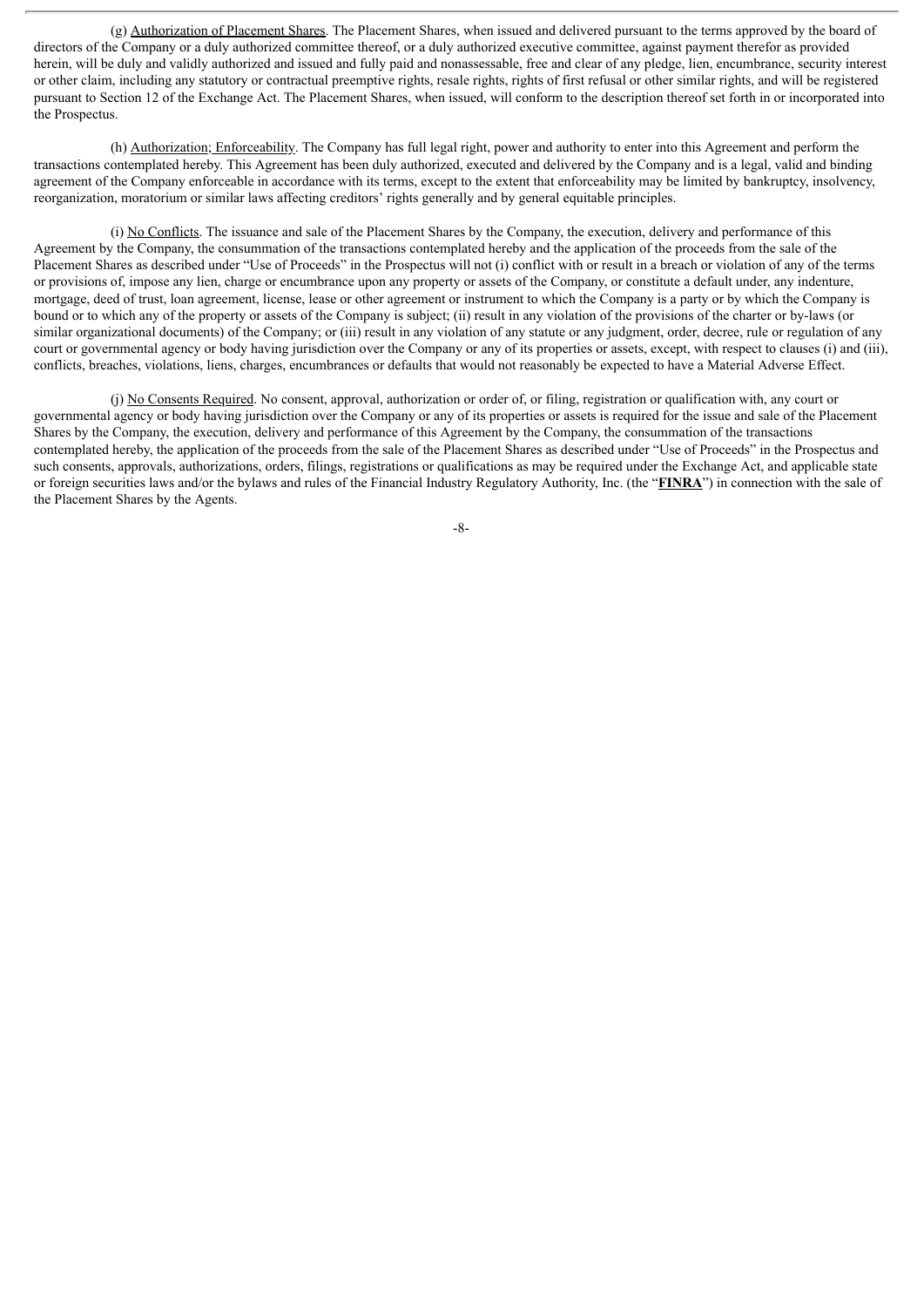(g) Authorization of Placement Shares. The Placement Shares, when issued and delivered pursuant to the terms approved by the board of directors of the Company or a duly authorized committee thereof, or a duly authorized executive committee, against payment therefor as provided herein, will be duly and validly authorized and issued and fully paid and nonassessable, free and clear of any pledge, lien, encumbrance, security interest or other claim, including any statutory or contractual preemptive rights, resale rights, rights of first refusal or other similar rights, and will be registered pursuant to Section 12 of the Exchange Act. The Placement Shares, when issued, will conform to the description thereof set forth in or incorporated into the Prospectus.

(h) Authorization; Enforceability. The Company has full legal right, power and authority to enter into this Agreement and perform the transactions contemplated hereby. This Agreement has been duly authorized, executed and delivered by the Company and is a legal, valid and binding agreement of the Company enforceable in accordance with its terms, except to the extent that enforceability may be limited by bankruptcy, insolvency, reorganization, moratorium or similar laws affecting creditors' rights generally and by general equitable principles.

(i) No Conflicts. The issuance and sale of the Placement Shares by the Company, the execution, delivery and performance of this Agreement by the Company, the consummation of the transactions contemplated hereby and the application of the proceeds from the sale of the Placement Shares as described under "Use of Proceeds" in the Prospectus will not (i) conflict with or result in a breach or violation of any of the terms or provisions of, impose any lien, charge or encumbrance upon any property or assets of the Company, or constitute a default under, any indenture, mortgage, deed of trust, loan agreement, license, lease or other agreement or instrument to which the Company is a party or by which the Company is bound or to which any of the property or assets of the Company is subject; (ii) result in any violation of the provisions of the charter or by-laws (or similar organizational documents) of the Company; or (iii) result in any violation of any statute or any judgment, order, decree, rule or regulation of any court or governmental agency or body having jurisdiction over the Company or any of its properties or assets, except, with respect to clauses (i) and (iii), conflicts, breaches, violations, liens, charges, encumbrances or defaults that would not reasonably be expected to have a Material Adverse Effect.

(j) No Consents Required. No consent, approval, authorization or order of, or filing, registration or qualification with, any court or governmental agency or body having jurisdiction over the Company or any of its properties or assets is required for the issue and sale of the Placement Shares by the Company, the execution, delivery and performance of this Agreement by the Company, the consummation of the transactions contemplated hereby, the application of the proceeds from the sale of the Placement Shares as described under "Use of Proceeds" in the Prospectus and such consents, approvals, authorizations, orders, filings, registrations or qualifications as may be required under the Exchange Act, and applicable state or foreign securities laws and/or the bylaws and rules of the Financial Industry Regulatory Authority, Inc. (the "**FINRA**") in connection with the sale of the Placement Shares by the Agents.

-8-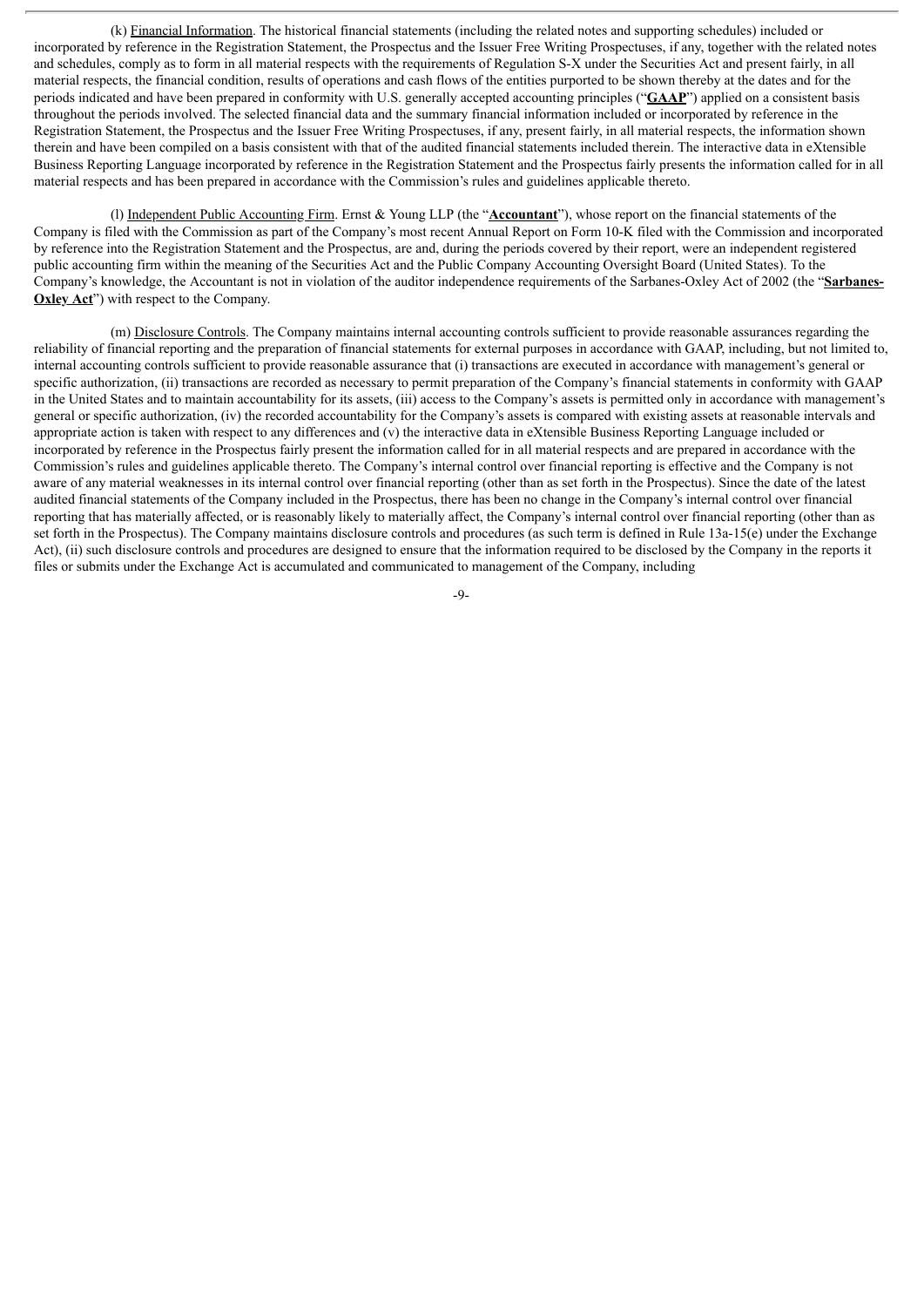(k) Financial Information. The historical financial statements (including the related notes and supporting schedules) included or incorporated by reference in the Registration Statement, the Prospectus and the Issuer Free Writing Prospectuses, if any, together with the related notes and schedules, comply as to form in all material respects with the requirements of Regulation S-X under the Securities Act and present fairly, in all material respects, the financial condition, results of operations and cash flows of the entities purported to be shown thereby at the dates and for the periods indicated and have been prepared in conformity with U.S. generally accepted accounting principles ("**GAAP**") applied on a consistent basis throughout the periods involved. The selected financial data and the summary financial information included or incorporated by reference in the Registration Statement, the Prospectus and the Issuer Free Writing Prospectuses, if any, present fairly, in all material respects, the information shown therein and have been compiled on a basis consistent with that of the audited financial statements included therein. The interactive data in eXtensible Business Reporting Language incorporated by reference in the Registration Statement and the Prospectus fairly presents the information called for in all material respects and has been prepared in accordance with the Commission's rules and guidelines applicable thereto.

(l) Independent Public Accounting Firm. Ernst & Young LLP (the "**Accountant**"), whose report on the financial statements of the Company is filed with the Commission as part of the Company's most recent Annual Report on Form 10-K filed with the Commission and incorporated by reference into the Registration Statement and the Prospectus, are and, during the periods covered by their report, were an independent registered public accounting firm within the meaning of the Securities Act and the Public Company Accounting Oversight Board (United States). To the Company's knowledge, the Accountant is not in violation of the auditor independence requirements of the Sarbanes-Oxley Act of 2002 (the "**Sarbanes-Oxley Act**") with respect to the Company.

(m) Disclosure Controls. The Company maintains internal accounting controls sufficient to provide reasonable assurances regarding the reliability of financial reporting and the preparation of financial statements for external purposes in accordance with GAAP, including, but not limited to, internal accounting controls sufficient to provide reasonable assurance that (i) transactions are executed in accordance with management's general or specific authorization, (ii) transactions are recorded as necessary to permit preparation of the Company's financial statements in conformity with GAAP in the United States and to maintain accountability for its assets, (iii) access to the Company's assets is permitted only in accordance with management's general or specific authorization, (iv) the recorded accountability for the Company's assets is compared with existing assets at reasonable intervals and appropriate action is taken with respect to any differences and (v) the interactive data in eXtensible Business Reporting Language included or incorporated by reference in the Prospectus fairly present the information called for in all material respects and are prepared in accordance with the Commission's rules and guidelines applicable thereto. The Company's internal control over financial reporting is effective and the Company is not aware of any material weaknesses in its internal control over financial reporting (other than as set forth in the Prospectus). Since the date of the latest audited financial statements of the Company included in the Prospectus, there has been no change in the Company's internal control over financial reporting that has materially affected, or is reasonably likely to materially affect, the Company's internal control over financial reporting (other than as set forth in the Prospectus). The Company maintains disclosure controls and procedures (as such term is defined in Rule 13a-15(e) under the Exchange Act), (ii) such disclosure controls and procedures are designed to ensure that the information required to be disclosed by the Company in the reports it files or submits under the Exchange Act is accumulated and communicated to management of the Company, including

 $-9-$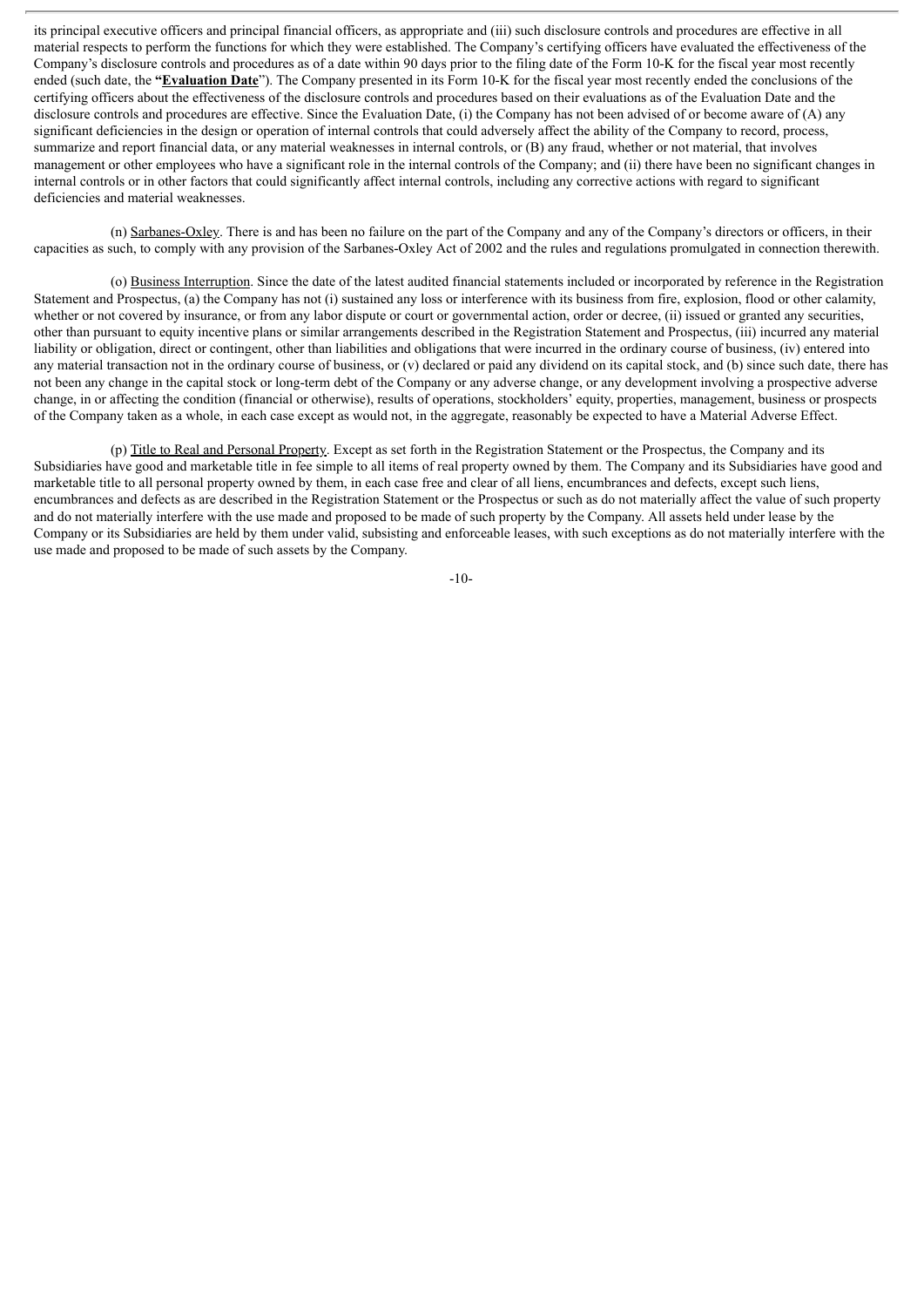its principal executive officers and principal financial officers, as appropriate and (iii) such disclosure controls and procedures are effective in all material respects to perform the functions for which they were established. The Company's certifying officers have evaluated the effectiveness of the Company's disclosure controls and procedures as of a date within 90 days prior to the filing date of the Form 10-K for the fiscal year most recently ended (such date, the **"Evaluation Date**"). The Company presented in its Form 10-K for the fiscal year most recently ended the conclusions of the certifying officers about the effectiveness of the disclosure controls and procedures based on their evaluations as of the Evaluation Date and the disclosure controls and procedures are effective. Since the Evaluation Date, (i) the Company has not been advised of or become aware of (A) any significant deficiencies in the design or operation of internal controls that could adversely affect the ability of the Company to record, process, summarize and report financial data, or any material weaknesses in internal controls, or (B) any fraud, whether or not material, that involves management or other employees who have a significant role in the internal controls of the Company; and (ii) there have been no significant changes in internal controls or in other factors that could significantly affect internal controls, including any corrective actions with regard to significant deficiencies and material weaknesses.

(n) Sarbanes-Oxley. There is and has been no failure on the part of the Company and any of the Company's directors or officers, in their capacities as such, to comply with any provision of the Sarbanes-Oxley Act of 2002 and the rules and regulations promulgated in connection therewith.

(o) Business Interruption. Since the date of the latest audited financial statements included or incorporated by reference in the Registration Statement and Prospectus, (a) the Company has not (i) sustained any loss or interference with its business from fire, explosion, flood or other calamity, whether or not covered by insurance, or from any labor dispute or court or governmental action, order or decree, (ii) issued or granted any securities, other than pursuant to equity incentive plans or similar arrangements described in the Registration Statement and Prospectus, (iii) incurred any material liability or obligation, direct or contingent, other than liabilities and obligations that were incurred in the ordinary course of business, (iv) entered into any material transaction not in the ordinary course of business, or (v) declared or paid any dividend on its capital stock, and (b) since such date, there has not been any change in the capital stock or long-term debt of the Company or any adverse change, or any development involving a prospective adverse change, in or affecting the condition (financial or otherwise), results of operations, stockholders' equity, properties, management, business or prospects of the Company taken as a whole, in each case except as would not, in the aggregate, reasonably be expected to have a Material Adverse Effect.

(p) Title to Real and Personal Property. Except as set forth in the Registration Statement or the Prospectus, the Company and its Subsidiaries have good and marketable title in fee simple to all items of real property owned by them. The Company and its Subsidiaries have good and marketable title to all personal property owned by them, in each case free and clear of all liens, encumbrances and defects, except such liens, encumbrances and defects as are described in the Registration Statement or the Prospectus or such as do not materially affect the value of such property and do not materially interfere with the use made and proposed to be made of such property by the Company. All assets held under lease by the Company or its Subsidiaries are held by them under valid, subsisting and enforceable leases, with such exceptions as do not materially interfere with the use made and proposed to be made of such assets by the Company.

-10-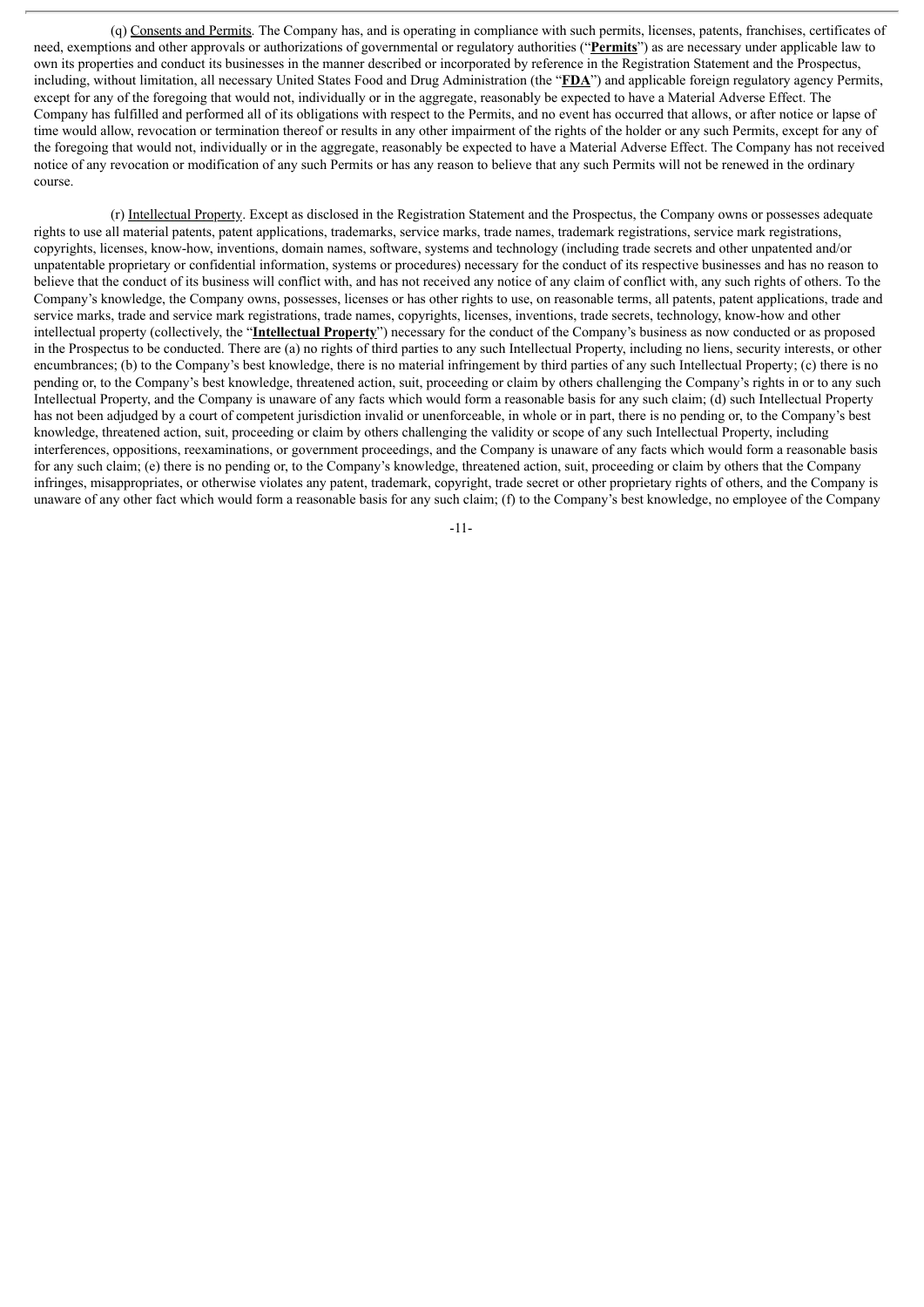(q) Consents and Permits. The Company has, and is operating in compliance with such permits, licenses, patents, franchises, certificates of need, exemptions and other approvals or authorizations of governmental or regulatory authorities ("**Permits**") as are necessary under applicable law to own its properties and conduct its businesses in the manner described or incorporated by reference in the Registration Statement and the Prospectus, including, without limitation, all necessary United States Food and Drug Administration (the "**FDA**") and applicable foreign regulatory agency Permits, except for any of the foregoing that would not, individually or in the aggregate, reasonably be expected to have a Material Adverse Effect. The Company has fulfilled and performed all of its obligations with respect to the Permits, and no event has occurred that allows, or after notice or lapse of time would allow, revocation or termination thereof or results in any other impairment of the rights of the holder or any such Permits, except for any of the foregoing that would not, individually or in the aggregate, reasonably be expected to have a Material Adverse Effect. The Company has not received notice of any revocation or modification of any such Permits or has any reason to believe that any such Permits will not be renewed in the ordinary course.

(r) Intellectual Property. Except as disclosed in the Registration Statement and the Prospectus, the Company owns or possesses adequate rights to use all material patents, patent applications, trademarks, service marks, trade names, trademark registrations, service mark registrations, copyrights, licenses, know-how, inventions, domain names, software, systems and technology (including trade secrets and other unpatented and/or unpatentable proprietary or confidential information, systems or procedures) necessary for the conduct of its respective businesses and has no reason to believe that the conduct of its business will conflict with, and has not received any notice of any claim of conflict with, any such rights of others. To the Company's knowledge, the Company owns, possesses, licenses or has other rights to use, on reasonable terms, all patents, patent applications, trade and service marks, trade and service mark registrations, trade names, copyrights, licenses, inventions, trade secrets, technology, know-how and other intellectual property (collectively, the "**Intellectual Property**") necessary for the conduct of the Company's business as now conducted or as proposed in the Prospectus to be conducted. There are (a) no rights of third parties to any such Intellectual Property, including no liens, security interests, or other encumbrances; (b) to the Company's best knowledge, there is no material infringement by third parties of any such Intellectual Property; (c) there is no pending or, to the Company's best knowledge, threatened action, suit, proceeding or claim by others challenging the Company's rights in or to any such Intellectual Property, and the Company is unaware of any facts which would form a reasonable basis for any such claim; (d) such Intellectual Property has not been adjudged by a court of competent jurisdiction invalid or unenforceable, in whole or in part, there is no pending or, to the Company's best knowledge, threatened action, suit, proceeding or claim by others challenging the validity or scope of any such Intellectual Property, including interferences, oppositions, reexaminations, or government proceedings, and the Company is unaware of any facts which would form a reasonable basis for any such claim; (e) there is no pending or, to the Company's knowledge, threatened action, suit, proceeding or claim by others that the Company infringes, misappropriates, or otherwise violates any patent, trademark, copyright, trade secret or other proprietary rights of others, and the Company is unaware of any other fact which would form a reasonable basis for any such claim; (f) to the Company's best knowledge, no employee of the Company

-11-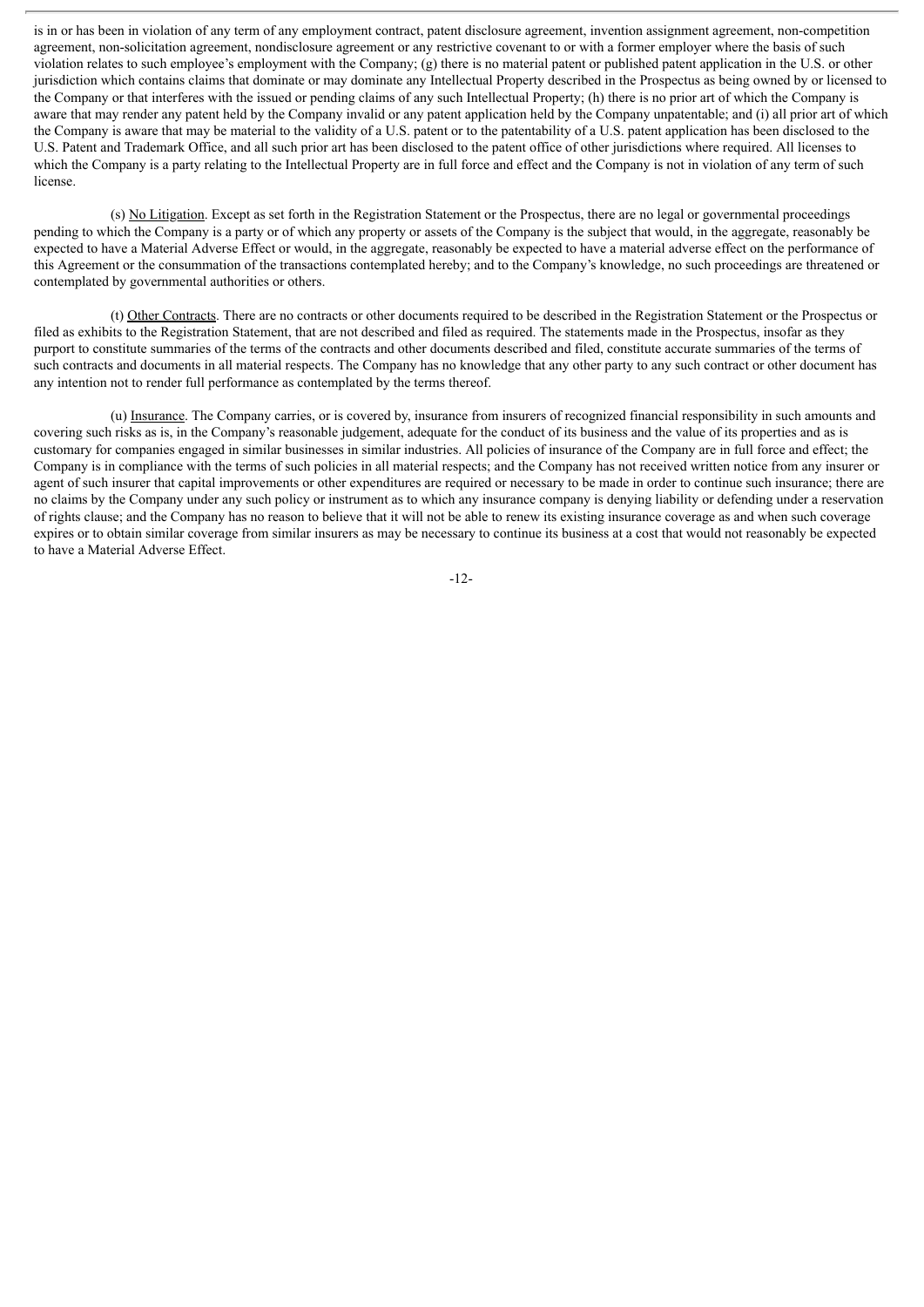is in or has been in violation of any term of any employment contract, patent disclosure agreement, invention assignment agreement, non-competition agreement, non-solicitation agreement, nondisclosure agreement or any restrictive covenant to or with a former employer where the basis of such violation relates to such employee's employment with the Company; (g) there is no material patent or published patent application in the U.S. or other jurisdiction which contains claims that dominate or may dominate any Intellectual Property described in the Prospectus as being owned by or licensed to the Company or that interferes with the issued or pending claims of any such Intellectual Property; (h) there is no prior art of which the Company is aware that may render any patent held by the Company invalid or any patent application held by the Company unpatentable; and (i) all prior art of which the Company is aware that may be material to the validity of a U.S. patent or to the patentability of a U.S. patent application has been disclosed to the U.S. Patent and Trademark Office, and all such prior art has been disclosed to the patent office of other jurisdictions where required. All licenses to which the Company is a party relating to the Intellectual Property are in full force and effect and the Company is not in violation of any term of such license.

(s) No Litigation. Except as set forth in the Registration Statement or the Prospectus, there are no legal or governmental proceedings pending to which the Company is a party or of which any property or assets of the Company is the subject that would, in the aggregate, reasonably be expected to have a Material Adverse Effect or would, in the aggregate, reasonably be expected to have a material adverse effect on the performance of this Agreement or the consummation of the transactions contemplated hereby; and to the Company's knowledge, no such proceedings are threatened or contemplated by governmental authorities or others.

(t) Other Contracts. There are no contracts or other documents required to be described in the Registration Statement or the Prospectus or filed as exhibits to the Registration Statement, that are not described and filed as required. The statements made in the Prospectus, insofar as they purport to constitute summaries of the terms of the contracts and other documents described and filed, constitute accurate summaries of the terms of such contracts and documents in all material respects. The Company has no knowledge that any other party to any such contract or other document has any intention not to render full performance as contemplated by the terms thereof.

(u) Insurance. The Company carries, or is covered by, insurance from insurers of recognized financial responsibility in such amounts and covering such risks as is, in the Company's reasonable judgement, adequate for the conduct of its business and the value of its properties and as is customary for companies engaged in similar businesses in similar industries. All policies of insurance of the Company are in full force and effect; the Company is in compliance with the terms of such policies in all material respects; and the Company has not received written notice from any insurer or agent of such insurer that capital improvements or other expenditures are required or necessary to be made in order to continue such insurance; there are no claims by the Company under any such policy or instrument as to which any insurance company is denying liability or defending under a reservation of rights clause; and the Company has no reason to believe that it will not be able to renew its existing insurance coverage as and when such coverage expires or to obtain similar coverage from similar insurers as may be necessary to continue its business at a cost that would not reasonably be expected to have a Material Adverse Effect.

-12-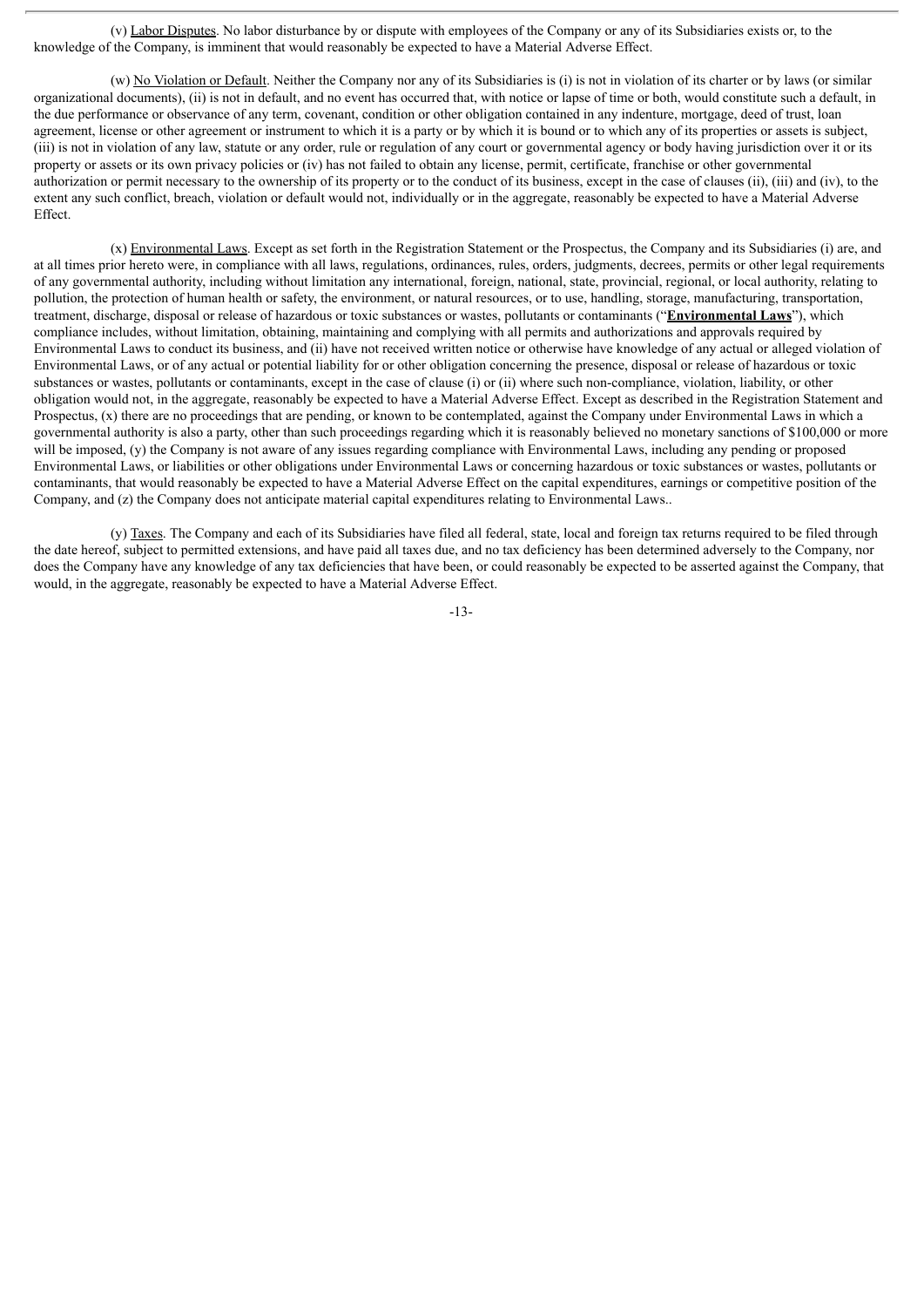(v) Labor Disputes. No labor disturbance by or dispute with employees of the Company or any of its Subsidiaries exists or, to the knowledge of the Company, is imminent that would reasonably be expected to have a Material Adverse Effect.

(w) No Violation or Default. Neither the Company nor any of its Subsidiaries is (i) is not in violation of its charter or by laws (or similar organizational documents), (ii) is not in default, and no event has occurred that, with notice or lapse of time or both, would constitute such a default, in the due performance or observance of any term, covenant, condition or other obligation contained in any indenture, mortgage, deed of trust, loan agreement, license or other agreement or instrument to which it is a party or by which it is bound or to which any of its properties or assets is subject, (iii) is not in violation of any law, statute or any order, rule or regulation of any court or governmental agency or body having jurisdiction over it or its property or assets or its own privacy policies or (iv) has not failed to obtain any license, permit, certificate, franchise or other governmental authorization or permit necessary to the ownership of its property or to the conduct of its business, except in the case of clauses (ii), (iii) and (iv), to the extent any such conflict, breach, violation or default would not, individually or in the aggregate, reasonably be expected to have a Material Adverse Effect.

(x) Environmental Laws. Except as set forth in the Registration Statement or the Prospectus, the Company and its Subsidiaries (i) are, and at all times prior hereto were, in compliance with all laws, regulations, ordinances, rules, orders, judgments, decrees, permits or other legal requirements of any governmental authority, including without limitation any international, foreign, national, state, provincial, regional, or local authority, relating to pollution, the protection of human health or safety, the environment, or natural resources, or to use, handling, storage, manufacturing, transportation, treatment, discharge, disposal or release of hazardous or toxic substances or wastes, pollutants or contaminants ("**Environmental Laws**"), which compliance includes, without limitation, obtaining, maintaining and complying with all permits and authorizations and approvals required by Environmental Laws to conduct its business, and (ii) have not received written notice or otherwise have knowledge of any actual or alleged violation of Environmental Laws, or of any actual or potential liability for or other obligation concerning the presence, disposal or release of hazardous or toxic substances or wastes, pollutants or contaminants, except in the case of clause (i) or (ii) where such non-compliance, violation, liability, or other obligation would not, in the aggregate, reasonably be expected to have a Material Adverse Effect. Except as described in the Registration Statement and Prospectus, (x) there are no proceedings that are pending, or known to be contemplated, against the Company under Environmental Laws in which a governmental authority is also a party, other than such proceedings regarding which it is reasonably believed no monetary sanctions of \$100,000 or more will be imposed, (y) the Company is not aware of any issues regarding compliance with Environmental Laws, including any pending or proposed Environmental Laws, or liabilities or other obligations under Environmental Laws or concerning hazardous or toxic substances or wastes, pollutants or contaminants, that would reasonably be expected to have a Material Adverse Effect on the capital expenditures, earnings or competitive position of the Company, and (z) the Company does not anticipate material capital expenditures relating to Environmental Laws..

(y) Taxes. The Company and each of its Subsidiaries have filed all federal, state, local and foreign tax returns required to be filed through the date hereof, subject to permitted extensions, and have paid all taxes due, and no tax deficiency has been determined adversely to the Company, nor does the Company have any knowledge of any tax deficiencies that have been, or could reasonably be expected to be asserted against the Company, that would, in the aggregate, reasonably be expected to have a Material Adverse Effect.

-13-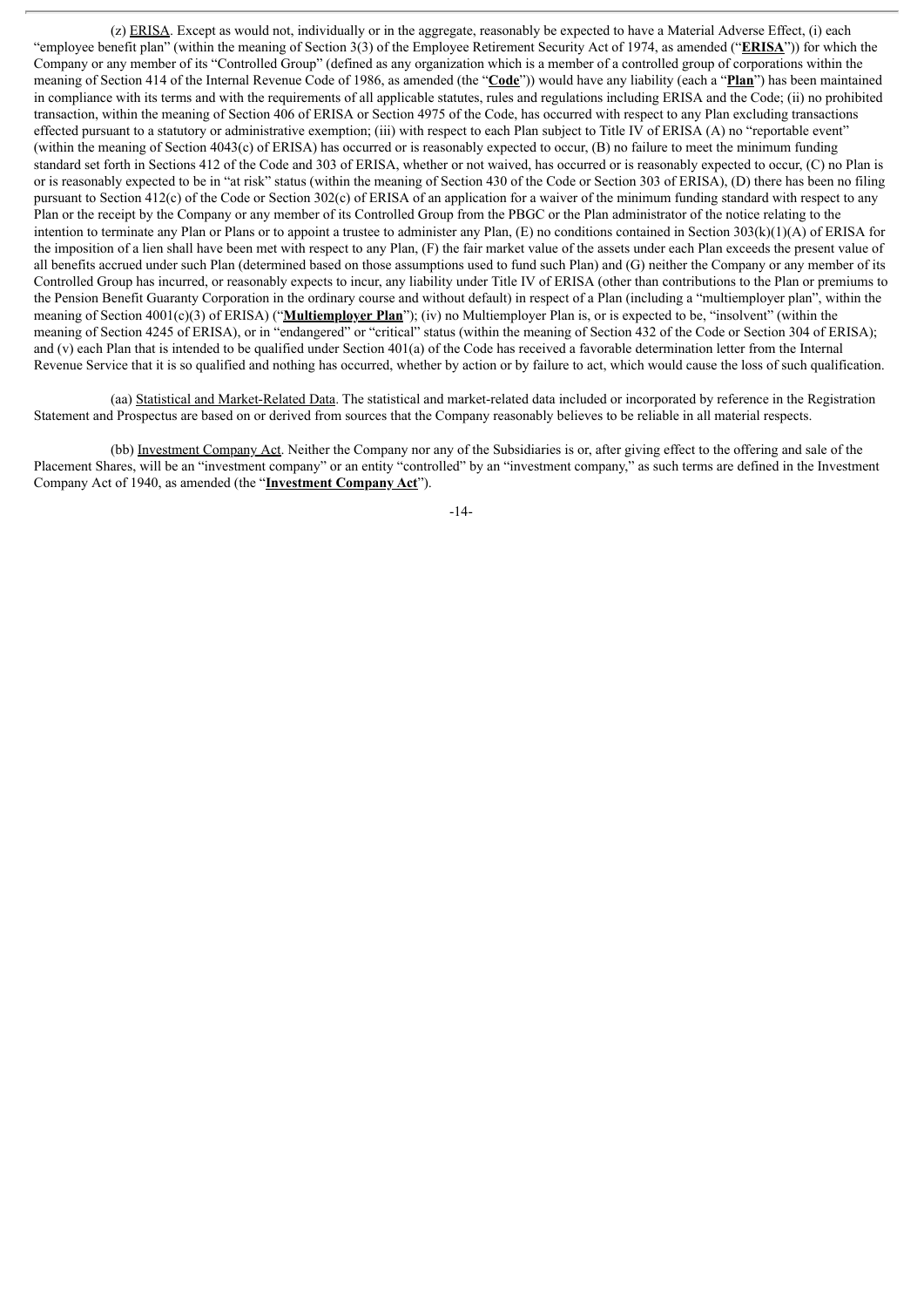(z) ERISA. Except as would not, individually or in the aggregate, reasonably be expected to have a Material Adverse Effect, (i) each "employee benefit plan" (within the meaning of Section 3(3) of the Employee Retirement Security Act of 1974, as amended ("**ERISA**")) for which the Company or any member of its "Controlled Group" (defined as any organization which is a member of a controlled group of corporations within the meaning of Section 414 of the Internal Revenue Code of 1986, as amended (the "**Code**")) would have any liability (each a "**Plan**") has been maintained in compliance with its terms and with the requirements of all applicable statutes, rules and regulations including ERISA and the Code; (ii) no prohibited transaction, within the meaning of Section 406 of ERISA or Section 4975 of the Code, has occurred with respect to any Plan excluding transactions effected pursuant to a statutory or administrative exemption; (iii) with respect to each Plan subject to Title IV of ERISA (A) no "reportable event" (within the meaning of Section 4043(c) of ERISA) has occurred or is reasonably expected to occur, (B) no failure to meet the minimum funding standard set forth in Sections 412 of the Code and 303 of ERISA, whether or not waived, has occurred or is reasonably expected to occur, (C) no Plan is or is reasonably expected to be in "at risk" status (within the meaning of Section 430 of the Code or Section 303 of ERISA), (D) there has been no filing pursuant to Section 412(c) of the Code or Section 302(c) of ERISA of an application for a waiver of the minimum funding standard with respect to any Plan or the receipt by the Company or any member of its Controlled Group from the PBGC or the Plan administrator of the notice relating to the intention to terminate any Plan or Plans or to appoint a trustee to administer any Plan, (E) no conditions contained in Section 303(k)(1)(A) of ERISA for the imposition of a lien shall have been met with respect to any Plan, (F) the fair market value of the assets under each Plan exceeds the present value of all benefits accrued under such Plan (determined based on those assumptions used to fund such Plan) and (G) neither the Company or any member of its Controlled Group has incurred, or reasonably expects to incur, any liability under Title IV of ERISA (other than contributions to the Plan or premiums to the Pension Benefit Guaranty Corporation in the ordinary course and without default) in respect of a Plan (including a "multiemployer plan", within the meaning of Section 4001(c)(3) of ERISA) ("**Multiemployer Plan**"); (iv) no Multiemployer Plan is, or is expected to be, "insolvent" (within the meaning of Section 4245 of ERISA), or in "endangered" or "critical" status (within the meaning of Section 432 of the Code or Section 304 of ERISA); and (v) each Plan that is intended to be qualified under Section 401(a) of the Code has received a favorable determination letter from the Internal Revenue Service that it is so qualified and nothing has occurred, whether by action or by failure to act, which would cause the loss of such qualification.

(aa) Statistical and Market-Related Data. The statistical and market-related data included or incorporated by reference in the Registration Statement and Prospectus are based on or derived from sources that the Company reasonably believes to be reliable in all material respects.

(bb) Investment Company Act. Neither the Company nor any of the Subsidiaries is or, after giving effect to the offering and sale of the Placement Shares, will be an "investment company" or an entity "controlled" by an "investment company," as such terms are defined in the Investment Company Act of 1940, as amended (the "**Investment Company Act**").

-14-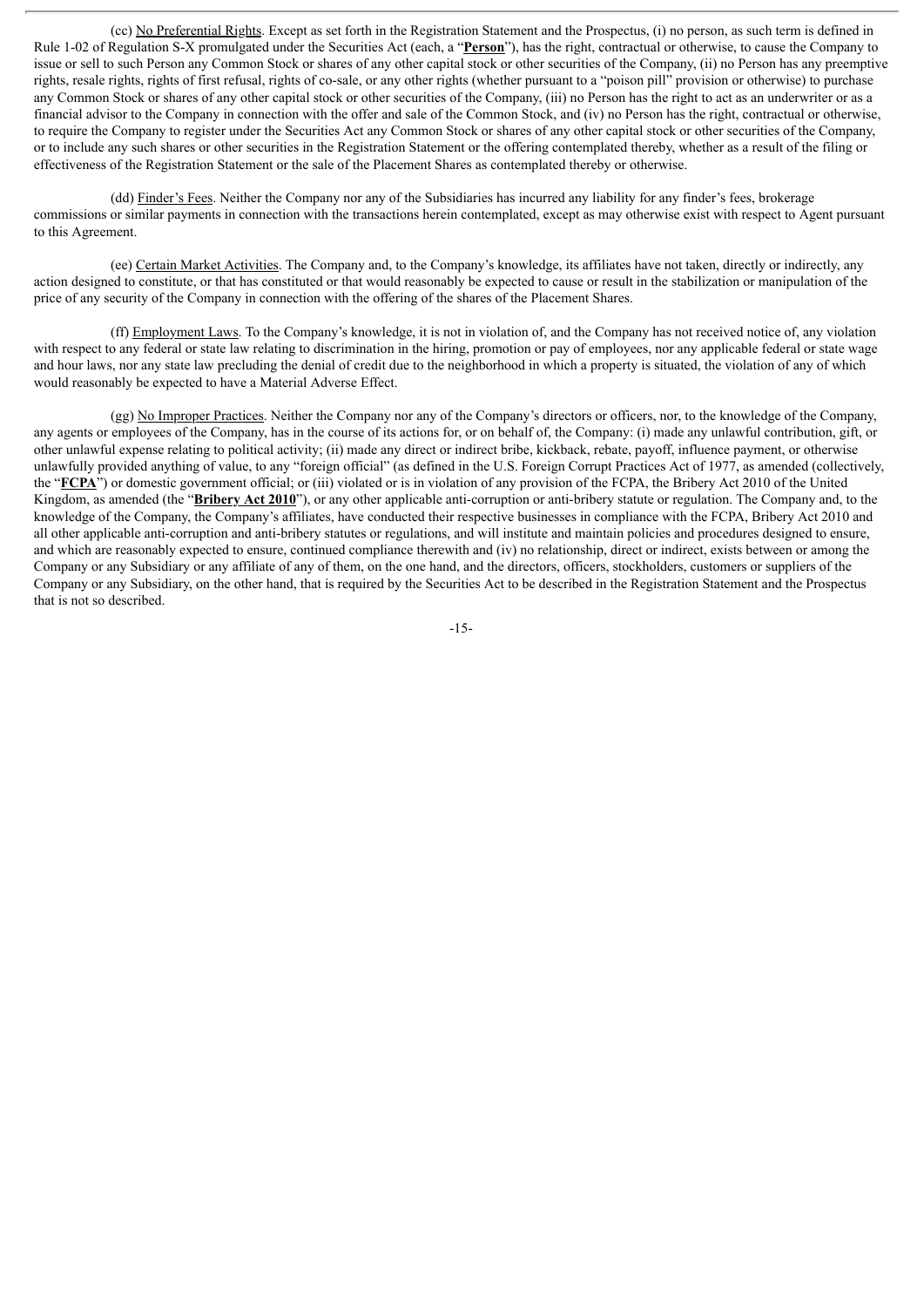(cc) No Preferential Rights. Except as set forth in the Registration Statement and the Prospectus, (i) no person, as such term is defined in Rule 1-02 of Regulation S-X promulgated under the Securities Act (each, a "**Person**"), has the right, contractual or otherwise, to cause the Company to issue or sell to such Person any Common Stock or shares of any other capital stock or other securities of the Company, (ii) no Person has any preemptive rights, resale rights, rights of first refusal, rights of co-sale, or any other rights (whether pursuant to a "poison pill" provision or otherwise) to purchase any Common Stock or shares of any other capital stock or other securities of the Company, (iii) no Person has the right to act as an underwriter or as a financial advisor to the Company in connection with the offer and sale of the Common Stock, and (iv) no Person has the right, contractual or otherwise, to require the Company to register under the Securities Act any Common Stock or shares of any other capital stock or other securities of the Company, or to include any such shares or other securities in the Registration Statement or the offering contemplated thereby, whether as a result of the filing or effectiveness of the Registration Statement or the sale of the Placement Shares as contemplated thereby or otherwise.

(dd) Finder's Fees. Neither the Company nor any of the Subsidiaries has incurred any liability for any finder's fees, brokerage commissions or similar payments in connection with the transactions herein contemplated, except as may otherwise exist with respect to Agent pursuant to this Agreement.

(ee) Certain Market Activities. The Company and, to the Company's knowledge, its affiliates have not taken, directly or indirectly, any action designed to constitute, or that has constituted or that would reasonably be expected to cause or result in the stabilization or manipulation of the price of any security of the Company in connection with the offering of the shares of the Placement Shares.

(ff) Employment Laws. To the Company's knowledge, it is not in violation of, and the Company has not received notice of, any violation with respect to any federal or state law relating to discrimination in the hiring, promotion or pay of employees, nor any applicable federal or state wage and hour laws, nor any state law precluding the denial of credit due to the neighborhood in which a property is situated, the violation of any of which would reasonably be expected to have a Material Adverse Effect.

(gg) No Improper Practices. Neither the Company nor any of the Company's directors or officers, nor, to the knowledge of the Company, any agents or employees of the Company, has in the course of its actions for, or on behalf of, the Company: (i) made any unlawful contribution, gift, or other unlawful expense relating to political activity; (ii) made any direct or indirect bribe, kickback, rebate, payoff, influence payment, or otherwise unlawfully provided anything of value, to any "foreign official" (as defined in the U.S. Foreign Corrupt Practices Act of 1977, as amended (collectively, the "**FCPA**") or domestic government official; or (iii) violated or is in violation of any provision of the FCPA, the Bribery Act 2010 of the United Kingdom, as amended (the "**Bribery Act 2010**"), or any other applicable anti-corruption or anti-bribery statute or regulation. The Company and, to the knowledge of the Company, the Company's affiliates, have conducted their respective businesses in compliance with the FCPA, Bribery Act 2010 and all other applicable anti-corruption and anti-bribery statutes or regulations, and will institute and maintain policies and procedures designed to ensure, and which are reasonably expected to ensure, continued compliance therewith and (iv) no relationship, direct or indirect, exists between or among the Company or any Subsidiary or any affiliate of any of them, on the one hand, and the directors, officers, stockholders, customers or suppliers of the Company or any Subsidiary, on the other hand, that is required by the Securities Act to be described in the Registration Statement and the Prospectus that is not so described.

-15-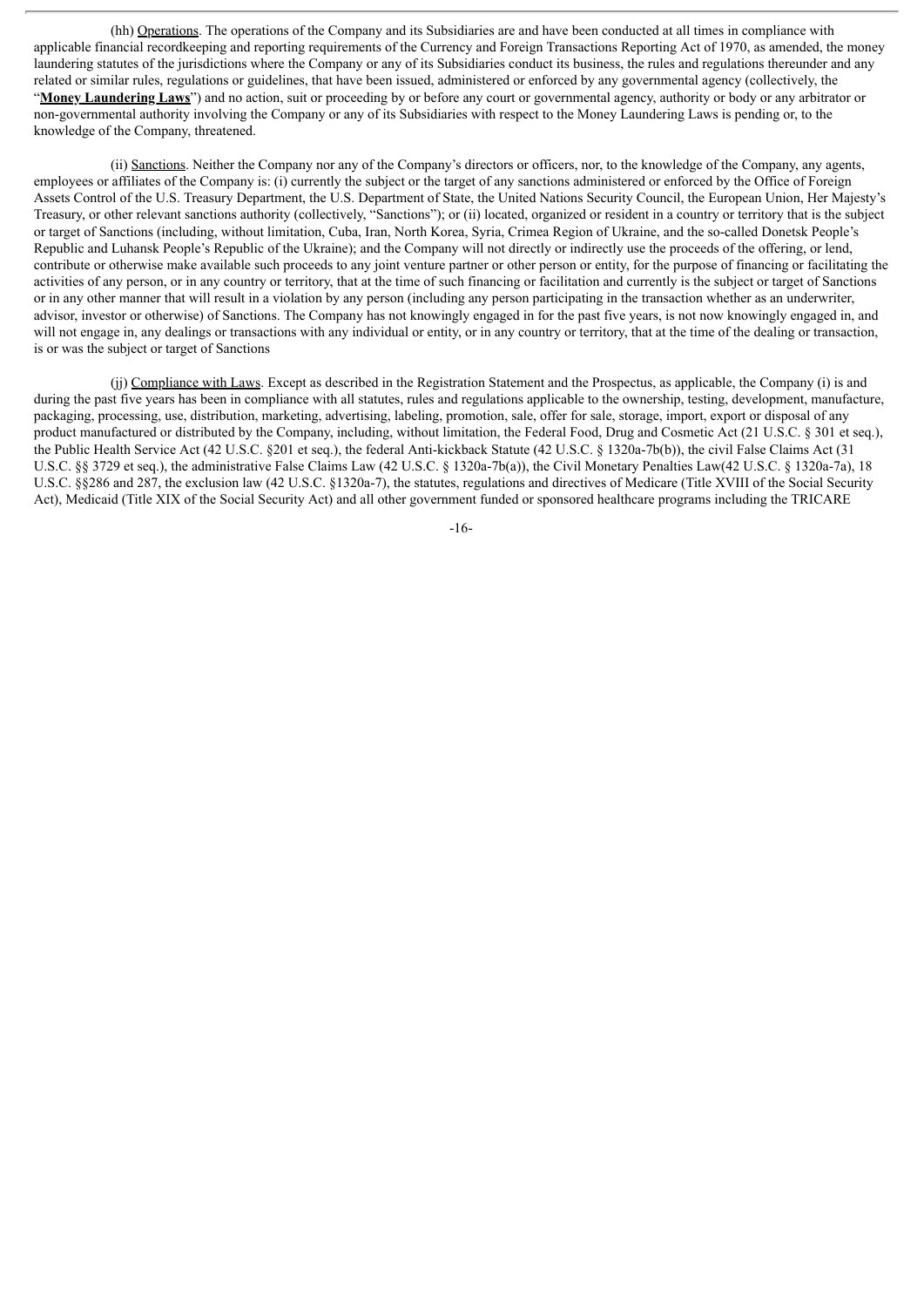(hh) Operations. The operations of the Company and its Subsidiaries are and have been conducted at all times in compliance with applicable financial recordkeeping and reporting requirements of the Currency and Foreign Transactions Reporting Act of 1970, as amended, the money laundering statutes of the jurisdictions where the Company or any of its Subsidiaries conduct its business, the rules and regulations thereunder and any related or similar rules, regulations or guidelines, that have been issued, administered or enforced by any governmental agency (collectively, the "**Money Laundering Laws**") and no action, suit or proceeding by or before any court or governmental agency, authority or body or any arbitrator or non-governmental authority involving the Company or any of its Subsidiaries with respect to the Money Laundering Laws is pending or, to the knowledge of the Company, threatened.

(ii) Sanctions. Neither the Company nor any of the Company's directors or officers, nor, to the knowledge of the Company, any agents, employees or affiliates of the Company is: (i) currently the subject or the target of any sanctions administered or enforced by the Office of Foreign Assets Control of the U.S. Treasury Department, the U.S. Department of State, the United Nations Security Council, the European Union, Her Majesty's Treasury, or other relevant sanctions authority (collectively, "Sanctions"); or (ii) located, organized or resident in a country or territory that is the subject or target of Sanctions (including, without limitation, Cuba, Iran, North Korea, Syria, Crimea Region of Ukraine, and the so-called Donetsk People's Republic and Luhansk People's Republic of the Ukraine); and the Company will not directly or indirectly use the proceeds of the offering, or lend, contribute or otherwise make available such proceeds to any joint venture partner or other person or entity, for the purpose of financing or facilitating the activities of any person, or in any country or territory, that at the time of such financing or facilitation and currently is the subject or target of Sanctions or in any other manner that will result in a violation by any person (including any person participating in the transaction whether as an underwriter, advisor, investor or otherwise) of Sanctions. The Company has not knowingly engaged in for the past five years, is not now knowingly engaged in, and will not engage in, any dealings or transactions with any individual or entity, or in any country or territory, that at the time of the dealing or transaction, is or was the subject or target of Sanctions

(jj) Compliance with Laws. Except as described in the Registration Statement and the Prospectus, as applicable, the Company (i) is and during the past five years has been in compliance with all statutes, rules and regulations applicable to the ownership, testing, development, manufacture, packaging, processing, use, distribution, marketing, advertising, labeling, promotion, sale, offer for sale, storage, import, export or disposal of any product manufactured or distributed by the Company, including, without limitation, the Federal Food, Drug and Cosmetic Act (21 U.S.C. § 301 et seq.), the Public Health Service Act (42 U.S.C. §201 et seq.), the federal Anti-kickback Statute (42 U.S.C. § 1320a-7b(b)), the civil False Claims Act (31 U.S.C. §§ 3729 et seq.), the administrative False Claims Law (42 U.S.C. § 1320a-7b(a)), the Civil Monetary Penalties Law(42 U.S.C. § 1320a-7a), 18 U.S.C. §§286 and 287, the exclusion law (42 U.S.C. §1320a-7), the statutes, regulations and directives of Medicare (Title XVIII of the Social Security Act), Medicaid (Title XIX of the Social Security Act) and all other government funded or sponsored healthcare programs including the TRICARE

-16-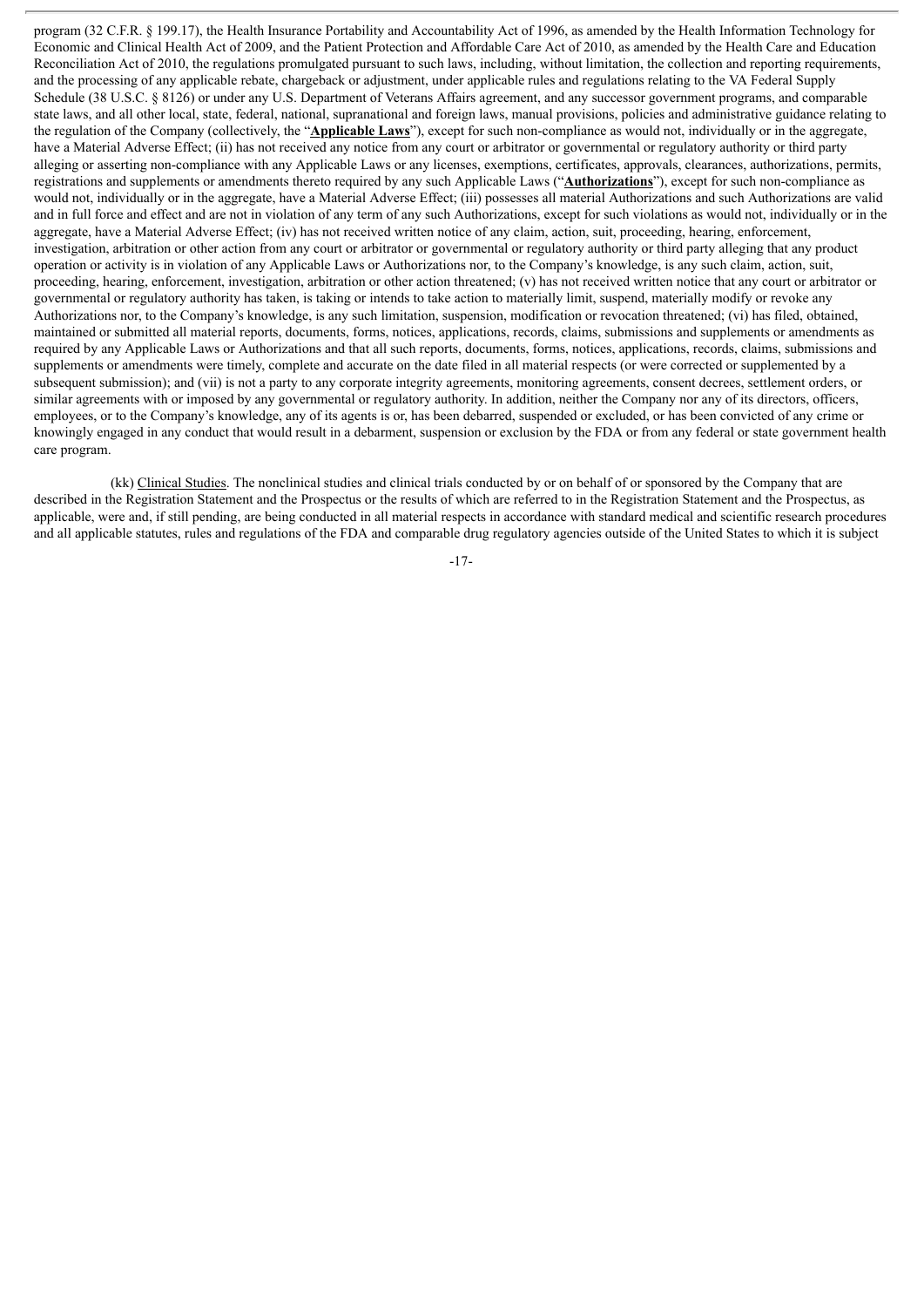program (32 C.F.R. § 199.17), the Health Insurance Portability and Accountability Act of 1996, as amended by the Health Information Technology for Economic and Clinical Health Act of 2009, and the Patient Protection and Affordable Care Act of 2010, as amended by the Health Care and Education Reconciliation Act of 2010, the regulations promulgated pursuant to such laws, including, without limitation, the collection and reporting requirements, and the processing of any applicable rebate, chargeback or adjustment, under applicable rules and regulations relating to the VA Federal Supply Schedule (38 U.S.C. § 8126) or under any U.S. Department of Veterans Affairs agreement, and any successor government programs, and comparable state laws, and all other local, state, federal, national, supranational and foreign laws, manual provisions, policies and administrative guidance relating to the regulation of the Company (collectively, the "**Applicable Laws**"), except for such non-compliance as would not, individually or in the aggregate, have a Material Adverse Effect; (ii) has not received any notice from any court or arbitrator or governmental or regulatory authority or third party alleging or asserting non-compliance with any Applicable Laws or any licenses, exemptions, certificates, approvals, clearances, authorizations, permits, registrations and supplements or amendments thereto required by any such Applicable Laws ("**Authorizations**"), except for such non-compliance as would not, individually or in the aggregate, have a Material Adverse Effect; (iii) possesses all material Authorizations and such Authorizations are valid and in full force and effect and are not in violation of any term of any such Authorizations, except for such violations as would not, individually or in the aggregate, have a Material Adverse Effect; (iv) has not received written notice of any claim, action, suit, proceeding, hearing, enforcement, investigation, arbitration or other action from any court or arbitrator or governmental or regulatory authority or third party alleging that any product operation or activity is in violation of any Applicable Laws or Authorizations nor, to the Company's knowledge, is any such claim, action, suit, proceeding, hearing, enforcement, investigation, arbitration or other action threatened; (v) has not received written notice that any court or arbitrator or governmental or regulatory authority has taken, is taking or intends to take action to materially limit, suspend, materially modify or revoke any Authorizations nor, to the Company's knowledge, is any such limitation, suspension, modification or revocation threatened; (vi) has filed, obtained, maintained or submitted all material reports, documents, forms, notices, applications, records, claims, submissions and supplements or amendments as required by any Applicable Laws or Authorizations and that all such reports, documents, forms, notices, applications, records, claims, submissions and supplements or amendments were timely, complete and accurate on the date filed in all material respects (or were corrected or supplemented by a subsequent submission); and (vii) is not a party to any corporate integrity agreements, monitoring agreements, consent decrees, settlement orders, or similar agreements with or imposed by any governmental or regulatory authority. In addition, neither the Company nor any of its directors, officers, employees, or to the Company's knowledge, any of its agents is or, has been debarred, suspended or excluded, or has been convicted of any crime or knowingly engaged in any conduct that would result in a debarment, suspension or exclusion by the FDA or from any federal or state government health care program.

(kk) Clinical Studies. The nonclinical studies and clinical trials conducted by or on behalf of or sponsored by the Company that are described in the Registration Statement and the Prospectus or the results of which are referred to in the Registration Statement and the Prospectus, as applicable, were and, if still pending, are being conducted in all material respects in accordance with standard medical and scientific research procedures and all applicable statutes, rules and regulations of the FDA and comparable drug regulatory agencies outside of the United States to which it is subject

-17-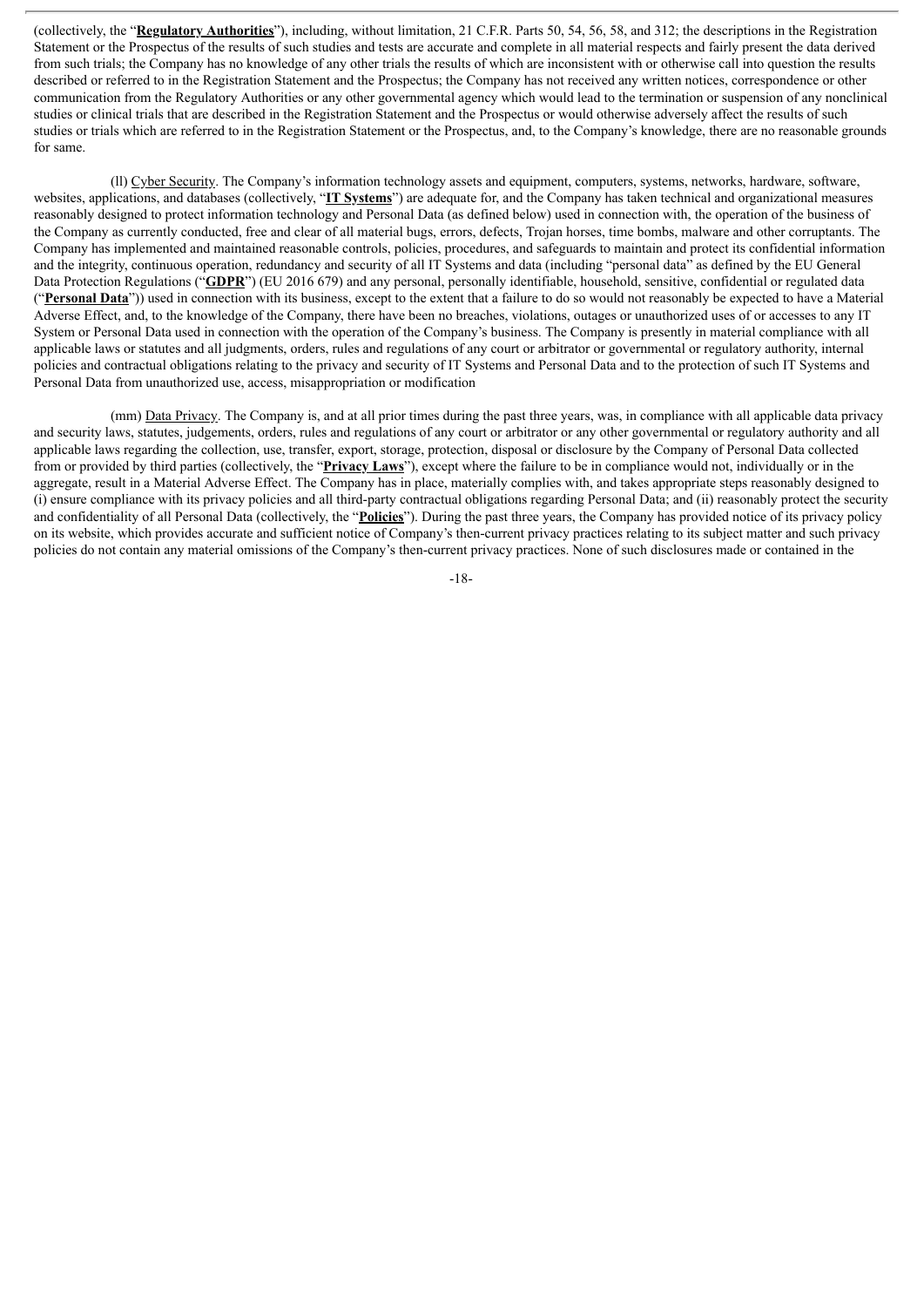(collectively, the "**Regulatory Authorities**"), including, without limitation, 21 C.F.R. Parts 50, 54, 56, 58, and 312; the descriptions in the Registration Statement or the Prospectus of the results of such studies and tests are accurate and complete in all material respects and fairly present the data derived from such trials; the Company has no knowledge of any other trials the results of which are inconsistent with or otherwise call into question the results described or referred to in the Registration Statement and the Prospectus; the Company has not received any written notices, correspondence or other communication from the Regulatory Authorities or any other governmental agency which would lead to the termination or suspension of any nonclinical studies or clinical trials that are described in the Registration Statement and the Prospectus or would otherwise adversely affect the results of such studies or trials which are referred to in the Registration Statement or the Prospectus, and, to the Company's knowledge, there are no reasonable grounds for same.

(ll) Cyber Security. The Company's information technology assets and equipment, computers, systems, networks, hardware, software, websites, applications, and databases (collectively, "**IT Systems**") are adequate for, and the Company has taken technical and organizational measures reasonably designed to protect information technology and Personal Data (as defined below) used in connection with, the operation of the business of the Company as currently conducted, free and clear of all material bugs, errors, defects, Trojan horses, time bombs, malware and other corruptants. The Company has implemented and maintained reasonable controls, policies, procedures, and safeguards to maintain and protect its confidential information and the integrity, continuous operation, redundancy and security of all IT Systems and data (including "personal data" as defined by the EU General Data Protection Regulations ("**GDPR**") (EU 2016 679) and any personal, personally identifiable, household, sensitive, confidential or regulated data ("**Personal Data**")) used in connection with its business, except to the extent that a failure to do so would not reasonably be expected to have a Material Adverse Effect, and, to the knowledge of the Company, there have been no breaches, violations, outages or unauthorized uses of or accesses to any IT System or Personal Data used in connection with the operation of the Company's business. The Company is presently in material compliance with all applicable laws or statutes and all judgments, orders, rules and regulations of any court or arbitrator or governmental or regulatory authority, internal policies and contractual obligations relating to the privacy and security of IT Systems and Personal Data and to the protection of such IT Systems and Personal Data from unauthorized use, access, misappropriation or modification

(mm) Data Privacy. The Company is, and at all prior times during the past three years, was, in compliance with all applicable data privacy and security laws, statutes, judgements, orders, rules and regulations of any court or arbitrator or any other governmental or regulatory authority and all applicable laws regarding the collection, use, transfer, export, storage, protection, disposal or disclosure by the Company of Personal Data collected from or provided by third parties (collectively, the "**Privacy Laws**"), except where the failure to be in compliance would not, individually or in the aggregate, result in a Material Adverse Effect. The Company has in place, materially complies with, and takes appropriate steps reasonably designed to (i) ensure compliance with its privacy policies and all third-party contractual obligations regarding Personal Data; and (ii) reasonably protect the security and confidentiality of all Personal Data (collectively, the "**Policies**"). During the past three years, the Company has provided notice of its privacy policy on its website, which provides accurate and sufficient notice of Company's then-current privacy practices relating to its subject matter and such privacy policies do not contain any material omissions of the Company's then-current privacy practices. None of such disclosures made or contained in the

-18-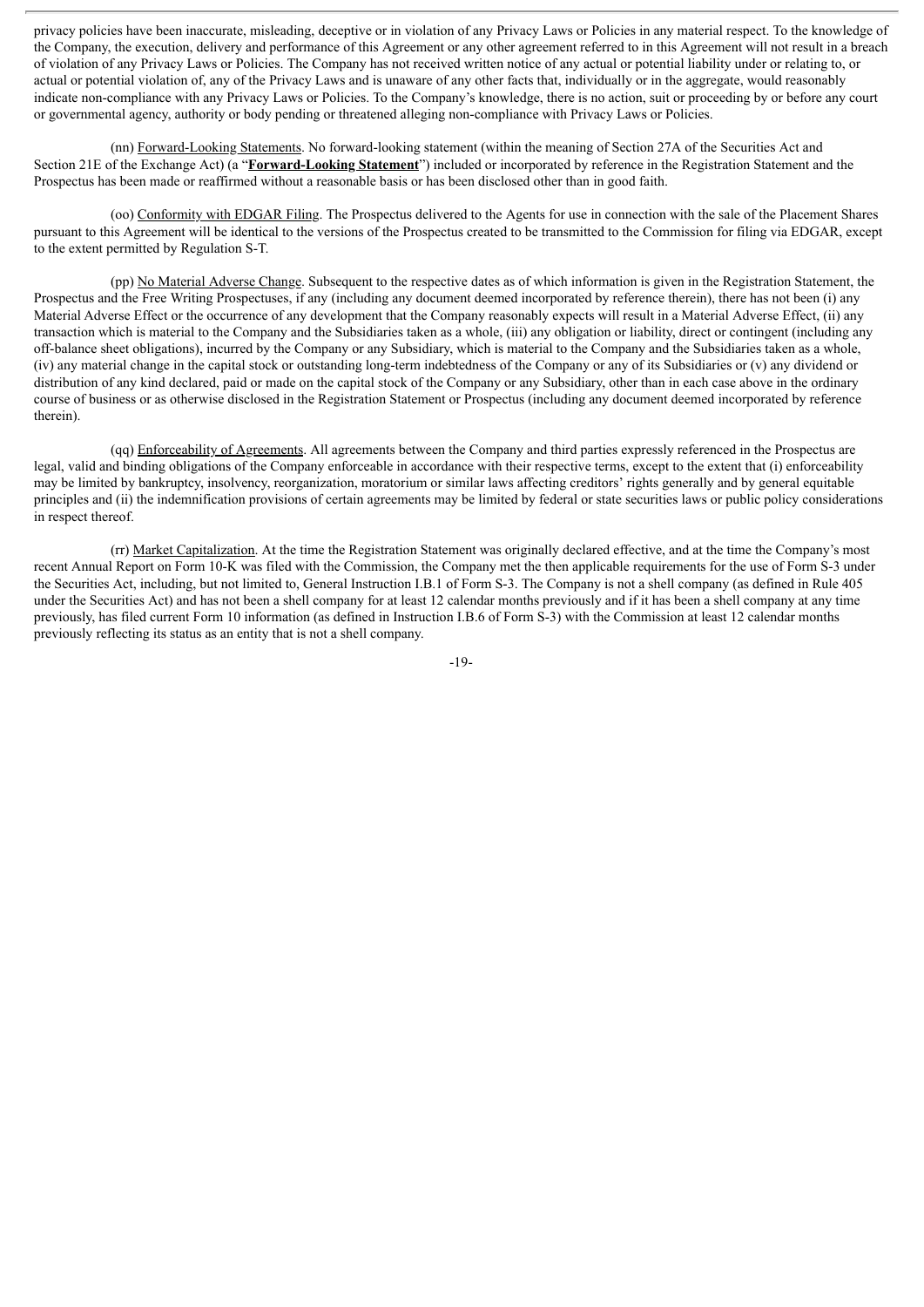privacy policies have been inaccurate, misleading, deceptive or in violation of any Privacy Laws or Policies in any material respect. To the knowledge of the Company, the execution, delivery and performance of this Agreement or any other agreement referred to in this Agreement will not result in a breach of violation of any Privacy Laws or Policies. The Company has not received written notice of any actual or potential liability under or relating to, or actual or potential violation of, any of the Privacy Laws and is unaware of any other facts that, individually or in the aggregate, would reasonably indicate non-compliance with any Privacy Laws or Policies. To the Company's knowledge, there is no action, suit or proceeding by or before any court or governmental agency, authority or body pending or threatened alleging non-compliance with Privacy Laws or Policies.

(nn) Forward-Looking Statements. No forward-looking statement (within the meaning of Section 27A of the Securities Act and Section 21E of the Exchange Act) (a "**Forward-Looking Statement**") included or incorporated by reference in the Registration Statement and the Prospectus has been made or reaffirmed without a reasonable basis or has been disclosed other than in good faith.

(oo) Conformity with EDGAR Filing. The Prospectus delivered to the Agents for use in connection with the sale of the Placement Shares pursuant to this Agreement will be identical to the versions of the Prospectus created to be transmitted to the Commission for filing via EDGAR, except to the extent permitted by Regulation S-T.

(pp) No Material Adverse Change. Subsequent to the respective dates as of which information is given in the Registration Statement, the Prospectus and the Free Writing Prospectuses, if any (including any document deemed incorporated by reference therein), there has not been (i) any Material Adverse Effect or the occurrence of any development that the Company reasonably expects will result in a Material Adverse Effect, (ii) any transaction which is material to the Company and the Subsidiaries taken as a whole, (iii) any obligation or liability, direct or contingent (including any off-balance sheet obligations), incurred by the Company or any Subsidiary, which is material to the Company and the Subsidiaries taken as a whole, (iv) any material change in the capital stock or outstanding long-term indebtedness of the Company or any of its Subsidiaries or (v) any dividend or distribution of any kind declared, paid or made on the capital stock of the Company or any Subsidiary, other than in each case above in the ordinary course of business or as otherwise disclosed in the Registration Statement or Prospectus (including any document deemed incorporated by reference therein).

(qq) Enforceability of Agreements. All agreements between the Company and third parties expressly referenced in the Prospectus are legal, valid and binding obligations of the Company enforceable in accordance with their respective terms, except to the extent that (i) enforceability may be limited by bankruptcy, insolvency, reorganization, moratorium or similar laws affecting creditors' rights generally and by general equitable principles and (ii) the indemnification provisions of certain agreements may be limited by federal or state securities laws or public policy considerations in respect thereof.

(rr) Market Capitalization. At the time the Registration Statement was originally declared effective, and at the time the Company's most recent Annual Report on Form 10-K was filed with the Commission, the Company met the then applicable requirements for the use of Form S-3 under the Securities Act, including, but not limited to, General Instruction I.B.1 of Form S-3. The Company is not a shell company (as defined in Rule 405 under the Securities Act) and has not been a shell company for at least 12 calendar months previously and if it has been a shell company at any time previously, has filed current Form 10 information (as defined in Instruction I.B.6 of Form S-3) with the Commission at least 12 calendar months previously reflecting its status as an entity that is not a shell company.

-19-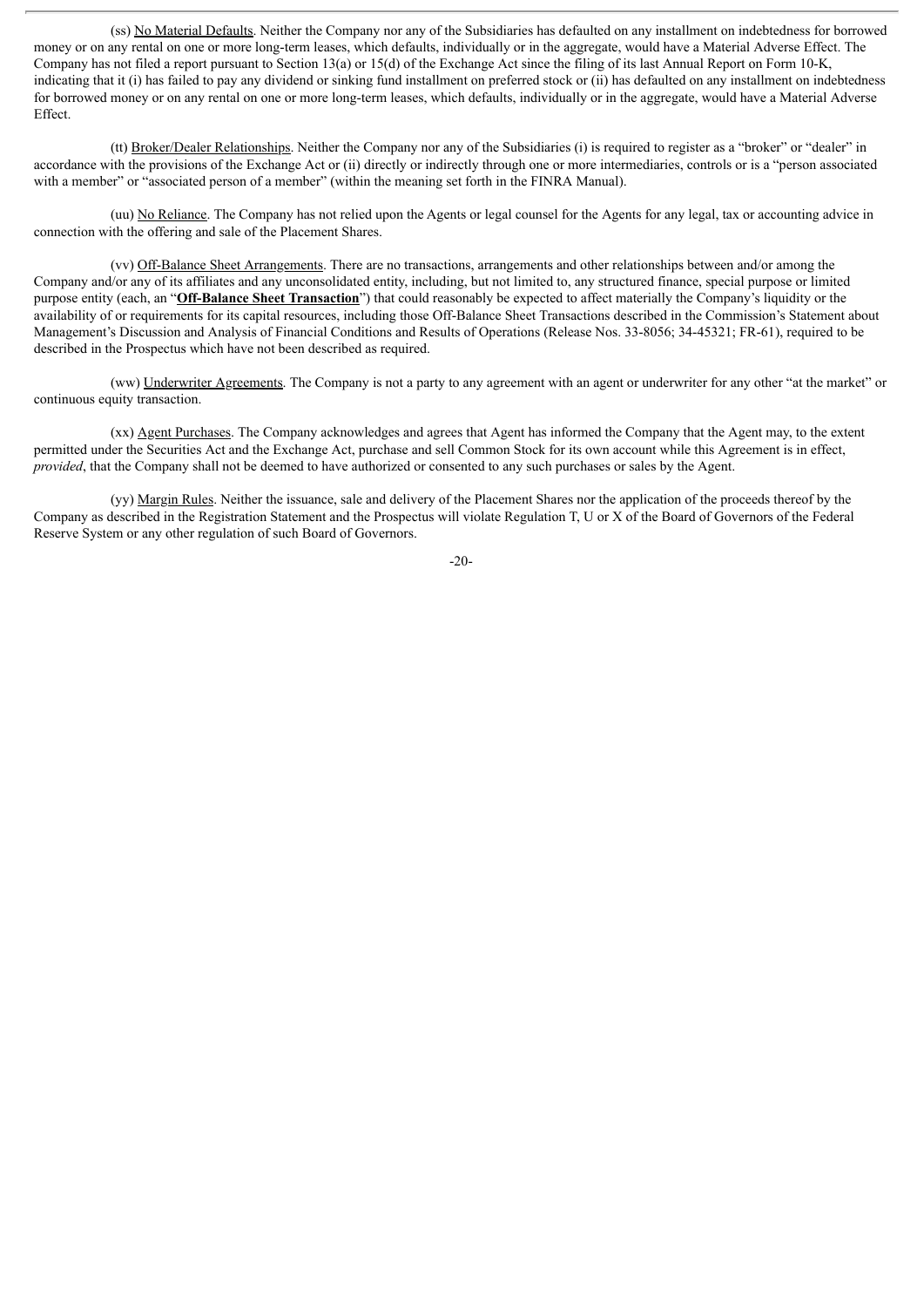(ss) No Material Defaults. Neither the Company nor any of the Subsidiaries has defaulted on any installment on indebtedness for borrowed money or on any rental on one or more long-term leases, which defaults, individually or in the aggregate, would have a Material Adverse Effect. The Company has not filed a report pursuant to Section 13(a) or 15(d) of the Exchange Act since the filing of its last Annual Report on Form 10-K, indicating that it (i) has failed to pay any dividend or sinking fund installment on preferred stock or (ii) has defaulted on any installment on indebtedness for borrowed money or on any rental on one or more long-term leases, which defaults, individually or in the aggregate, would have a Material Adverse Effect.

(tt) Broker/Dealer Relationships. Neither the Company nor any of the Subsidiaries (i) is required to register as a "broker" or "dealer" in accordance with the provisions of the Exchange Act or (ii) directly or indirectly through one or more intermediaries, controls or is a "person associated with a member" or "associated person of a member" (within the meaning set forth in the FINRA Manual).

(uu) No Reliance. The Company has not relied upon the Agents or legal counsel for the Agents for any legal, tax or accounting advice in connection with the offering and sale of the Placement Shares.

(vv) Off-Balance Sheet Arrangements. There are no transactions, arrangements and other relationships between and/or among the Company and/or any of its affiliates and any unconsolidated entity, including, but not limited to, any structured finance, special purpose or limited purpose entity (each, an "**Off-Balance Sheet Transaction**") that could reasonably be expected to affect materially the Company's liquidity or the availability of or requirements for its capital resources, including those Off-Balance Sheet Transactions described in the Commission's Statement about Management's Discussion and Analysis of Financial Conditions and Results of Operations (Release Nos. 33-8056; 34-45321; FR-61), required to be described in the Prospectus which have not been described as required.

(ww) Underwriter Agreements. The Company is not a party to any agreement with an agent or underwriter for any other "at the market" or continuous equity transaction.

(xx) Agent Purchases. The Company acknowledges and agrees that Agent has informed the Company that the Agent may, to the extent permitted under the Securities Act and the Exchange Act, purchase and sell Common Stock for its own account while this Agreement is in effect, *provided*, that the Company shall not be deemed to have authorized or consented to any such purchases or sales by the Agent.

(yy) Margin Rules. Neither the issuance, sale and delivery of the Placement Shares nor the application of the proceeds thereof by the Company as described in the Registration Statement and the Prospectus will violate Regulation T, U or X of the Board of Governors of the Federal Reserve System or any other regulation of such Board of Governors.

-20-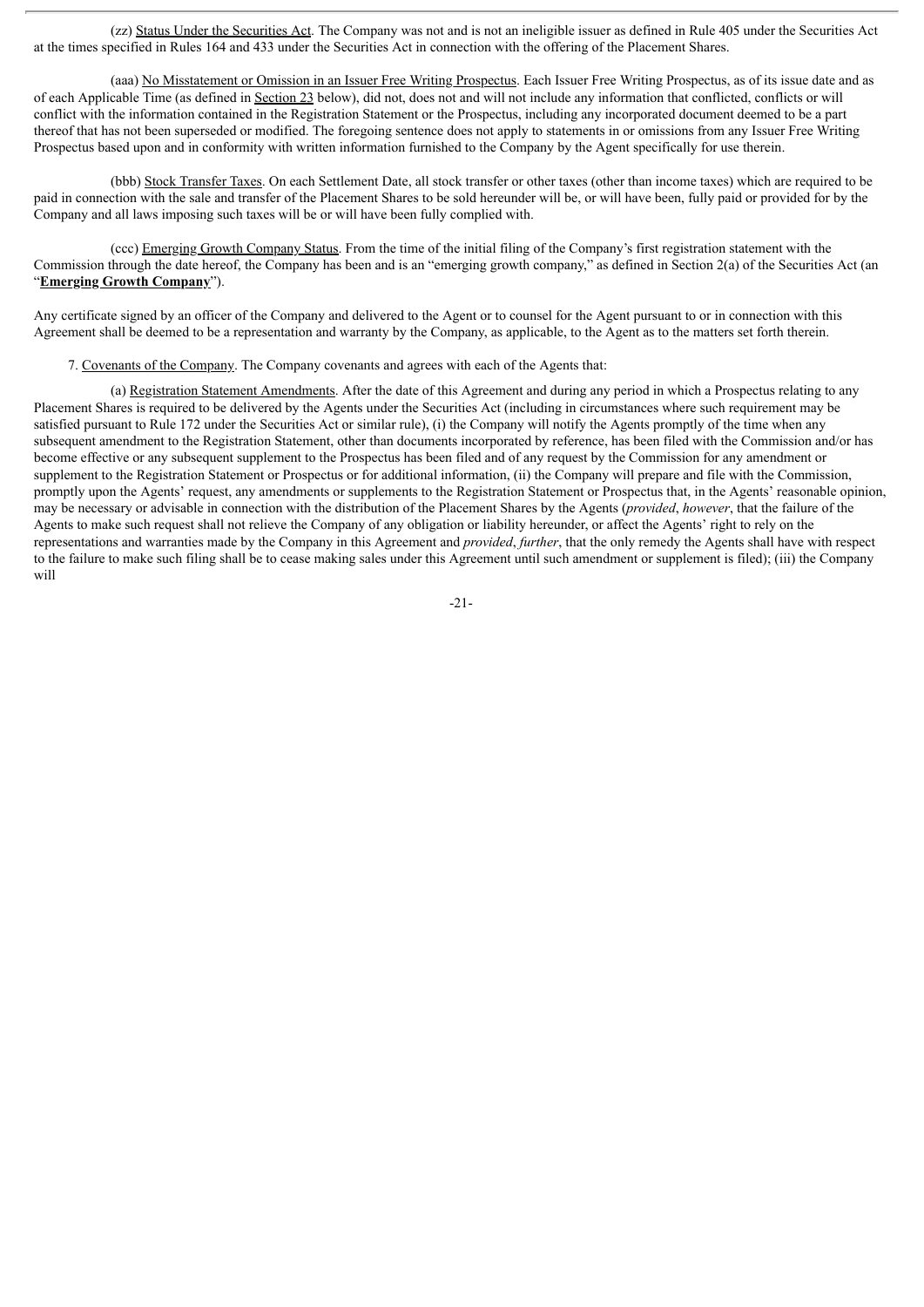(zz) Status Under the Securities Act. The Company was not and is not an ineligible issuer as defined in Rule 405 under the Securities Act at the times specified in Rules 164 and 433 under the Securities Act in connection with the offering of the Placement Shares.

(aaa) No Misstatement or Omission in an Issuer Free Writing Prospectus. Each Issuer Free Writing Prospectus, as of its issue date and as of each Applicable Time (as defined in Section 23 below), did not, does not and will not include any information that conflicted, conflicts or will conflict with the information contained in the Registration Statement or the Prospectus, including any incorporated document deemed to be a part thereof that has not been superseded or modified. The foregoing sentence does not apply to statements in or omissions from any Issuer Free Writing Prospectus based upon and in conformity with written information furnished to the Company by the Agent specifically for use therein.

(bbb) Stock Transfer Taxes. On each Settlement Date, all stock transfer or other taxes (other than income taxes) which are required to be paid in connection with the sale and transfer of the Placement Shares to be sold hereunder will be, or will have been, fully paid or provided for by the Company and all laws imposing such taxes will be or will have been fully complied with.

(ccc) Emerging Growth Company Status. From the time of the initial filing of the Company's first registration statement with the Commission through the date hereof, the Company has been and is an "emerging growth company," as defined in Section 2(a) of the Securities Act (an "**Emerging Growth Company**").

Any certificate signed by an officer of the Company and delivered to the Agent or to counsel for the Agent pursuant to or in connection with this Agreement shall be deemed to be a representation and warranty by the Company, as applicable, to the Agent as to the matters set forth therein.

7. Covenants of the Company. The Company covenants and agrees with each of the Agents that:

(a) Registration Statement Amendments. After the date of this Agreement and during any period in which a Prospectus relating to any Placement Shares is required to be delivered by the Agents under the Securities Act (including in circumstances where such requirement may be satisfied pursuant to Rule 172 under the Securities Act or similar rule), (i) the Company will notify the Agents promptly of the time when any subsequent amendment to the Registration Statement, other than documents incorporated by reference, has been filed with the Commission and/or has become effective or any subsequent supplement to the Prospectus has been filed and of any request by the Commission for any amendment or supplement to the Registration Statement or Prospectus or for additional information, (ii) the Company will prepare and file with the Commission, promptly upon the Agents' request, any amendments or supplements to the Registration Statement or Prospectus that, in the Agents' reasonable opinion, may be necessary or advisable in connection with the distribution of the Placement Shares by the Agents (*provided*, *however*, that the failure of the Agents to make such request shall not relieve the Company of any obligation or liability hereunder, or affect the Agents' right to rely on the representations and warranties made by the Company in this Agreement and *provided*, *further*, that the only remedy the Agents shall have with respect to the failure to make such filing shall be to cease making sales under this Agreement until such amendment or supplement is filed); (iii) the Company will

-21-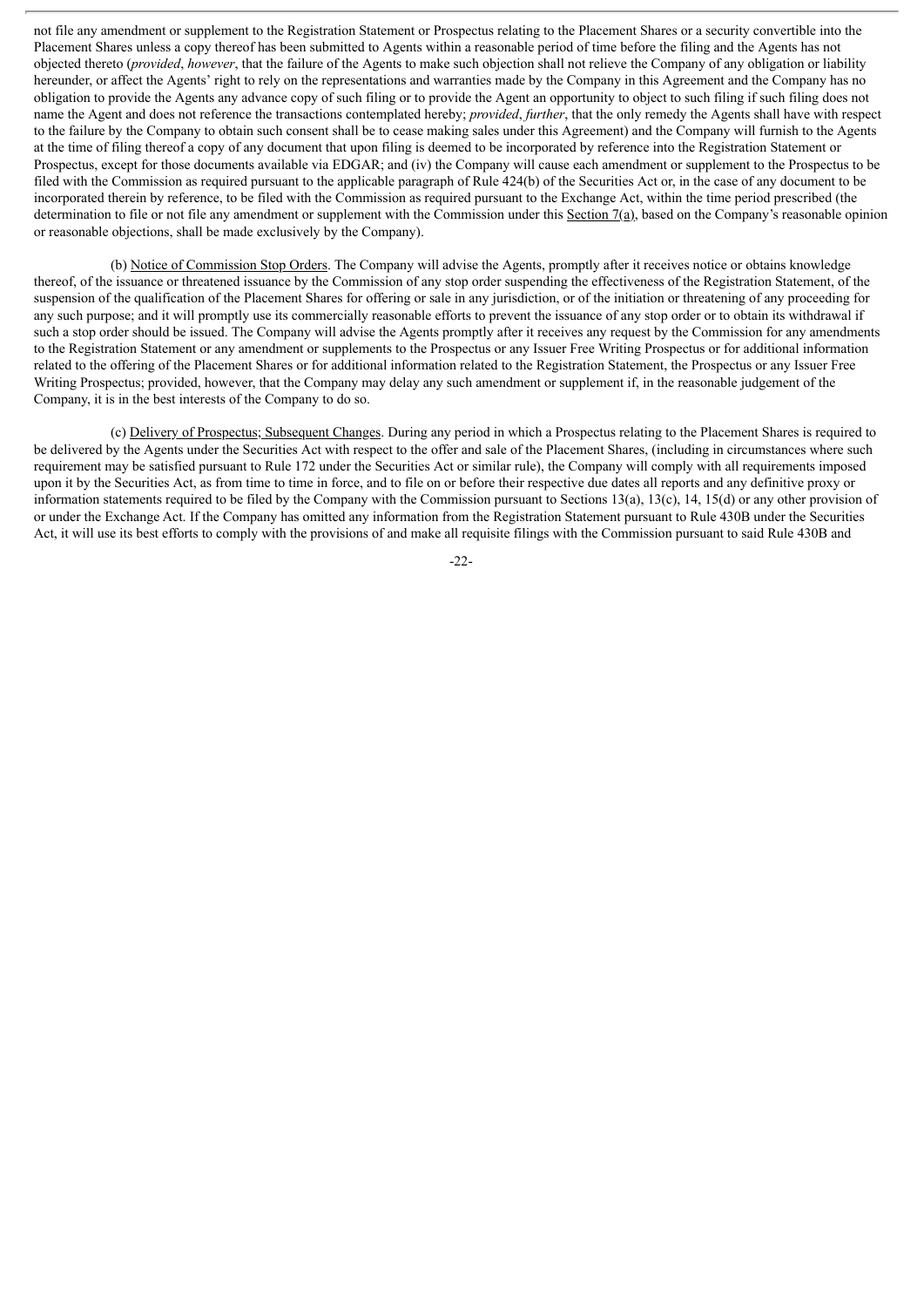not file any amendment or supplement to the Registration Statement or Prospectus relating to the Placement Shares or a security convertible into the Placement Shares unless a copy thereof has been submitted to Agents within a reasonable period of time before the filing and the Agents has not objected thereto (*provided*, *however*, that the failure of the Agents to make such objection shall not relieve the Company of any obligation or liability hereunder, or affect the Agents' right to rely on the representations and warranties made by the Company in this Agreement and the Company has no obligation to provide the Agents any advance copy of such filing or to provide the Agent an opportunity to object to such filing if such filing does not name the Agent and does not reference the transactions contemplated hereby; *provided*, *further*, that the only remedy the Agents shall have with respect to the failure by the Company to obtain such consent shall be to cease making sales under this Agreement) and the Company will furnish to the Agents at the time of filing thereof a copy of any document that upon filing is deemed to be incorporated by reference into the Registration Statement or Prospectus, except for those documents available via EDGAR; and (iv) the Company will cause each amendment or supplement to the Prospectus to be filed with the Commission as required pursuant to the applicable paragraph of Rule 424(b) of the Securities Act or, in the case of any document to be incorporated therein by reference, to be filed with the Commission as required pursuant to the Exchange Act, within the time period prescribed (the determination to file or not file any amendment or supplement with the Commission under this Section 7(a), based on the Company's reasonable opinion or reasonable objections, shall be made exclusively by the Company).

(b) Notice of Commission Stop Orders. The Company will advise the Agents, promptly after it receives notice or obtains knowledge thereof, of the issuance or threatened issuance by the Commission of any stop order suspending the effectiveness of the Registration Statement, of the suspension of the qualification of the Placement Shares for offering or sale in any jurisdiction, or of the initiation or threatening of any proceeding for any such purpose; and it will promptly use its commercially reasonable efforts to prevent the issuance of any stop order or to obtain its withdrawal if such a stop order should be issued. The Company will advise the Agents promptly after it receives any request by the Commission for any amendments to the Registration Statement or any amendment or supplements to the Prospectus or any Issuer Free Writing Prospectus or for additional information related to the offering of the Placement Shares or for additional information related to the Registration Statement, the Prospectus or any Issuer Free Writing Prospectus; provided, however, that the Company may delay any such amendment or supplement if, in the reasonable judgement of the Company, it is in the best interests of the Company to do so.

(c) Delivery of Prospectus; Subsequent Changes. During any period in which a Prospectus relating to the Placement Shares is required to be delivered by the Agents under the Securities Act with respect to the offer and sale of the Placement Shares, (including in circumstances where such requirement may be satisfied pursuant to Rule 172 under the Securities Act or similar rule), the Company will comply with all requirements imposed upon it by the Securities Act, as from time to time in force, and to file on or before their respective due dates all reports and any definitive proxy or information statements required to be filed by the Company with the Commission pursuant to Sections 13(a), 13(c), 14, 15(d) or any other provision of or under the Exchange Act. If the Company has omitted any information from the Registration Statement pursuant to Rule 430B under the Securities Act, it will use its best efforts to comply with the provisions of and make all requisite filings with the Commission pursuant to said Rule 430B and

-22-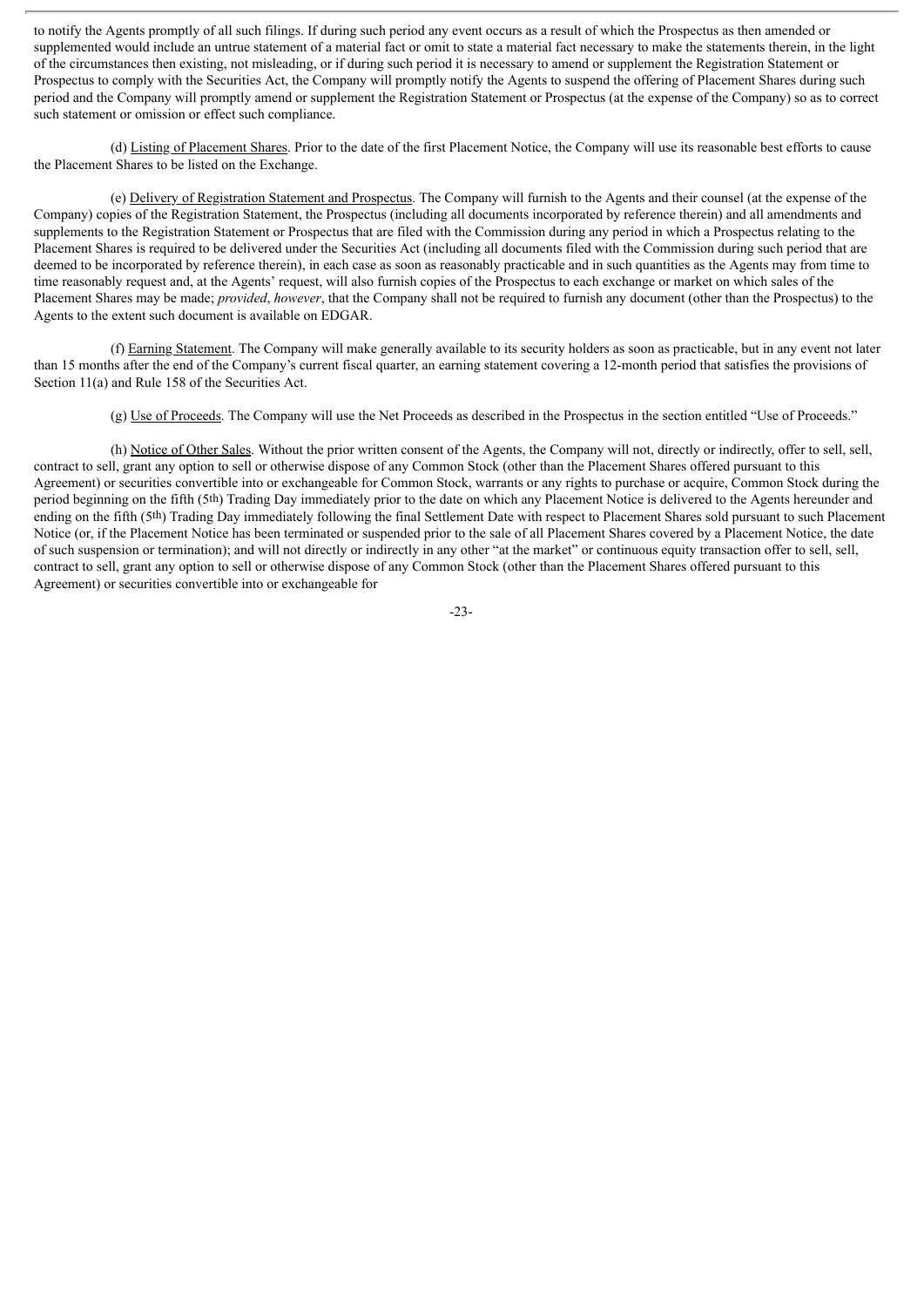to notify the Agents promptly of all such filings. If during such period any event occurs as a result of which the Prospectus as then amended or supplemented would include an untrue statement of a material fact or omit to state a material fact necessary to make the statements therein, in the light of the circumstances then existing, not misleading, or if during such period it is necessary to amend or supplement the Registration Statement or Prospectus to comply with the Securities Act, the Company will promptly notify the Agents to suspend the offering of Placement Shares during such period and the Company will promptly amend or supplement the Registration Statement or Prospectus (at the expense of the Company) so as to correct such statement or omission or effect such compliance.

(d) Listing of Placement Shares. Prior to the date of the first Placement Notice, the Company will use its reasonable best efforts to cause the Placement Shares to be listed on the Exchange.

(e) Delivery of Registration Statement and Prospectus. The Company will furnish to the Agents and their counsel (at the expense of the Company) copies of the Registration Statement, the Prospectus (including all documents incorporated by reference therein) and all amendments and supplements to the Registration Statement or Prospectus that are filed with the Commission during any period in which a Prospectus relating to the Placement Shares is required to be delivered under the Securities Act (including all documents filed with the Commission during such period that are deemed to be incorporated by reference therein), in each case as soon as reasonably practicable and in such quantities as the Agents may from time to time reasonably request and, at the Agents' request, will also furnish copies of the Prospectus to each exchange or market on which sales of the Placement Shares may be made; *provided*, *however*, that the Company shall not be required to furnish any document (other than the Prospectus) to the Agents to the extent such document is available on EDGAR.

(f) Earning Statement. The Company will make generally available to its security holders as soon as practicable, but in any event not later than 15 months after the end of the Company's current fiscal quarter, an earning statement covering a 12-month period that satisfies the provisions of Section 11(a) and Rule 158 of the Securities Act.

(g) Use of Proceeds. The Company will use the Net Proceeds as described in the Prospectus in the section entitled "Use of Proceeds."

(h) Notice of Other Sales. Without the prior written consent of the Agents, the Company will not, directly or indirectly, offer to sell, sell, contract to sell, grant any option to sell or otherwise dispose of any Common Stock (other than the Placement Shares offered pursuant to this Agreement) or securities convertible into or exchangeable for Common Stock, warrants or any rights to purchase or acquire, Common Stock during the period beginning on the fifth (5th) Trading Day immediately prior to the date on which any Placement Notice is delivered to the Agents hereunder and ending on the fifth (5<sup>th</sup>) Trading Day immediately following the final Settlement Date with respect to Placement Shares sold pursuant to such Placement Notice (or, if the Placement Notice has been terminated or suspended prior to the sale of all Placement Shares covered by a Placement Notice, the date of such suspension or termination); and will not directly or indirectly in any other "at the market" or continuous equity transaction offer to sell, sell, contract to sell, grant any option to sell or otherwise dispose of any Common Stock (other than the Placement Shares offered pursuant to this Agreement) or securities convertible into or exchangeable for

-23-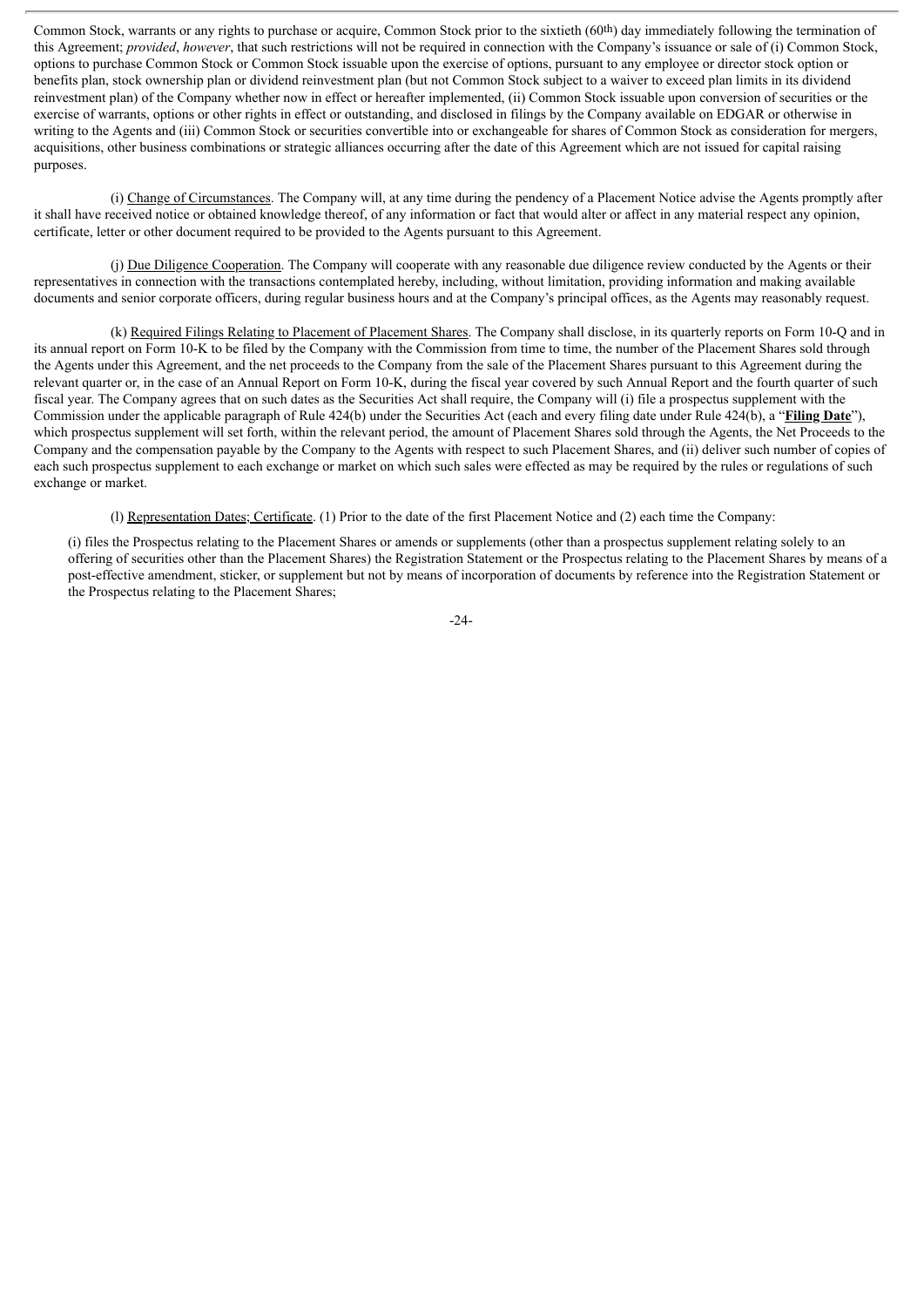Common Stock, warrants or any rights to purchase or acquire, Common Stock prior to the sixtieth (60th) day immediately following the termination of this Agreement; *provided*, *however*, that such restrictions will not be required in connection with the Company's issuance or sale of (i) Common Stock, options to purchase Common Stock or Common Stock issuable upon the exercise of options, pursuant to any employee or director stock option or benefits plan, stock ownership plan or dividend reinvestment plan (but not Common Stock subject to a waiver to exceed plan limits in its dividend reinvestment plan) of the Company whether now in effect or hereafter implemented, (ii) Common Stock issuable upon conversion of securities or the exercise of warrants, options or other rights in effect or outstanding, and disclosed in filings by the Company available on EDGAR or otherwise in writing to the Agents and (iii) Common Stock or securities convertible into or exchangeable for shares of Common Stock as consideration for mergers. acquisitions, other business combinations or strategic alliances occurring after the date of this Agreement which are not issued for capital raising purposes.

(i) Change of Circumstances. The Company will, at any time during the pendency of a Placement Notice advise the Agents promptly after it shall have received notice or obtained knowledge thereof, of any information or fact that would alter or affect in any material respect any opinion, certificate, letter or other document required to be provided to the Agents pursuant to this Agreement.

(j) Due Diligence Cooperation. The Company will cooperate with any reasonable due diligence review conducted by the Agents or their representatives in connection with the transactions contemplated hereby, including, without limitation, providing information and making available documents and senior corporate officers, during regular business hours and at the Company's principal offices, as the Agents may reasonably request.

(k) Required Filings Relating to Placement of Placement Shares. The Company shall disclose, in its quarterly reports on Form 10-Q and in its annual report on Form 10-K to be filed by the Company with the Commission from time to time, the number of the Placement Shares sold through the Agents under this Agreement, and the net proceeds to the Company from the sale of the Placement Shares pursuant to this Agreement during the relevant quarter or, in the case of an Annual Report on Form 10-K, during the fiscal year covered by such Annual Report and the fourth quarter of such fiscal year. The Company agrees that on such dates as the Securities Act shall require, the Company will (i) file a prospectus supplement with the Commission under the applicable paragraph of Rule 424(b) under the Securities Act (each and every filing date under Rule 424(b), a "**Filing Date**"), which prospectus supplement will set forth, within the relevant period, the amount of Placement Shares sold through the Agents, the Net Proceeds to the Company and the compensation payable by the Company to the Agents with respect to such Placement Shares, and (ii) deliver such number of copies of each such prospectus supplement to each exchange or market on which such sales were effected as may be required by the rules or regulations of such exchange or market.

(l) Representation Dates; Certificate. (1) Prior to the date of the first Placement Notice and (2) each time the Company:

(i) files the Prospectus relating to the Placement Shares or amends or supplements (other than a prospectus supplement relating solely to an offering of securities other than the Placement Shares) the Registration Statement or the Prospectus relating to the Placement Shares by means of a post-effective amendment, sticker, or supplement but not by means of incorporation of documents by reference into the Registration Statement or the Prospectus relating to the Placement Shares;

-24-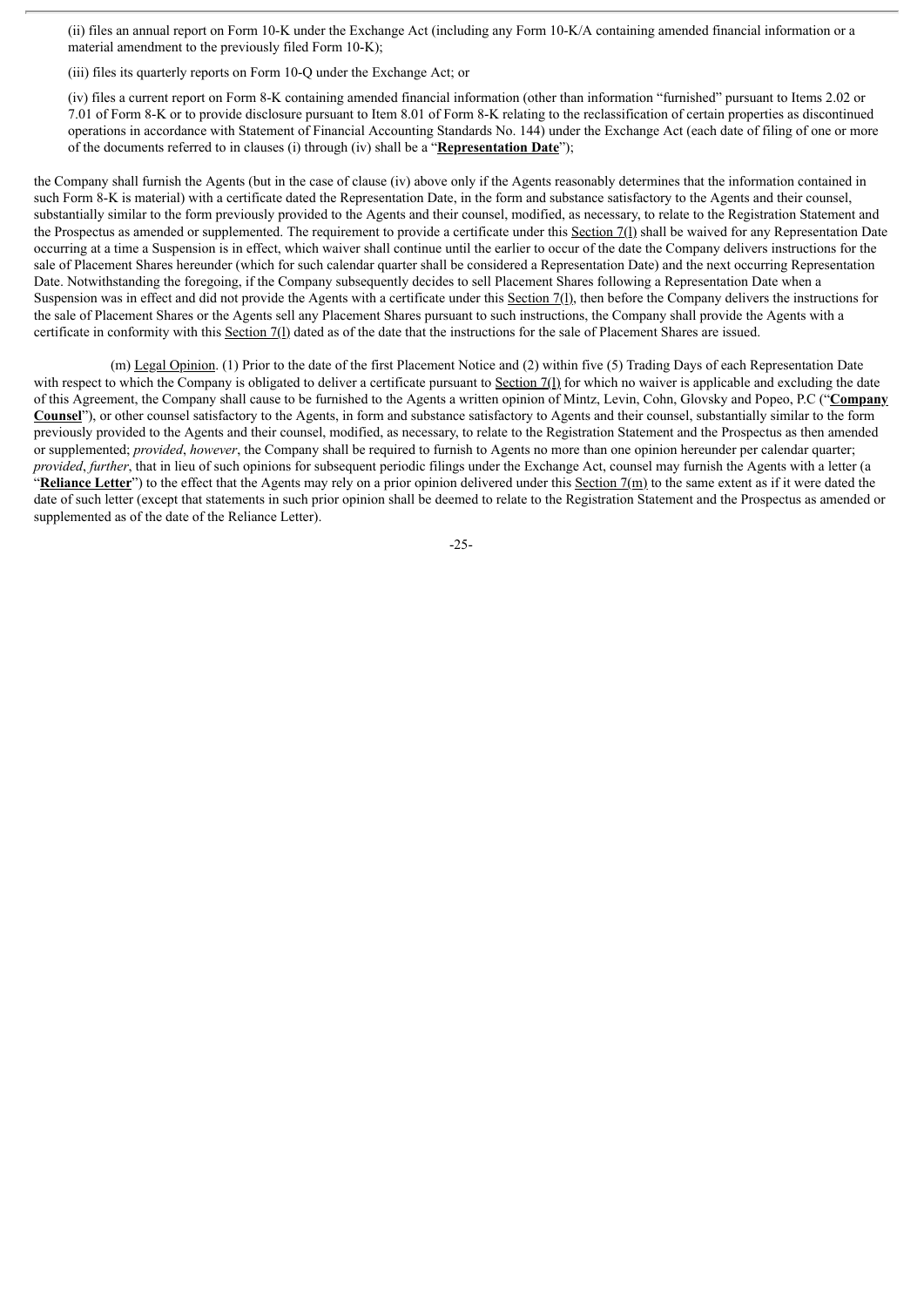(ii) files an annual report on Form 10-K under the Exchange Act (including any Form 10-K/A containing amended financial information or a material amendment to the previously filed Form 10-K);

(iii) files its quarterly reports on Form 10-Q under the Exchange Act; or

(iv) files a current report on Form 8-K containing amended financial information (other than information "furnished" pursuant to Items 2.02 or 7.01 of Form 8-K or to provide disclosure pursuant to Item 8.01 of Form 8-K relating to the reclassification of certain properties as discontinued operations in accordance with Statement of Financial Accounting Standards No. 144) under the Exchange Act (each date of filing of one or more of the documents referred to in clauses (i) through (iv) shall be a "**Representation Date**");

the Company shall furnish the Agents (but in the case of clause (iv) above only if the Agents reasonably determines that the information contained in such Form 8-K is material) with a certificate dated the Representation Date, in the form and substance satisfactory to the Agents and their counsel, substantially similar to the form previously provided to the Agents and their counsel, modified, as necessary, to relate to the Registration Statement and the Prospectus as amended or supplemented. The requirement to provide a certificate under this Section 7(l) shall be waived for any Representation Date occurring at a time a Suspension is in effect, which waiver shall continue until the earlier to occur of the date the Company delivers instructions for the sale of Placement Shares hereunder (which for such calendar quarter shall be considered a Representation Date) and the next occurring Representation Date. Notwithstanding the foregoing, if the Company subsequently decides to sell Placement Shares following a Representation Date when a Suspension was in effect and did not provide the Agents with a certificate under this Section 7(1), then before the Company delivers the instructions for the sale of Placement Shares or the Agents sell any Placement Shares pursuant to such instructions, the Company shall provide the Agents with a certificate in conformity with this Section 7(l) dated as of the date that the instructions for the sale of Placement Shares are issued.

(m) Legal Opinion. (1) Prior to the date of the first Placement Notice and (2) within five (5) Trading Days of each Representation Date with respect to which the Company is obligated to deliver a certificate pursuant to  $Section 7(1)$  for which no waiver is applicable and excluding the date of this Agreement, the Company shall cause to be furnished to the Agents a written opinion of Mintz, Levin, Cohn, Glovsky and Popeo, P.C ("**Company Counsel**"), or other counsel satisfactory to the Agents, in form and substance satisfactory to Agents and their counsel, substantially similar to the form previously provided to the Agents and their counsel, modified, as necessary, to relate to the Registration Statement and the Prospectus as then amended or supplemented; *provided*, *however*, the Company shall be required to furnish to Agents no more than one opinion hereunder per calendar quarter; *provided*, *further*, that in lieu of such opinions for subsequent periodic filings under the Exchange Act, counsel may furnish the Agents with a letter (a "Reliance Letter") to the effect that the Agents may rely on a prior opinion delivered under this Section  $7(m)$  to the same extent as if it were dated the date of such letter (except that statements in such prior opinion shall be deemed to relate to the Registration Statement and the Prospectus as amended or supplemented as of the date of the Reliance Letter).

-25-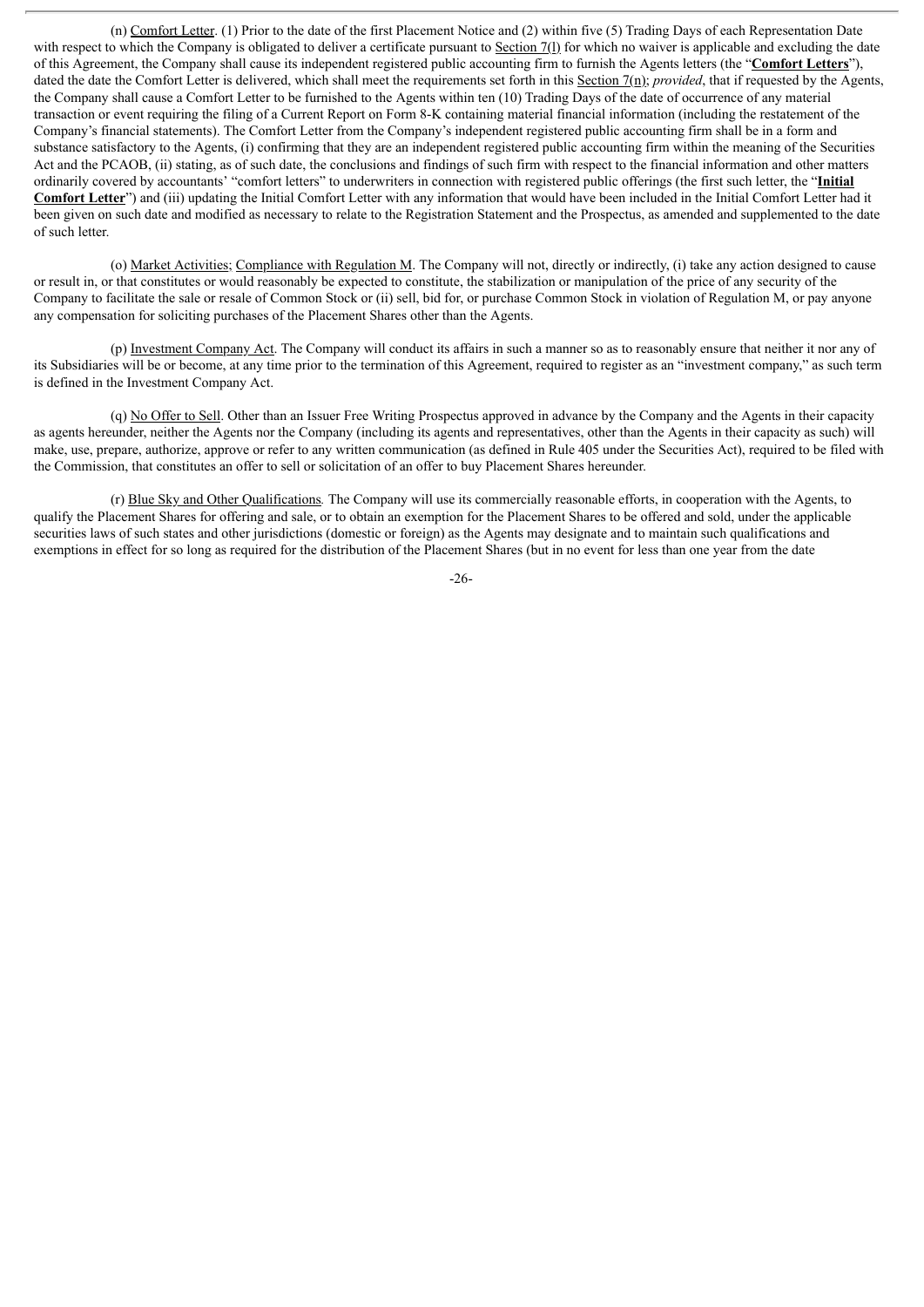(n) Comfort Letter. (1) Prior to the date of the first Placement Notice and (2) within five (5) Trading Days of each Representation Date with respect to which the Company is obligated to deliver a certificate pursuant to Section 7(1) for which no waiver is applicable and excluding the date of this Agreement, the Company shall cause its independent registered public accounting firm to furnish the Agents letters (the "**Comfort Letters**"), dated the date the Comfort Letter is delivered, which shall meet the requirements set forth in this Section 7(n); *provided*, that if requested by the Agents, the Company shall cause a Comfort Letter to be furnished to the Agents within ten (10) Trading Days of the date of occurrence of any material transaction or event requiring the filing of a Current Report on Form 8-K containing material financial information (including the restatement of the Company's financial statements). The Comfort Letter from the Company's independent registered public accounting firm shall be in a form and substance satisfactory to the Agents, (i) confirming that they are an independent registered public accounting firm within the meaning of the Securities Act and the PCAOB, (ii) stating, as of such date, the conclusions and findings of such firm with respect to the financial information and other matters ordinarily covered by accountants' "comfort letters" to underwriters in connection with registered public offerings (the first such letter, the "**Initial Comfort Letter**") and (iii) updating the Initial Comfort Letter with any information that would have been included in the Initial Comfort Letter had it been given on such date and modified as necessary to relate to the Registration Statement and the Prospectus, as amended and supplemented to the date of such letter.

(o) Market Activities; Compliance with Regulation M. The Company will not, directly or indirectly, (i) take any action designed to cause or result in, or that constitutes or would reasonably be expected to constitute, the stabilization or manipulation of the price of any security of the Company to facilitate the sale or resale of Common Stock or (ii) sell, bid for, or purchase Common Stock in violation of Regulation M, or pay anyone any compensation for soliciting purchases of the Placement Shares other than the Agents.

(p) Investment Company Act. The Company will conduct its affairs in such a manner so as to reasonably ensure that neither it nor any of its Subsidiaries will be or become, at any time prior to the termination of this Agreement, required to register as an "investment company," as such term is defined in the Investment Company Act.

(q) No Offer to Sell. Other than an Issuer Free Writing Prospectus approved in advance by the Company and the Agents in their capacity as agents hereunder, neither the Agents nor the Company (including its agents and representatives, other than the Agents in their capacity as such) will make, use, prepare, authorize, approve or refer to any written communication (as defined in Rule 405 under the Securities Act), required to be filed with the Commission, that constitutes an offer to sell or solicitation of an offer to buy Placement Shares hereunder.

(r) Blue Sky and Other Qualifications*.* The Company will use its commercially reasonable efforts, in cooperation with the Agents, to qualify the Placement Shares for offering and sale, or to obtain an exemption for the Placement Shares to be offered and sold, under the applicable securities laws of such states and other jurisdictions (domestic or foreign) as the Agents may designate and to maintain such qualifications and exemptions in effect for so long as required for the distribution of the Placement Shares (but in no event for less than one year from the date

-26-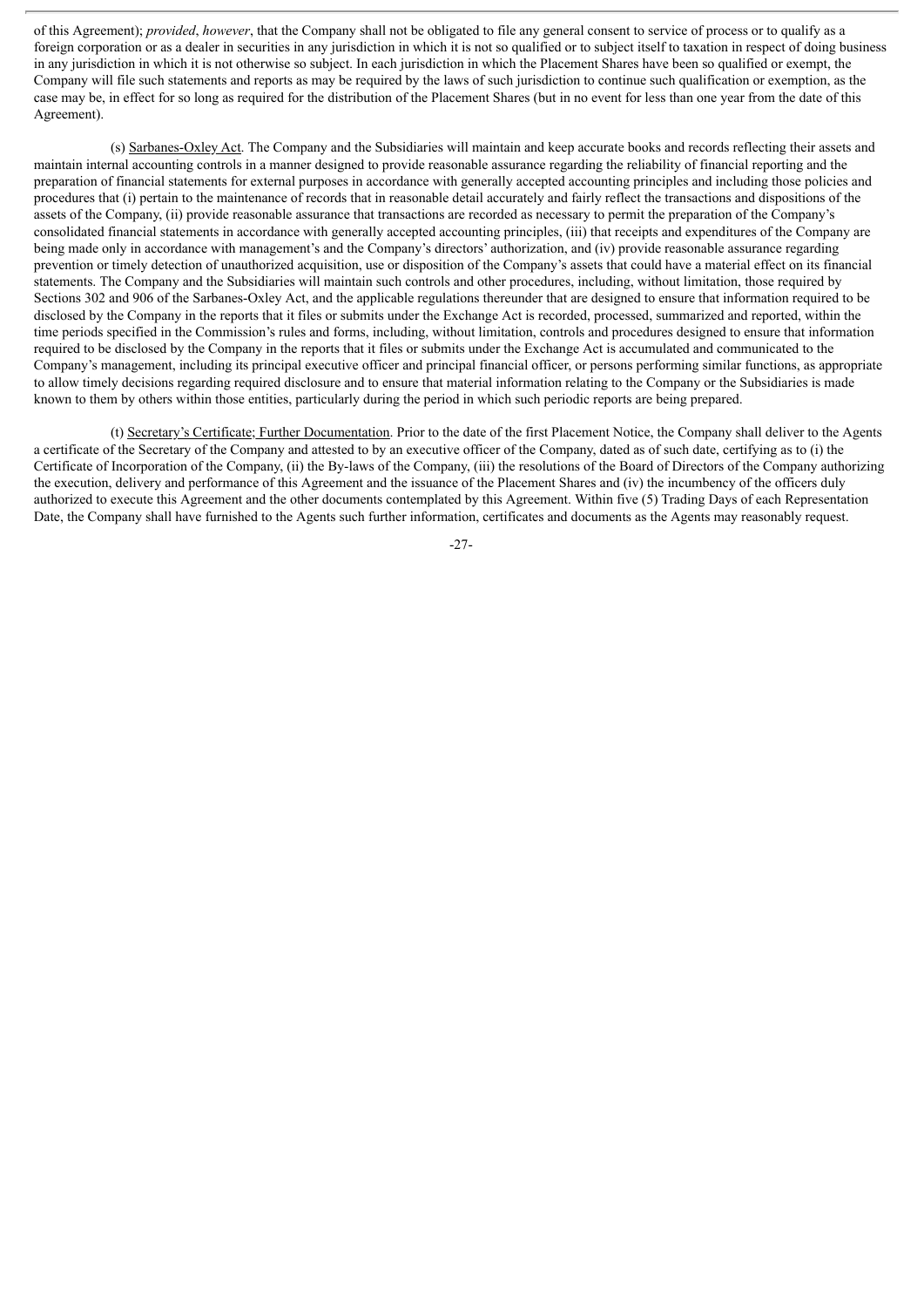of this Agreement); *provided*, *however*, that the Company shall not be obligated to file any general consent to service of process or to qualify as a foreign corporation or as a dealer in securities in any jurisdiction in which it is not so qualified or to subject itself to taxation in respect of doing business in any jurisdiction in which it is not otherwise so subject. In each jurisdiction in which the Placement Shares have been so qualified or exempt, the Company will file such statements and reports as may be required by the laws of such jurisdiction to continue such qualification or exemption, as the case may be, in effect for so long as required for the distribution of the Placement Shares (but in no event for less than one year from the date of this Agreement).

(s) Sarbanes-Oxley Act. The Company and the Subsidiaries will maintain and keep accurate books and records reflecting their assets and maintain internal accounting controls in a manner designed to provide reasonable assurance regarding the reliability of financial reporting and the preparation of financial statements for external purposes in accordance with generally accepted accounting principles and including those policies and procedures that (i) pertain to the maintenance of records that in reasonable detail accurately and fairly reflect the transactions and dispositions of the assets of the Company, (ii) provide reasonable assurance that transactions are recorded as necessary to permit the preparation of the Company's consolidated financial statements in accordance with generally accepted accounting principles, (iii) that receipts and expenditures of the Company are being made only in accordance with management's and the Company's directors' authorization, and (iv) provide reasonable assurance regarding prevention or timely detection of unauthorized acquisition, use or disposition of the Company's assets that could have a material effect on its financial statements. The Company and the Subsidiaries will maintain such controls and other procedures, including, without limitation, those required by Sections 302 and 906 of the Sarbanes-Oxley Act, and the applicable regulations thereunder that are designed to ensure that information required to be disclosed by the Company in the reports that it files or submits under the Exchange Act is recorded, processed, summarized and reported, within the time periods specified in the Commission's rules and forms, including, without limitation, controls and procedures designed to ensure that information required to be disclosed by the Company in the reports that it files or submits under the Exchange Act is accumulated and communicated to the Company's management, including its principal executive officer and principal financial officer, or persons performing similar functions, as appropriate to allow timely decisions regarding required disclosure and to ensure that material information relating to the Company or the Subsidiaries is made known to them by others within those entities, particularly during the period in which such periodic reports are being prepared.

(t) Secretary's Certificate; Further Documentation. Prior to the date of the first Placement Notice, the Company shall deliver to the Agents a certificate of the Secretary of the Company and attested to by an executive officer of the Company, dated as of such date, certifying as to (i) the Certificate of Incorporation of the Company, (ii) the By-laws of the Company, (iii) the resolutions of the Board of Directors of the Company authorizing the execution, delivery and performance of this Agreement and the issuance of the Placement Shares and (iv) the incumbency of the officers duly authorized to execute this Agreement and the other documents contemplated by this Agreement. Within five (5) Trading Days of each Representation Date, the Company shall have furnished to the Agents such further information, certificates and documents as the Agents may reasonably request.

-27-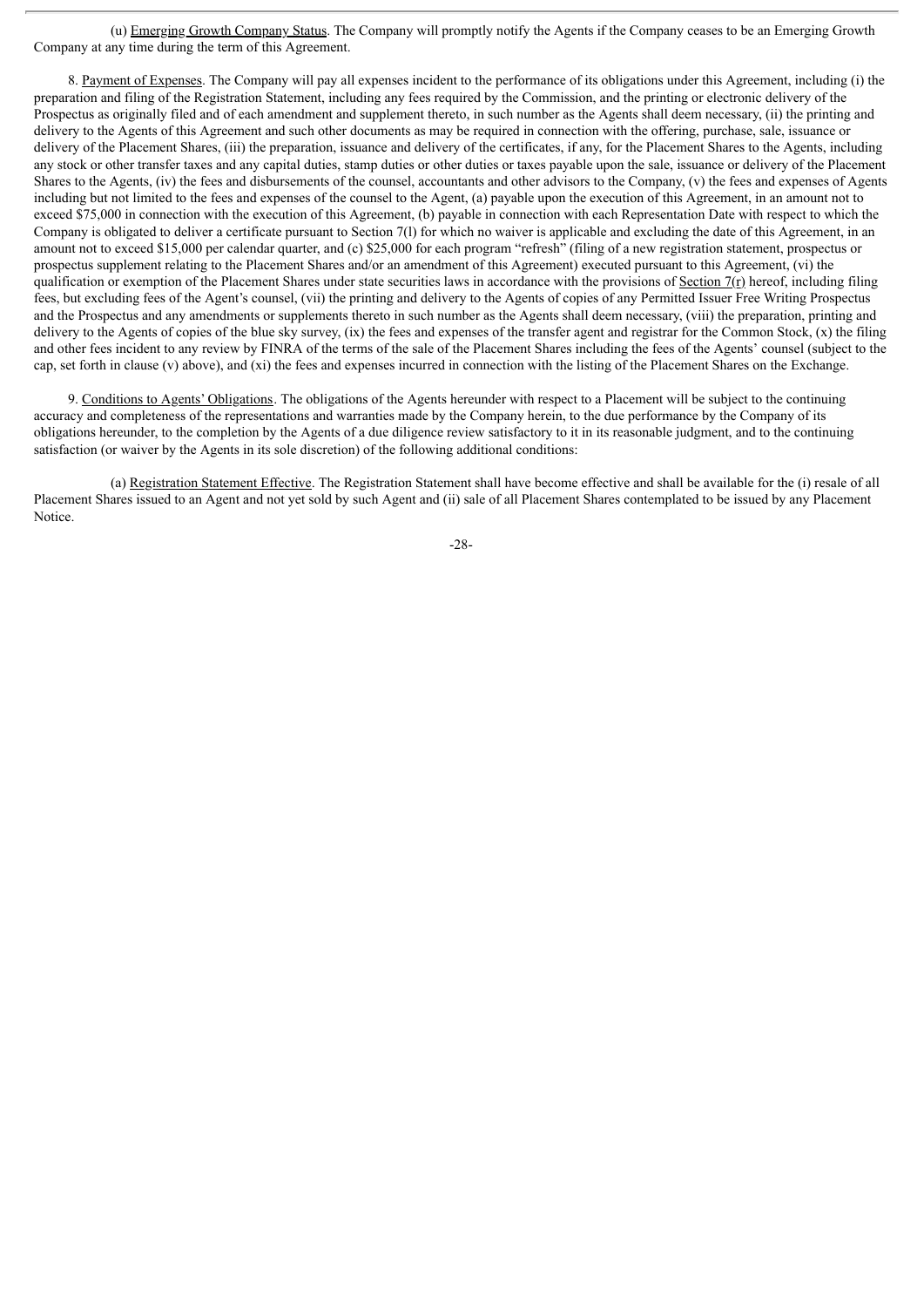(u) Emerging Growth Company Status. The Company will promptly notify the Agents if the Company ceases to be an Emerging Growth Company at any time during the term of this Agreement.

8. Payment of Expenses. The Company will pay all expenses incident to the performance of its obligations under this Agreement, including (i) the preparation and filing of the Registration Statement, including any fees required by the Commission, and the printing or electronic delivery of the Prospectus as originally filed and of each amendment and supplement thereto, in such number as the Agents shall deem necessary, (ii) the printing and delivery to the Agents of this Agreement and such other documents as may be required in connection with the offering, purchase, sale, issuance or delivery of the Placement Shares, (iii) the preparation, issuance and delivery of the certificates, if any, for the Placement Shares to the Agents, including any stock or other transfer taxes and any capital duties, stamp duties or other duties or taxes payable upon the sale, issuance or delivery of the Placement Shares to the Agents, (iv) the fees and disbursements of the counsel, accountants and other advisors to the Company, (v) the fees and expenses of Agents including but not limited to the fees and expenses of the counsel to the Agent, (a) payable upon the execution of this Agreement, in an amount not to exceed \$75,000 in connection with the execution of this Agreement, (b) payable in connection with each Representation Date with respect to which the Company is obligated to deliver a certificate pursuant to Section 7(l) for which no waiver is applicable and excluding the date of this Agreement, in an amount not to exceed \$15,000 per calendar quarter, and (c) \$25,000 for each program "refresh" (filing of a new registration statement, prospectus or prospectus supplement relating to the Placement Shares and/or an amendment of this Agreement) executed pursuant to this Agreement, (vi) the qualification or exemption of the Placement Shares under state securities laws in accordance with the provisions of Section  $7(r)$  hereof, including filing fees, but excluding fees of the Agent's counsel, (vii) the printing and delivery to the Agents of copies of any Permitted Issuer Free Writing Prospectus and the Prospectus and any amendments or supplements thereto in such number as the Agents shall deem necessary, (viii) the preparation, printing and delivery to the Agents of copies of the blue sky survey, (ix) the fees and expenses of the transfer agent and registrar for the Common Stock, (x) the filing and other fees incident to any review by FINRA of the terms of the sale of the Placement Shares including the fees of the Agents' counsel (subject to the cap, set forth in clause (v) above), and (xi) the fees and expenses incurred in connection with the listing of the Placement Shares on the Exchange.

9. Conditions to Agents' Obligations. The obligations of the Agents hereunder with respect to a Placement will be subject to the continuing accuracy and completeness of the representations and warranties made by the Company herein, to the due performance by the Company of its obligations hereunder, to the completion by the Agents of a due diligence review satisfactory to it in its reasonable judgment, and to the continuing satisfaction (or waiver by the Agents in its sole discretion) of the following additional conditions:

(a) Registration Statement Effective. The Registration Statement shall have become effective and shall be available for the (i) resale of all Placement Shares issued to an Agent and not yet sold by such Agent and (ii) sale of all Placement Shares contemplated to be issued by any Placement Notice.

-28-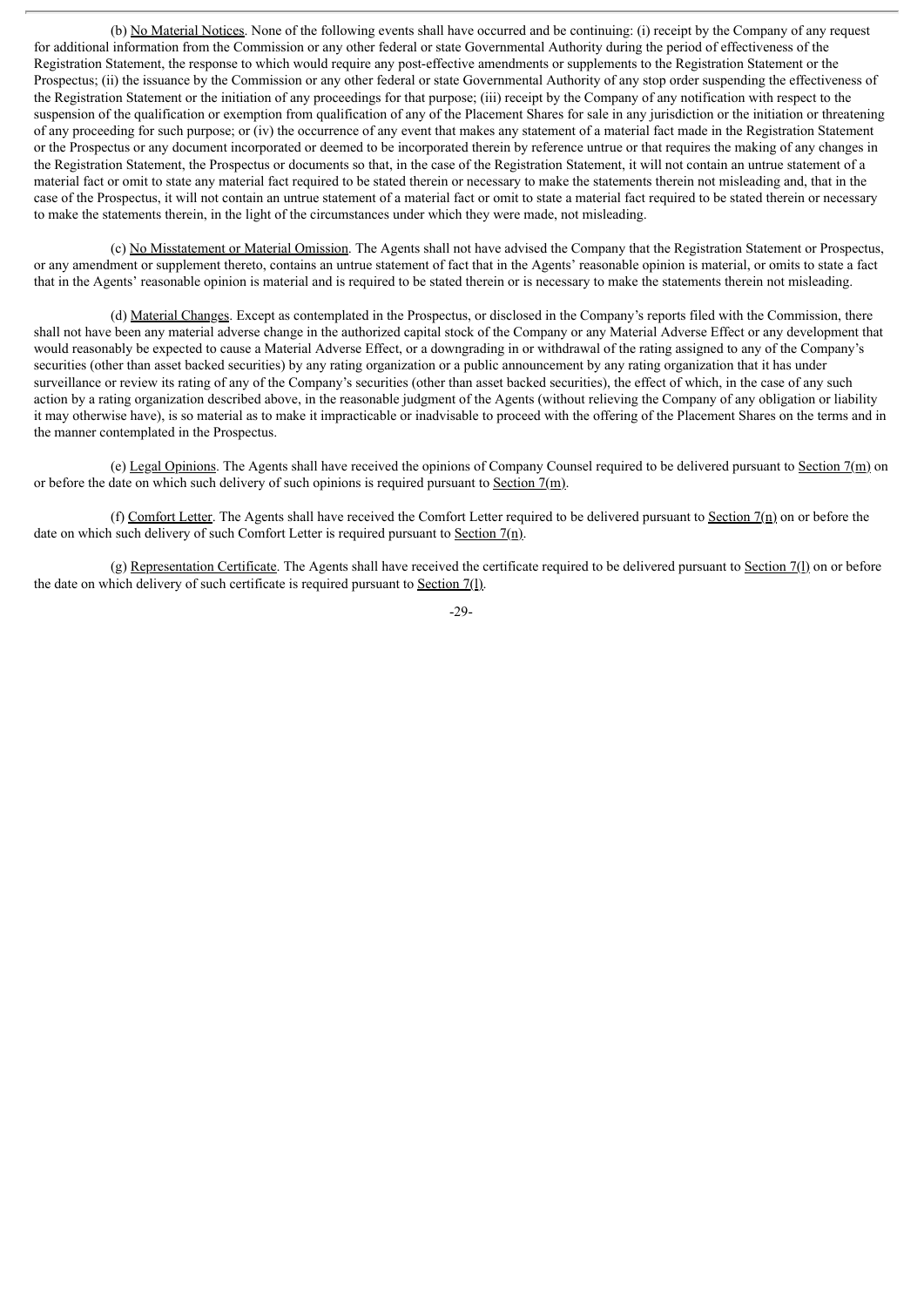(b) No Material Notices. None of the following events shall have occurred and be continuing: (i) receipt by the Company of any request for additional information from the Commission or any other federal or state Governmental Authority during the period of effectiveness of the Registration Statement, the response to which would require any post-effective amendments or supplements to the Registration Statement or the Prospectus; (ii) the issuance by the Commission or any other federal or state Governmental Authority of any stop order suspending the effectiveness of the Registration Statement or the initiation of any proceedings for that purpose; (iii) receipt by the Company of any notification with respect to the suspension of the qualification or exemption from qualification of any of the Placement Shares for sale in any jurisdiction or the initiation or threatening of any proceeding for such purpose; or (iv) the occurrence of any event that makes any statement of a material fact made in the Registration Statement or the Prospectus or any document incorporated or deemed to be incorporated therein by reference untrue or that requires the making of any changes in the Registration Statement, the Prospectus or documents so that, in the case of the Registration Statement, it will not contain an untrue statement of a material fact or omit to state any material fact required to be stated therein or necessary to make the statements therein not misleading and, that in the case of the Prospectus, it will not contain an untrue statement of a material fact or omit to state a material fact required to be stated therein or necessary to make the statements therein, in the light of the circumstances under which they were made, not misleading.

(c) No Misstatement or Material Omission. The Agents shall not have advised the Company that the Registration Statement or Prospectus, or any amendment or supplement thereto, contains an untrue statement of fact that in the Agents' reasonable opinion is material, or omits to state a fact that in the Agents' reasonable opinion is material and is required to be stated therein or is necessary to make the statements therein not misleading.

(d) Material Changes. Except as contemplated in the Prospectus, or disclosed in the Company's reports filed with the Commission, there shall not have been any material adverse change in the authorized capital stock of the Company or any Material Adverse Effect or any development that would reasonably be expected to cause a Material Adverse Effect, or a downgrading in or withdrawal of the rating assigned to any of the Company's securities (other than asset backed securities) by any rating organization or a public announcement by any rating organization that it has under surveillance or review its rating of any of the Company's securities (other than asset backed securities), the effect of which, in the case of any such action by a rating organization described above, in the reasonable judgment of the Agents (without relieving the Company of any obligation or liability it may otherwise have), is so material as to make it impracticable or inadvisable to proceed with the offering of the Placement Shares on the terms and in the manner contemplated in the Prospectus.

(e) Legal Opinions. The Agents shall have received the opinions of Company Counsel required to be delivered pursuant to Section 7(m) on or before the date on which such delivery of such opinions is required pursuant to Section  $7(m)$ .

(f) Comfort Letter. The Agents shall have received the Comfort Letter required to be delivered pursuant to Section  $7(n)$  on or before the date on which such delivery of such Comfort Letter is required pursuant to Section  $7(n)$ .

(g) Representation Certificate. The Agents shall have received the certificate required to be delivered pursuant to Section 7(l) on or before the date on which delivery of such certificate is required pursuant to Section 7(l).

-29-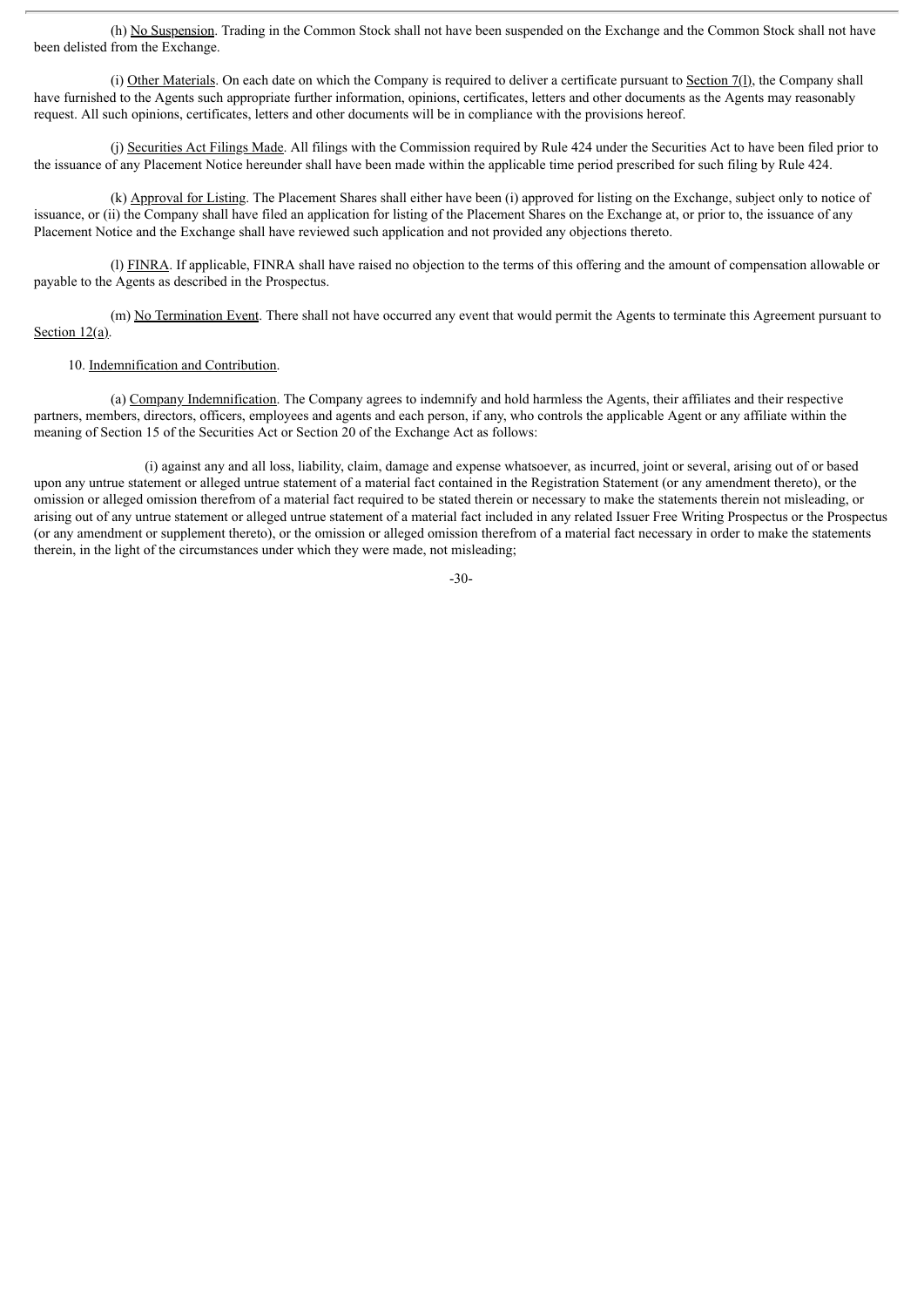(h) No Suspension. Trading in the Common Stock shall not have been suspended on the Exchange and the Common Stock shall not have been delisted from the Exchange.

(i) Other Materials. On each date on which the Company is required to deliver a certificate pursuant to Section 7(l), the Company shall have furnished to the Agents such appropriate further information, opinions, certificates, letters and other documents as the Agents may reasonably request. All such opinions, certificates, letters and other documents will be in compliance with the provisions hereof.

(j) Securities Act Filings Made. All filings with the Commission required by Rule 424 under the Securities Act to have been filed prior to the issuance of any Placement Notice hereunder shall have been made within the applicable time period prescribed for such filing by Rule 424.

(k) Approval for Listing. The Placement Shares shall either have been (i) approved for listing on the Exchange, subject only to notice of issuance, or (ii) the Company shall have filed an application for listing of the Placement Shares on the Exchange at, or prior to, the issuance of any Placement Notice and the Exchange shall have reviewed such application and not provided any objections thereto.

(l) FINRA. If applicable, FINRA shall have raised no objection to the terms of this offering and the amount of compensation allowable or payable to the Agents as described in the Prospectus.

(m) No Termination Event. There shall not have occurred any event that would permit the Agents to terminate this Agreement pursuant to Section 12(a).

#### 10. Indemnification and Contribution.

(a) Company Indemnification. The Company agrees to indemnify and hold harmless the Agents, their affiliates and their respective partners, members, directors, officers, employees and agents and each person, if any, who controls the applicable Agent or any affiliate within the meaning of Section 15 of the Securities Act or Section 20 of the Exchange Act as follows:

(i) against any and all loss, liability, claim, damage and expense whatsoever, as incurred, joint or several, arising out of or based upon any untrue statement or alleged untrue statement of a material fact contained in the Registration Statement (or any amendment thereto), or the omission or alleged omission therefrom of a material fact required to be stated therein or necessary to make the statements therein not misleading, or arising out of any untrue statement or alleged untrue statement of a material fact included in any related Issuer Free Writing Prospectus or the Prospectus (or any amendment or supplement thereto), or the omission or alleged omission therefrom of a material fact necessary in order to make the statements therein, in the light of the circumstances under which they were made, not misleading;

$$
-30-
$$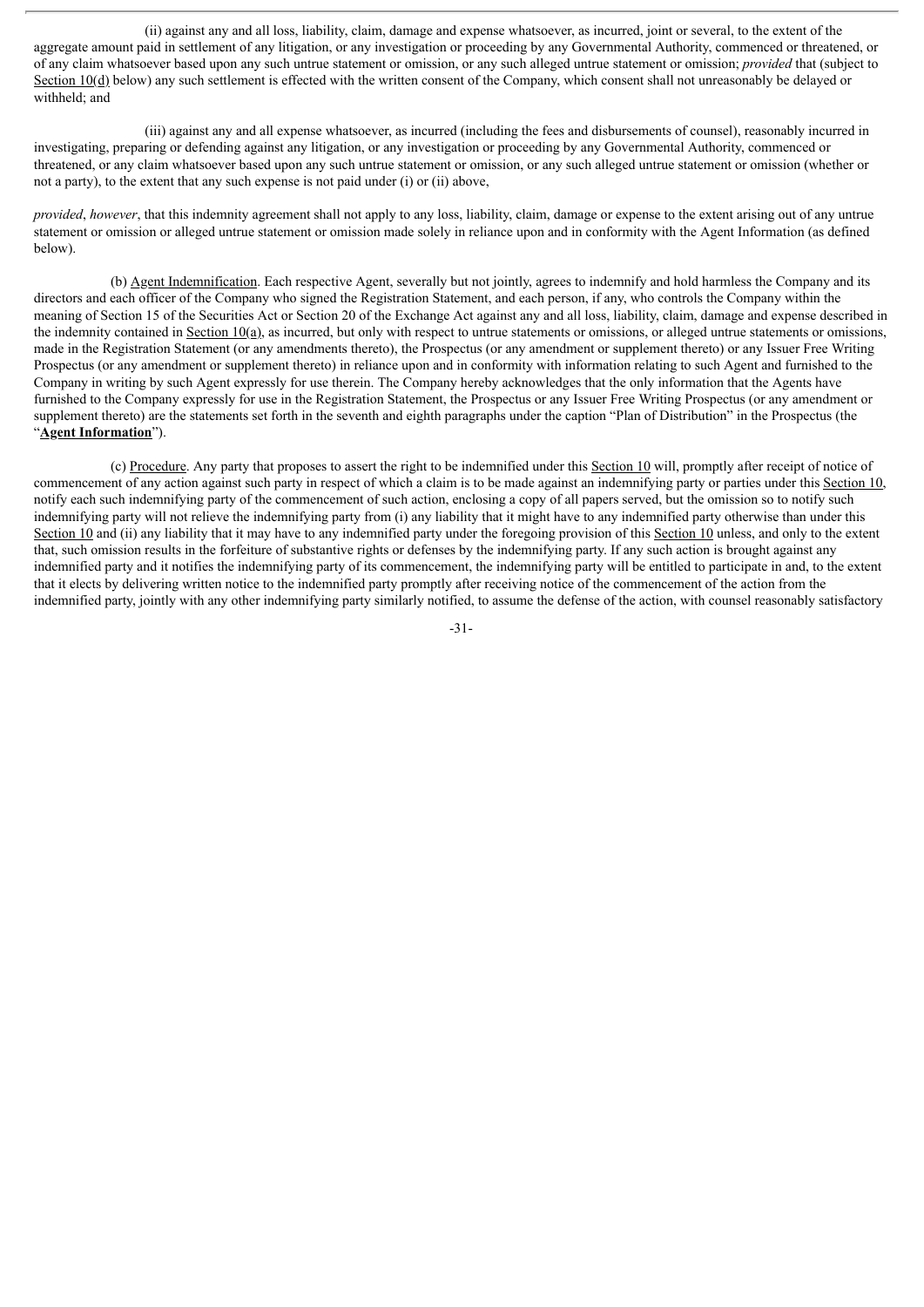(ii) against any and all loss, liability, claim, damage and expense whatsoever, as incurred, joint or several, to the extent of the aggregate amount paid in settlement of any litigation, or any investigation or proceeding by any Governmental Authority, commenced or threatened, or of any claim whatsoever based upon any such untrue statement or omission, or any such alleged untrue statement or omission; *provided* that (subject to Section 10(d) below) any such settlement is effected with the written consent of the Company, which consent shall not unreasonably be delayed or withheld; and

(iii) against any and all expense whatsoever, as incurred (including the fees and disbursements of counsel), reasonably incurred in investigating, preparing or defending against any litigation, or any investigation or proceeding by any Governmental Authority, commenced or threatened, or any claim whatsoever based upon any such untrue statement or omission, or any such alleged untrue statement or omission (whether or not a party), to the extent that any such expense is not paid under (i) or (ii) above,

*provided*, *however*, that this indemnity agreement shall not apply to any loss, liability, claim, damage or expense to the extent arising out of any untrue statement or omission or alleged untrue statement or omission made solely in reliance upon and in conformity with the Agent Information (as defined below).

(b) Agent Indemnification. Each respective Agent, severally but not jointly, agrees to indemnify and hold harmless the Company and its directors and each officer of the Company who signed the Registration Statement, and each person, if any, who controls the Company within the meaning of Section 15 of the Securities Act or Section 20 of the Exchange Act against any and all loss, liability, claim, damage and expense described in the indemnity contained in Section  $10(a)$ , as incurred, but only with respect to untrue statements or omissions, or alleged untrue statements or omissions, made in the Registration Statement (or any amendments thereto), the Prospectus (or any amendment or supplement thereto) or any Issuer Free Writing Prospectus (or any amendment or supplement thereto) in reliance upon and in conformity with information relating to such Agent and furnished to the Company in writing by such Agent expressly for use therein. The Company hereby acknowledges that the only information that the Agents have furnished to the Company expressly for use in the Registration Statement, the Prospectus or any Issuer Free Writing Prospectus (or any amendment or supplement thereto) are the statements set forth in the seventh and eighth paragraphs under the caption "Plan of Distribution" in the Prospectus (the "**Agent Information**").

(c) Procedure. Any party that proposes to assert the right to be indemnified under this Section 10 will, promptly after receipt of notice of commencement of any action against such party in respect of which a claim is to be made against an indemnifying party or parties under this Section 10, notify each such indemnifying party of the commencement of such action, enclosing a copy of all papers served, but the omission so to notify such indemnifying party will not relieve the indemnifying party from (i) any liability that it might have to any indemnified party otherwise than under this Section 10 and (ii) any liability that it may have to any indemnified party under the foregoing provision of this Section 10 unless, and only to the extent that, such omission results in the forfeiture of substantive rights or defenses by the indemnifying party. If any such action is brought against any indemnified party and it notifies the indemnifying party of its commencement, the indemnifying party will be entitled to participate in and, to the extent that it elects by delivering written notice to the indemnified party promptly after receiving notice of the commencement of the action from the indemnified party, jointly with any other indemnifying party similarly notified, to assume the defense of the action, with counsel reasonably satisfactory

-31-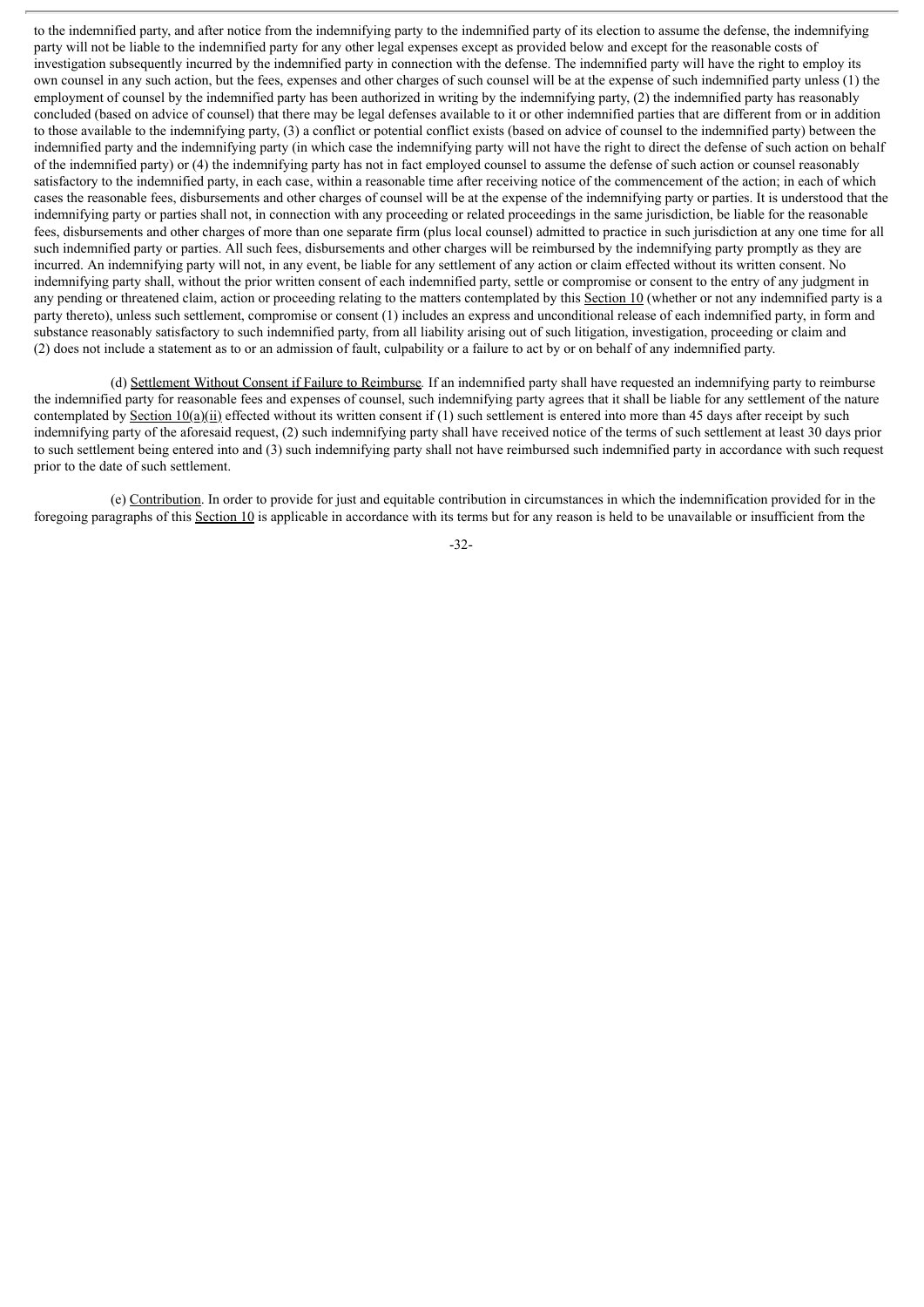to the indemnified party, and after notice from the indemnifying party to the indemnified party of its election to assume the defense, the indemnifying party will not be liable to the indemnified party for any other legal expenses except as provided below and except for the reasonable costs of investigation subsequently incurred by the indemnified party in connection with the defense. The indemnified party will have the right to employ its own counsel in any such action, but the fees, expenses and other charges of such counsel will be at the expense of such indemnified party unless (1) the employment of counsel by the indemnified party has been authorized in writing by the indemnifying party, (2) the indemnified party has reasonably concluded (based on advice of counsel) that there may be legal defenses available to it or other indemnified parties that are different from or in addition to those available to the indemnifying party, (3) a conflict or potential conflict exists (based on advice of counsel to the indemnified party) between the indemnified party and the indemnifying party (in which case the indemnifying party will not have the right to direct the defense of such action on behalf of the indemnified party) or (4) the indemnifying party has not in fact employed counsel to assume the defense of such action or counsel reasonably satisfactory to the indemnified party, in each case, within a reasonable time after receiving notice of the commencement of the action; in each of which cases the reasonable fees, disbursements and other charges of counsel will be at the expense of the indemnifying party or parties. It is understood that the indemnifying party or parties shall not, in connection with any proceeding or related proceedings in the same jurisdiction, be liable for the reasonable fees, disbursements and other charges of more than one separate firm (plus local counsel) admitted to practice in such jurisdiction at any one time for all such indemnified party or parties. All such fees, disbursements and other charges will be reimbursed by the indemnifying party promptly as they are incurred. An indemnifying party will not, in any event, be liable for any settlement of any action or claim effected without its written consent. No indemnifying party shall, without the prior written consent of each indemnified party, settle or compromise or consent to the entry of any judgment in any pending or threatened claim, action or proceeding relating to the matters contemplated by this Section 10 (whether or not any indemnified party is a party thereto), unless such settlement, compromise or consent (1) includes an express and unconditional release of each indemnified party, in form and substance reasonably satisfactory to such indemnified party, from all liability arising out of such litigation, investigation, proceeding or claim and (2) does not include a statement as to or an admission of fault, culpability or a failure to act by or on behalf of any indemnified party.

(d) Settlement Without Consent if Failure to Reimburse*.* If an indemnified party shall have requested an indemnifying party to reimburse the indemnified party for reasonable fees and expenses of counsel, such indemnifying party agrees that it shall be liable for any settlement of the nature contemplated by Section  $10(a)(ii)$  effected without its written consent if (1) such settlement is entered into more than 45 days after receipt by such indemnifying party of the aforesaid request, (2) such indemnifying party shall have received notice of the terms of such settlement at least 30 days prior to such settlement being entered into and (3) such indemnifying party shall not have reimbursed such indemnified party in accordance with such request prior to the date of such settlement.

(e) Contribution. In order to provide for just and equitable contribution in circumstances in which the indemnification provided for in the foregoing paragraphs of this Section 10 is applicable in accordance with its terms but for any reason is held to be unavailable or insufficient from the

-32-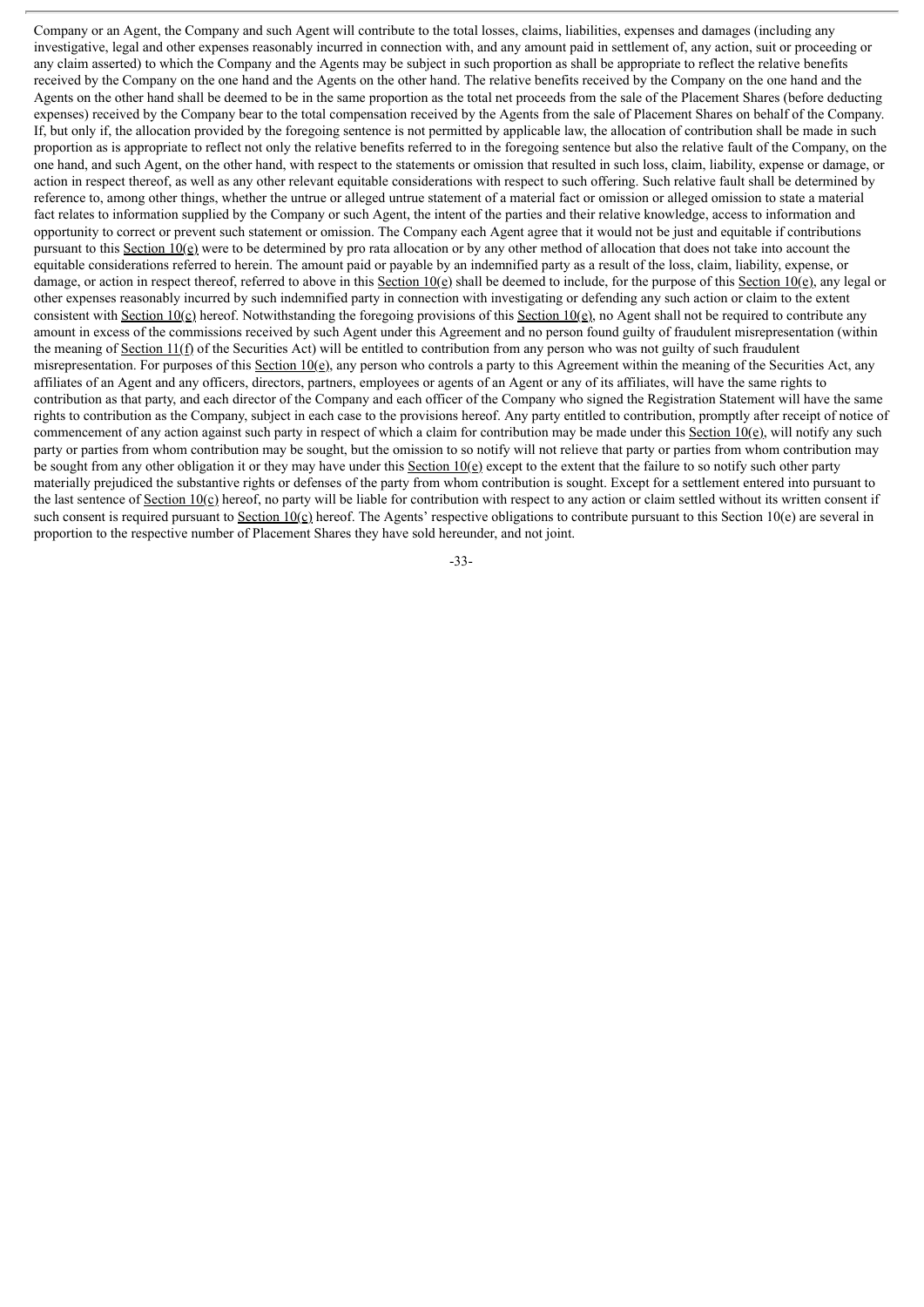Company or an Agent, the Company and such Agent will contribute to the total losses, claims, liabilities, expenses and damages (including any investigative, legal and other expenses reasonably incurred in connection with, and any amount paid in settlement of, any action, suit or proceeding or any claim asserted) to which the Company and the Agents may be subject in such proportion as shall be appropriate to reflect the relative benefits received by the Company on the one hand and the Agents on the other hand. The relative benefits received by the Company on the one hand and the Agents on the other hand shall be deemed to be in the same proportion as the total net proceeds from the sale of the Placement Shares (before deducting expenses) received by the Company bear to the total compensation received by the Agents from the sale of Placement Shares on behalf of the Company. If, but only if, the allocation provided by the foregoing sentence is not permitted by applicable law, the allocation of contribution shall be made in such proportion as is appropriate to reflect not only the relative benefits referred to in the foregoing sentence but also the relative fault of the Company, on the one hand, and such Agent, on the other hand, with respect to the statements or omission that resulted in such loss, claim, liability, expense or damage, or action in respect thereof, as well as any other relevant equitable considerations with respect to such offering. Such relative fault shall be determined by reference to, among other things, whether the untrue or alleged untrue statement of a material fact or omission or alleged omission to state a material fact relates to information supplied by the Company or such Agent, the intent of the parties and their relative knowledge, access to information and opportunity to correct or prevent such statement or omission. The Company each Agent agree that it would not be just and equitable if contributions pursuant to this Section 10(e) were to be determined by pro rata allocation or by any other method of allocation that does not take into account the equitable considerations referred to herein. The amount paid or payable by an indemnified party as a result of the loss, claim, liability, expense, or damage, or action in respect thereof, referred to above in this Section 10(e) shall be deemed to include, for the purpose of this Section 10(e), any legal or other expenses reasonably incurred by such indemnified party in connection with investigating or defending any such action or claim to the extent consistent with Section 10(c) hereof. Notwithstanding the foregoing provisions of this Section 10(e), no Agent shall not be required to contribute any amount in excess of the commissions received by such Agent under this Agreement and no person found guilty of fraudulent misrepresentation (within the meaning of Section 11(f) of the Securities Act) will be entitled to contribution from any person who was not guilty of such fraudulent misrepresentation. For purposes of this Section  $10(e)$ , any person who controls a party to this Agreement within the meaning of the Securities Act, any affiliates of an Agent and any officers, directors, partners, employees or agents of an Agent or any of its affiliates, will have the same rights to contribution as that party, and each director of the Company and each officer of the Company who signed the Registration Statement will have the same rights to contribution as the Company, subject in each case to the provisions hereof. Any party entitled to contribution, promptly after receipt of notice of commencement of any action against such party in respect of which a claim for contribution may be made under this Section  $10(e)$ , will notify any such party or parties from whom contribution may be sought, but the omission to so notify will not relieve that party or parties from whom contribution may be sought from any other obligation it or they may have under this Section 10(e) except to the extent that the failure to so notify such other party materially prejudiced the substantive rights or defenses of the party from whom contribution is sought. Except for a settlement entered into pursuant to the last sentence of Section 10(c) hereof, no party will be liable for contribution with respect to any action or claim settled without its written consent if such consent is required pursuant to Section  $10(c)$  hereof. The Agents' respective obligations to contribute pursuant to this Section 10(e) are several in proportion to the respective number of Placement Shares they have sold hereunder, and not joint.

-33-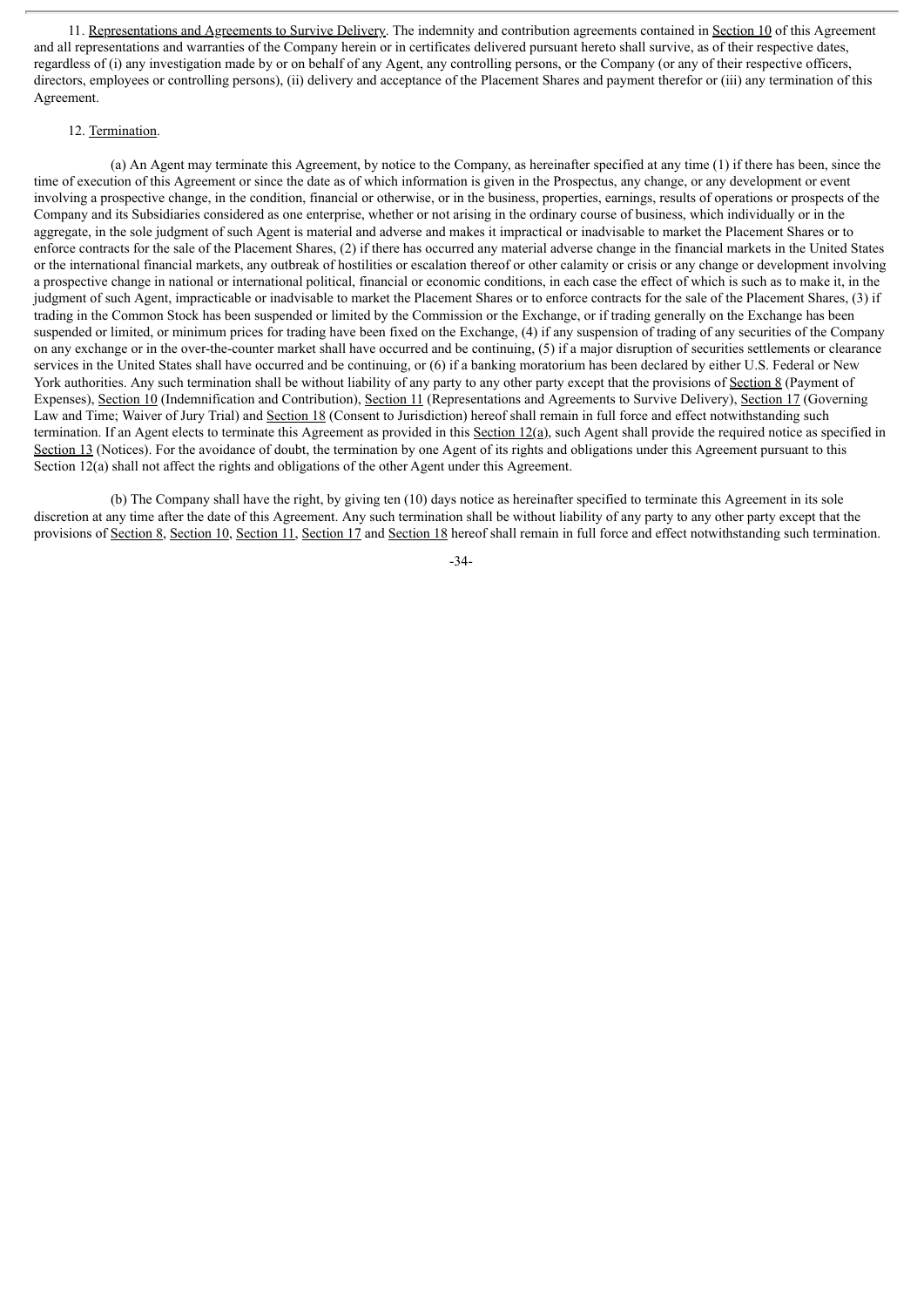11. Representations and Agreements to Survive Delivery. The indemnity and contribution agreements contained in Section 10 of this Agreement and all representations and warranties of the Company herein or in certificates delivered pursuant hereto shall survive, as of their respective dates, regardless of (i) any investigation made by or on behalf of any Agent, any controlling persons, or the Company (or any of their respective officers, directors, employees or controlling persons), (ii) delivery and acceptance of the Placement Shares and payment therefor or (iii) any termination of this Agreement.

#### 12. Termination.

(a) An Agent may terminate this Agreement, by notice to the Company, as hereinafter specified at any time (1) if there has been, since the time of execution of this Agreement or since the date as of which information is given in the Prospectus, any change, or any development or event involving a prospective change, in the condition, financial or otherwise, or in the business, properties, earnings, results of operations or prospects of the Company and its Subsidiaries considered as one enterprise, whether or not arising in the ordinary course of business, which individually or in the aggregate, in the sole judgment of such Agent is material and adverse and makes it impractical or inadvisable to market the Placement Shares or to enforce contracts for the sale of the Placement Shares, (2) if there has occurred any material adverse change in the financial markets in the United States or the international financial markets, any outbreak of hostilities or escalation thereof or other calamity or crisis or any change or development involving a prospective change in national or international political, financial or economic conditions, in each case the effect of which is such as to make it, in the judgment of such Agent, impracticable or inadvisable to market the Placement Shares or to enforce contracts for the sale of the Placement Shares, (3) if trading in the Common Stock has been suspended or limited by the Commission or the Exchange, or if trading generally on the Exchange has been suspended or limited, or minimum prices for trading have been fixed on the Exchange, (4) if any suspension of trading of any securities of the Company on any exchange or in the over-the-counter market shall have occurred and be continuing, (5) if a major disruption of securities settlements or clearance services in the United States shall have occurred and be continuing, or (6) if a banking moratorium has been declared by either U.S. Federal or New York authorities. Any such termination shall be without liability of any party to any other party except that the provisions of Section 8 (Payment of Expenses), Section 10 (Indemnification and Contribution), Section 11 (Representations and Agreements to Survive Delivery), Section 17 (Governing Law and Time; Waiver of Jury Trial) and Section 18 (Consent to Jurisdiction) hereof shall remain in full force and effect notwithstanding such termination. If an Agent elects to terminate this Agreement as provided in this Section 12(a), such Agent shall provide the required notice as specified in Section 13 (Notices). For the avoidance of doubt, the termination by one Agent of its rights and obligations under this Agreement pursuant to this Section 12(a) shall not affect the rights and obligations of the other Agent under this Agreement.

(b) The Company shall have the right, by giving ten (10) days notice as hereinafter specified to terminate this Agreement in its sole discretion at any time after the date of this Agreement. Any such termination shall be without liability of any party to any other party except that the provisions of Section 8, Section 10, Section 11, Section 17 and Section 18 hereof shall remain in full force and effect notwithstanding such termination.

-34-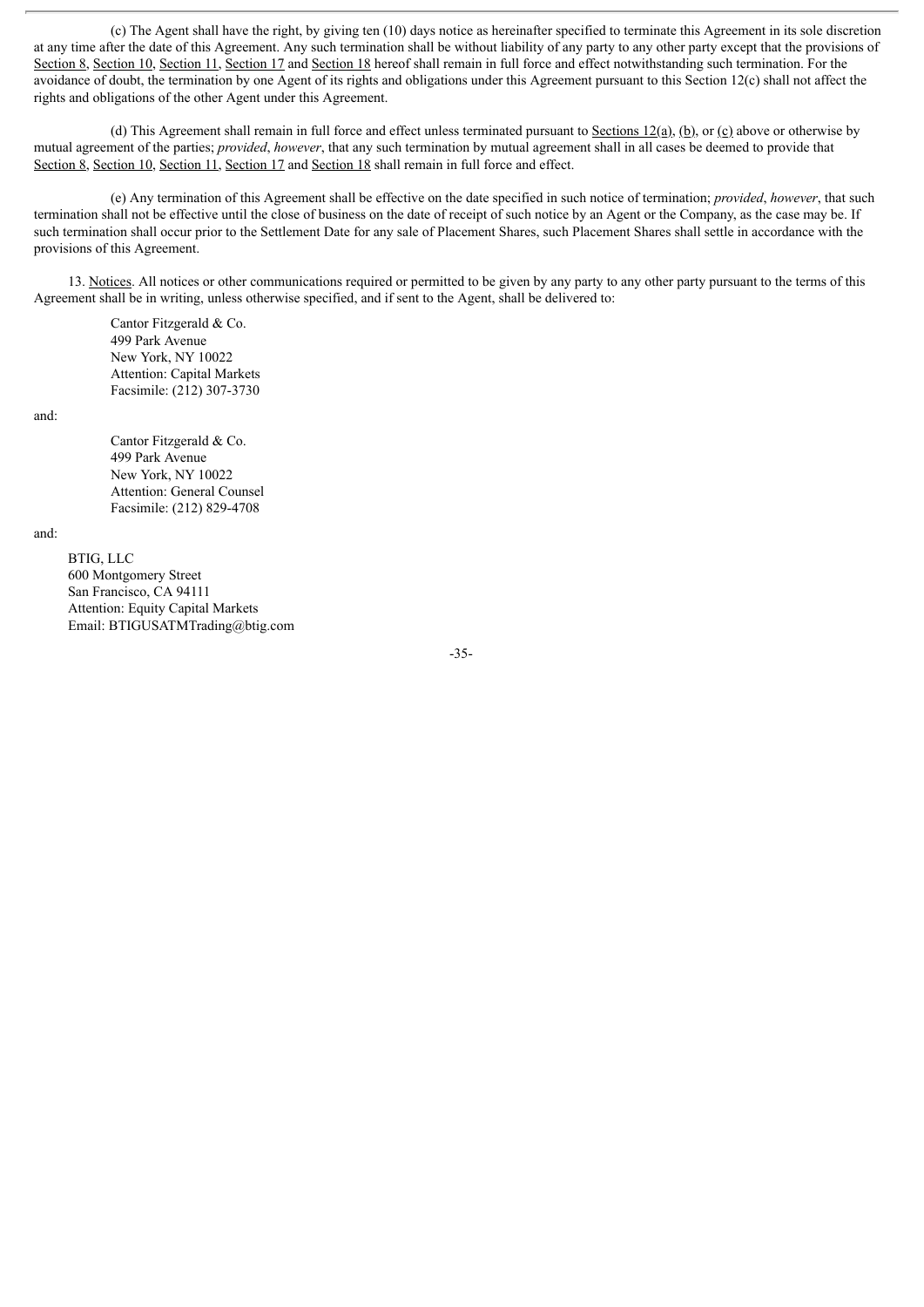(c) The Agent shall have the right, by giving ten (10) days notice as hereinafter specified to terminate this Agreement in its sole discretion at any time after the date of this Agreement. Any such termination shall be without liability of any party to any other party except that the provisions of Section 8, Section 10, Section 11, Section 17 and Section 18 hereof shall remain in full force and effect notwithstanding such termination. For the avoidance of doubt, the termination by one Agent of its rights and obligations under this Agreement pursuant to this Section 12(c) shall not affect the rights and obligations of the other Agent under this Agreement.

(d) This Agreement shall remain in full force and effect unless terminated pursuant to Sections 12(a), (b), or (c) above or otherwise by mutual agreement of the parties; *provided*, *however*, that any such termination by mutual agreement shall in all cases be deemed to provide that Section 8, Section 10, Section 11, Section 17 and Section 18 shall remain in full force and effect.

(e) Any termination of this Agreement shall be effective on the date specified in such notice of termination; *provided*, *however*, that such termination shall not be effective until the close of business on the date of receipt of such notice by an Agent or the Company, as the case may be. If such termination shall occur prior to the Settlement Date for any sale of Placement Shares, such Placement Shares shall settle in accordance with the provisions of this Agreement.

13. Notices. All notices or other communications required or permitted to be given by any party to any other party pursuant to the terms of this Agreement shall be in writing, unless otherwise specified, and if sent to the Agent, shall be delivered to:

Cantor Fitzgerald & Co. 499 Park Avenue New York, NY 10022 Attention: Capital Markets Facsimile: (212) 307-3730

and:

Cantor Fitzgerald & Co. 499 Park Avenue New York, NY 10022 Attention: General Counsel Facsimile: (212) 829-4708

and:

BTIG, LLC 600 Montgomery Street San Francisco, CA 94111 Attention: Equity Capital Markets Email: BTIGUSATMTrading@btig.com

-35-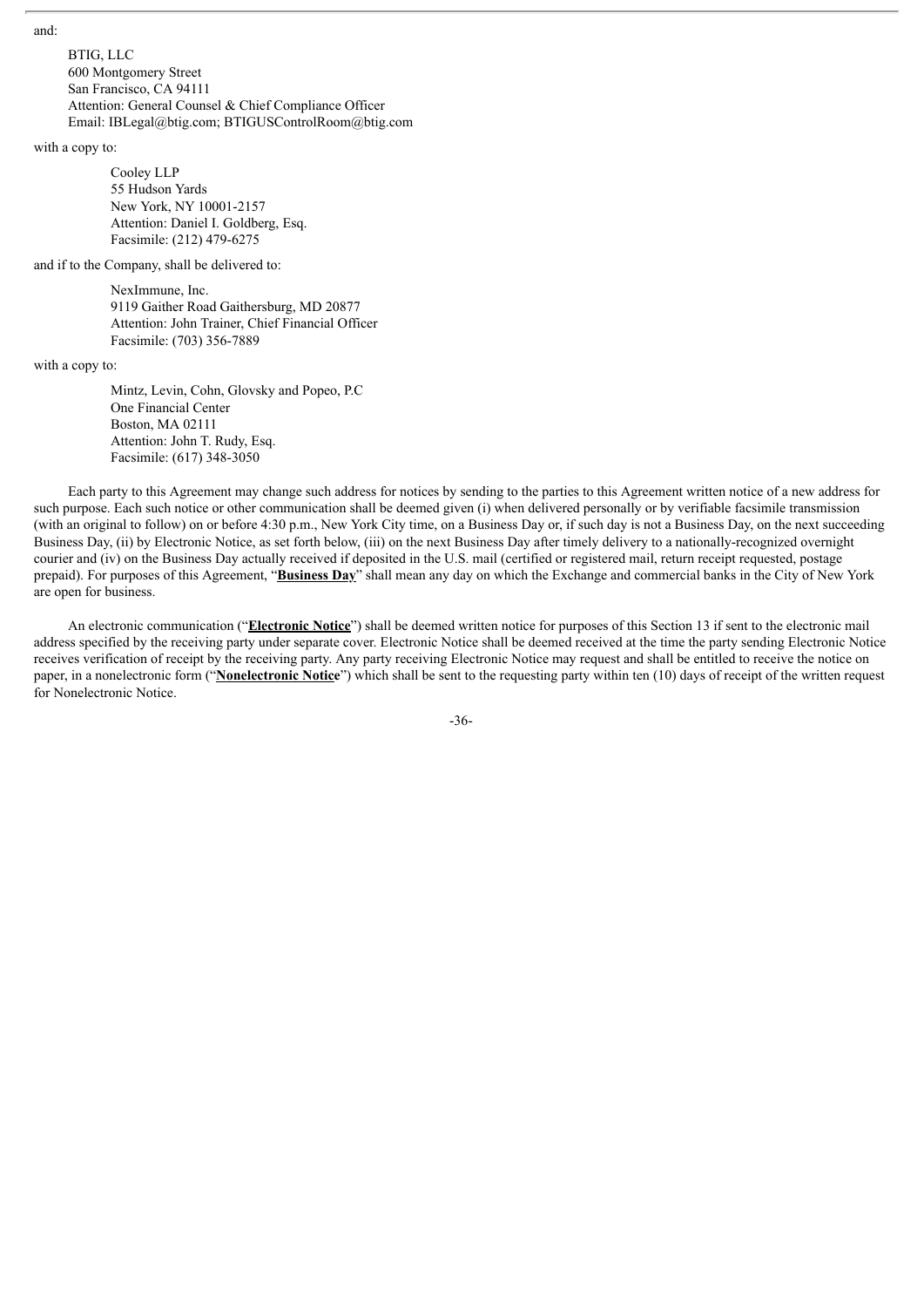and:

BTIG, LLC 600 Montgomery Street San Francisco, CA 94111 Attention: General Counsel & Chief Compliance Officer Email: IBLegal@btig.com; BTIGUSControlRoom@btig.com

with a copy to:

Cooley LLP 55 Hudson Yards New York, NY 10001-2157 Attention: Daniel I. Goldberg, Esq. Facsimile: (212) 479-6275

and if to the Company, shall be delivered to:

NexImmune, Inc. 9119 Gaither Road Gaithersburg, MD 20877 Attention: John Trainer, Chief Financial Officer Facsimile: (703) 356-7889

with a copy to:

Mintz, Levin, Cohn, Glovsky and Popeo, P.C One Financial Center Boston, MA 02111 Attention: John T. Rudy, Esq. Facsimile: (617) 348-3050

Each party to this Agreement may change such address for notices by sending to the parties to this Agreement written notice of a new address for such purpose. Each such notice or other communication shall be deemed given (i) when delivered personally or by verifiable facsimile transmission (with an original to follow) on or before 4:30 p.m., New York City time, on a Business Day or, if such day is not a Business Day, on the next succeeding Business Day, (ii) by Electronic Notice, as set forth below, (iii) on the next Business Day after timely delivery to a nationally-recognized overnight courier and (iv) on the Business Day actually received if deposited in the U.S. mail (certified or registered mail, return receipt requested, postage prepaid). For purposes of this Agreement, "**Business Day**" shall mean any day on which the Exchange and commercial banks in the City of New York are open for business.

An electronic communication ("**Electronic Notice**") shall be deemed written notice for purposes of this Section 13 if sent to the electronic mail address specified by the receiving party under separate cover. Electronic Notice shall be deemed received at the time the party sending Electronic Notice receives verification of receipt by the receiving party. Any party receiving Electronic Notice may request and shall be entitled to receive the notice on paper, in a nonelectronic form ("**Nonelectronic Notice**") which shall be sent to the requesting party within ten (10) days of receipt of the written request for Nonelectronic Notice.

-36-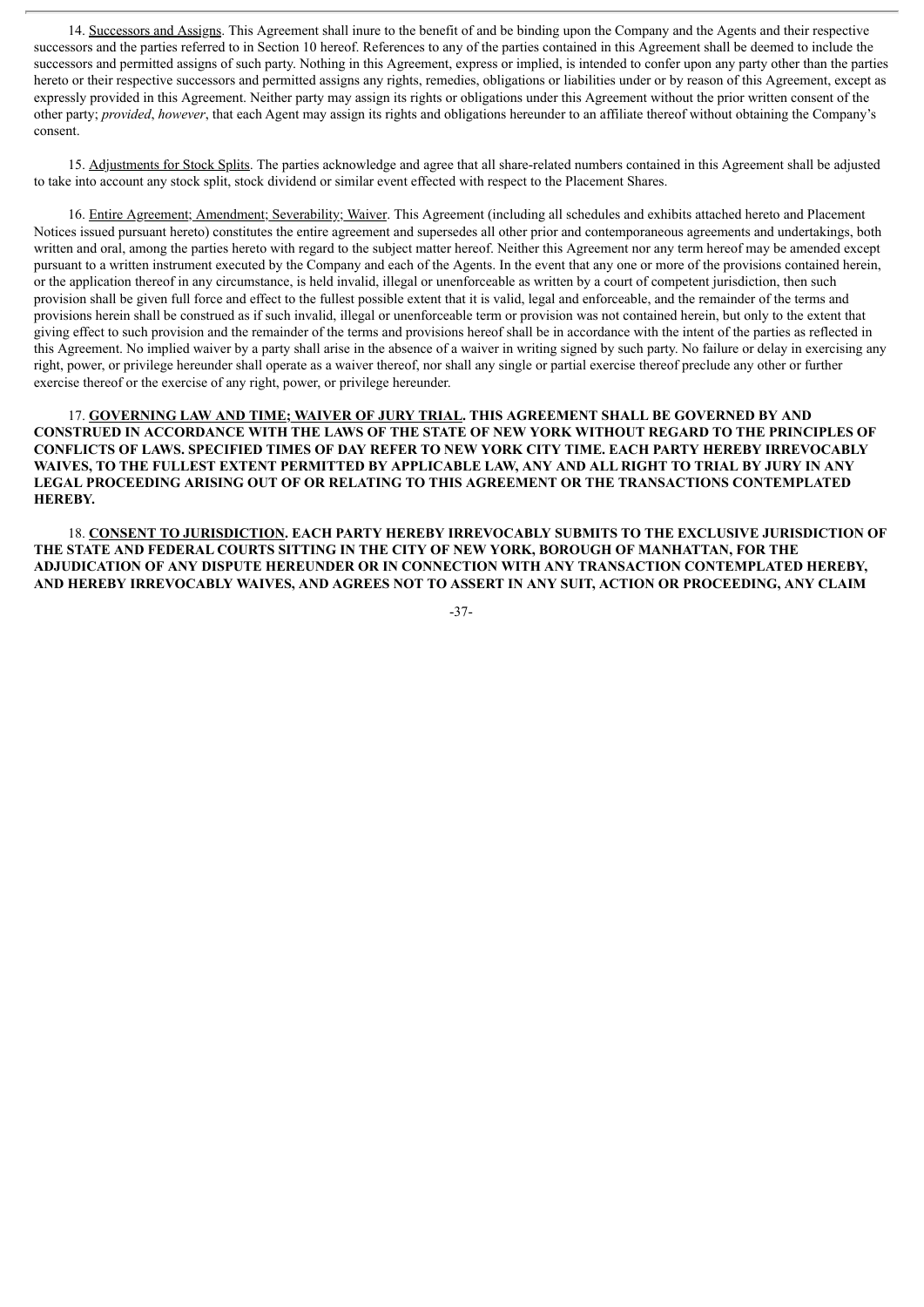14. Successors and Assigns. This Agreement shall inure to the benefit of and be binding upon the Company and the Agents and their respective successors and the parties referred to in Section 10 hereof. References to any of the parties contained in this Agreement shall be deemed to include the successors and permitted assigns of such party. Nothing in this Agreement, express or implied, is intended to confer upon any party other than the parties hereto or their respective successors and permitted assigns any rights, remedies, obligations or liabilities under or by reason of this Agreement, except as expressly provided in this Agreement. Neither party may assign its rights or obligations under this Agreement without the prior written consent of the other party; *provided*, *however*, that each Agent may assign its rights and obligations hereunder to an affiliate thereof without obtaining the Company's consent.

15. Adjustments for Stock Splits. The parties acknowledge and agree that all share-related numbers contained in this Agreement shall be adjusted to take into account any stock split, stock dividend or similar event effected with respect to the Placement Shares.

16. Entire Agreement; Amendment; Severability; Waiver. This Agreement (including all schedules and exhibits attached hereto and Placement Notices issued pursuant hereto) constitutes the entire agreement and supersedes all other prior and contemporaneous agreements and undertakings, both written and oral, among the parties hereto with regard to the subject matter hereof. Neither this Agreement nor any term hereof may be amended except pursuant to a written instrument executed by the Company and each of the Agents. In the event that any one or more of the provisions contained herein, or the application thereof in any circumstance, is held invalid, illegal or unenforceable as written by a court of competent jurisdiction, then such provision shall be given full force and effect to the fullest possible extent that it is valid, legal and enforceable, and the remainder of the terms and provisions herein shall be construed as if such invalid, illegal or unenforceable term or provision was not contained herein, but only to the extent that giving effect to such provision and the remainder of the terms and provisions hereof shall be in accordance with the intent of the parties as reflected in this Agreement. No implied waiver by a party shall arise in the absence of a waiver in writing signed by such party. No failure or delay in exercising any right, power, or privilege hereunder shall operate as a waiver thereof, nor shall any single or partial exercise thereof preclude any other or further exercise thereof or the exercise of any right, power, or privilege hereunder.

17. **GOVERNING LAW AND TIME; WAIVER OF JURY TRIAL. THIS AGREEMENT SHALL BE GOVERNED BY AND CONSTRUED IN ACCORDANCE WITH THE LAWS OF THE STATE OF NEW YORK WITHOUT REGARD TO THE PRINCIPLES OF CONFLICTS OF LAWS. SPECIFIED TIMES OF DAY REFER TO NEW YORK CITY TIME. EACH PARTY HEREBY IRREVOCABLY** WAIVES, TO THE FULLEST EXTENT PERMITTED BY APPLICABLE LAW, ANY AND ALL RIGHT TO TRIAL BY JURY IN ANY **LEGAL PROCEEDING ARISING OUT OF OR RELATING TO THIS AGREEMENT OR THE TRANSACTIONS CONTEMPLATED HEREBY.**

18. **CONSENT TO JURISDICTION. EACH PARTY HEREBY IRREVOCABLY SUBMITS TO THE EXCLUSIVE JURISDICTION OF THE STATE AND FEDERAL COURTS SITTING IN THE CITY OF NEW YORK, BOROUGH OF MANHATTAN, FOR THE ADJUDICATION OF ANY DISPUTE HEREUNDER OR IN CONNECTION WITH ANY TRANSACTION CONTEMPLATED HEREBY, AND HEREBY IRREVOCABLY WAIVES, AND AGREES NOT TO ASSERT IN ANY SUIT, ACTION OR PROCEEDING, ANY CLAIM**

-37-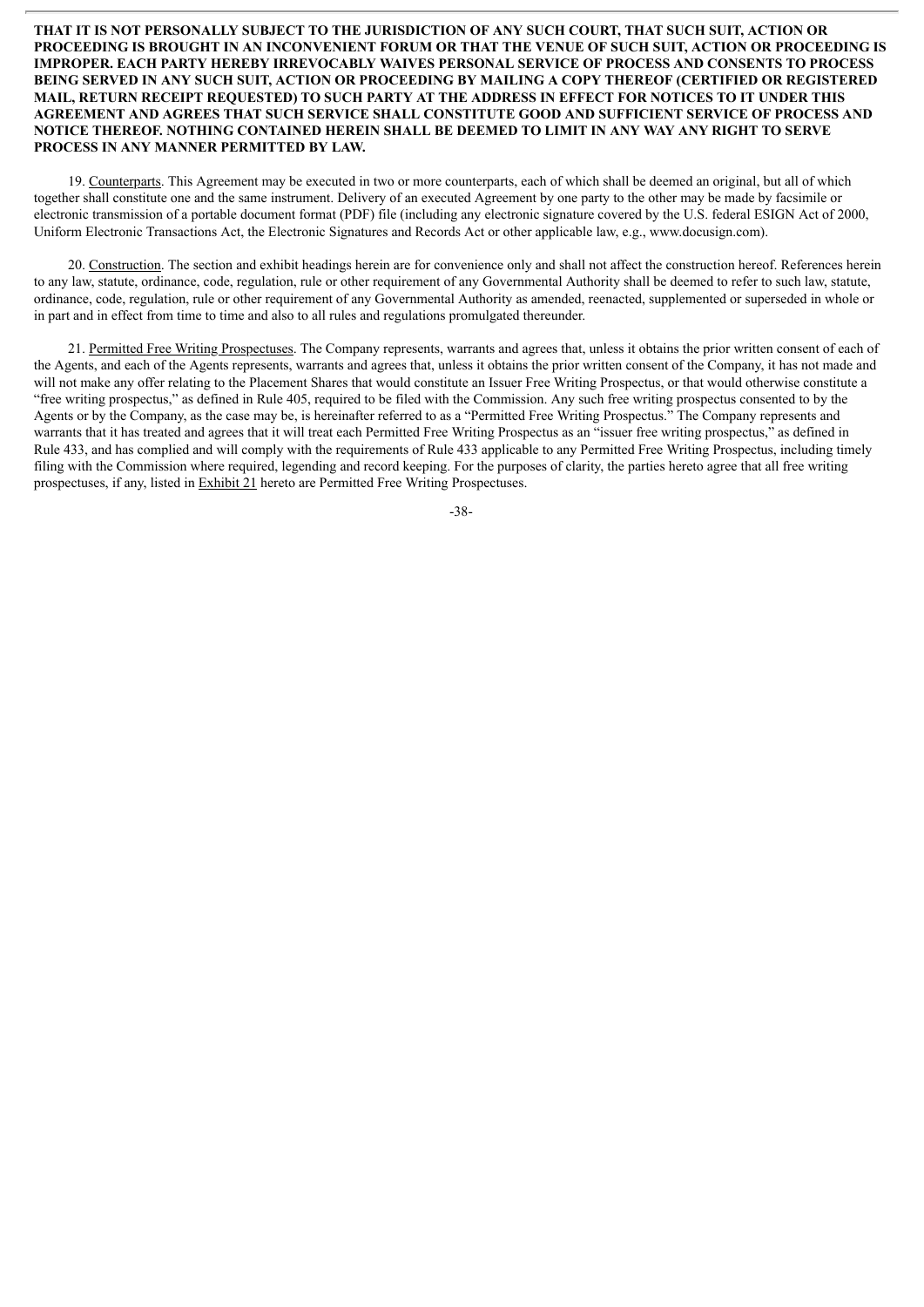#### **THAT IT IS NOT PERSONALLY SUBJECT TO THE JURISDICTION OF ANY SUCH COURT, THAT SUCH SUIT, ACTION OR** PROCEEDING IS BROUGHT IN AN INCONVENIENT FORUM OR THAT THE VENUE OF SUCH SUIT. ACTION OR PROCEEDING IS **IMPROPER. EACH PARTY HEREBY IRREVOCABLY WAIVES PERSONAL SERVICE OF PROCESS AND CONSENTS TO PROCESS BEING SERVED IN ANY SUCH SUIT, ACTION OR PROCEEDING BY MAILING A COPY THEREOF (CERTIFIED OR REGISTERED** MAIL. RETURN RECEIPT REOUESTED) TO SUCH PARTY AT THE ADDRESS IN EFFECT FOR NOTICES TO IT UNDER THIS **AGREEMENT AND AGREES THAT SUCH SERVICE SHALL CONSTITUTE GOOD AND SUFFICIENT SERVICE OF PROCESS AND NOTICE THEREOF. NOTHING CONTAINED HEREIN SHALL BE DEEMED TO LIMIT IN ANY WAY ANY RIGHT TO SERVE PROCESS IN ANY MANNER PERMITTED BY LAW.**

19. Counterparts. This Agreement may be executed in two or more counterparts, each of which shall be deemed an original, but all of which together shall constitute one and the same instrument. Delivery of an executed Agreement by one party to the other may be made by facsimile or electronic transmission of a portable document format (PDF) file (including any electronic signature covered by the U.S. federal ESIGN Act of 2000, Uniform Electronic Transactions Act, the Electronic Signatures and Records Act or other applicable law, e.g., www.docusign.com).

20. Construction. The section and exhibit headings herein are for convenience only and shall not affect the construction hereof. References herein to any law, statute, ordinance, code, regulation, rule or other requirement of any Governmental Authority shall be deemed to refer to such law, statute, ordinance, code, regulation, rule or other requirement of any Governmental Authority as amended, reenacted, supplemented or superseded in whole or in part and in effect from time to time and also to all rules and regulations promulgated thereunder.

21. Permitted Free Writing Prospectuses. The Company represents, warrants and agrees that, unless it obtains the prior written consent of each of the Agents, and each of the Agents represents, warrants and agrees that, unless it obtains the prior written consent of the Company, it has not made and will not make any offer relating to the Placement Shares that would constitute an Issuer Free Writing Prospectus, or that would otherwise constitute a "free writing prospectus," as defined in Rule 405, required to be filed with the Commission. Any such free writing prospectus consented to by the Agents or by the Company, as the case may be, is hereinafter referred to as a "Permitted Free Writing Prospectus." The Company represents and warrants that it has treated and agrees that it will treat each Permitted Free Writing Prospectus as an "issuer free writing prospectus," as defined in Rule 433, and has complied and will comply with the requirements of Rule 433 applicable to any Permitted Free Writing Prospectus, including timely filing with the Commission where required, legending and record keeping. For the purposes of clarity, the parties hereto agree that all free writing prospectuses, if any, listed in Exhibit 21 hereto are Permitted Free Writing Prospectuses.

-38-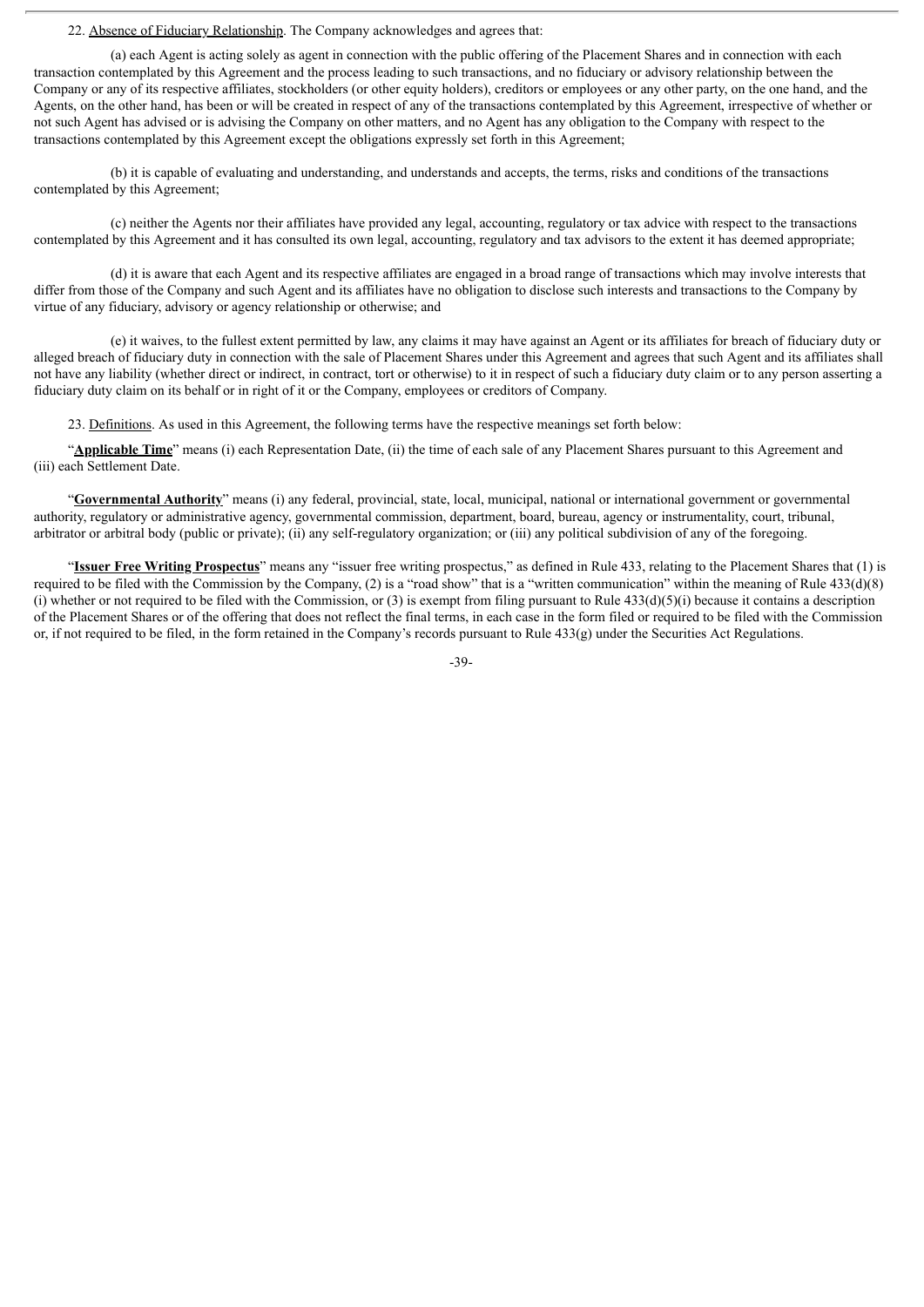22. Absence of Fiduciary Relationship. The Company acknowledges and agrees that:

(a) each Agent is acting solely as agent in connection with the public offering of the Placement Shares and in connection with each transaction contemplated by this Agreement and the process leading to such transactions, and no fiduciary or advisory relationship between the Company or any of its respective affiliates, stockholders (or other equity holders), creditors or employees or any other party, on the one hand, and the Agents, on the other hand, has been or will be created in respect of any of the transactions contemplated by this Agreement, irrespective of whether or not such Agent has advised or is advising the Company on other matters, and no Agent has any obligation to the Company with respect to the transactions contemplated by this Agreement except the obligations expressly set forth in this Agreement;

(b) it is capable of evaluating and understanding, and understands and accepts, the terms, risks and conditions of the transactions contemplated by this Agreement;

(c) neither the Agents nor their affiliates have provided any legal, accounting, regulatory or tax advice with respect to the transactions contemplated by this Agreement and it has consulted its own legal, accounting, regulatory and tax advisors to the extent it has deemed appropriate;

(d) it is aware that each Agent and its respective affiliates are engaged in a broad range of transactions which may involve interests that differ from those of the Company and such Agent and its affiliates have no obligation to disclose such interests and transactions to the Company by virtue of any fiduciary, advisory or agency relationship or otherwise; and

(e) it waives, to the fullest extent permitted by law, any claims it may have against an Agent or its affiliates for breach of fiduciary duty or alleged breach of fiduciary duty in connection with the sale of Placement Shares under this Agreement and agrees that such Agent and its affiliates shall not have any liability (whether direct or indirect, in contract, tort or otherwise) to it in respect of such a fiduciary duty claim or to any person asserting a fiduciary duty claim on its behalf or in right of it or the Company, employees or creditors of Company.

23. Definitions. As used in this Agreement, the following terms have the respective meanings set forth below:

"**Applicable Time**" means (i) each Representation Date, (ii) the time of each sale of any Placement Shares pursuant to this Agreement and (iii) each Settlement Date.

"**Governmental Authority**" means (i) any federal, provincial, state, local, municipal, national or international government or governmental authority, regulatory or administrative agency, governmental commission, department, board, bureau, agency or instrumentality, court, tribunal, arbitrator or arbitral body (public or private); (ii) any self-regulatory organization; or (iii) any political subdivision of any of the foregoing.

"**Issuer Free Writing Prospectus**" means any "issuer free writing prospectus," as defined in Rule 433, relating to the Placement Shares that (1) is required to be filed with the Commission by the Company, (2) is a "road show" that is a "written communication" within the meaning of Rule  $433(d)(8)$ (i) whether or not required to be filed with the Commission, or (3) is exempt from filing pursuant to Rule  $433(d)(5)(i)$  because it contains a description of the Placement Shares or of the offering that does not reflect the final terms, in each case in the form filed or required to be filed with the Commission or, if not required to be filed, in the form retained in the Company's records pursuant to Rule 433(g) under the Securities Act Regulations.

-39-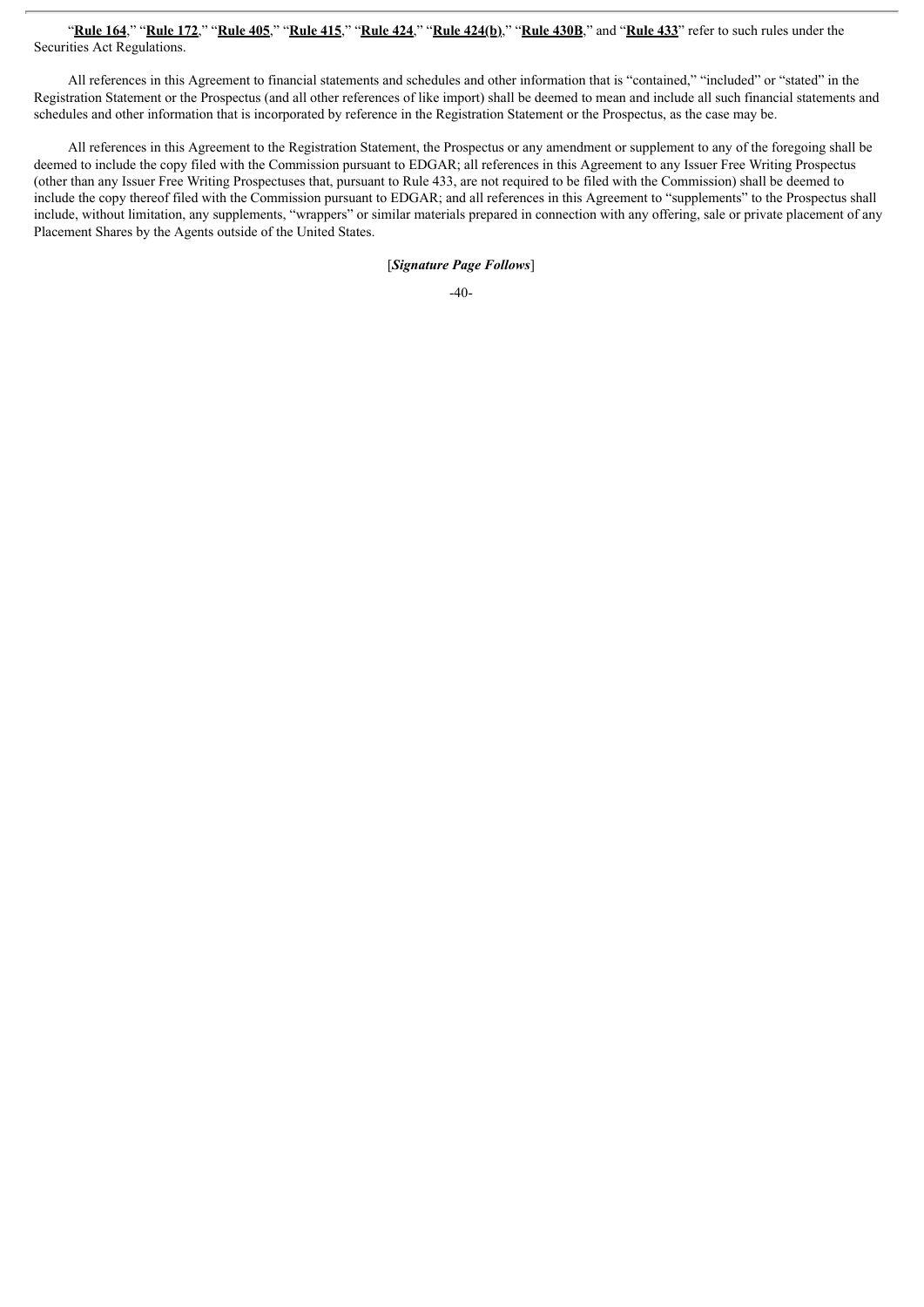#### "Rule 164," "Rule 172," "Rule 405," "Rule 415," "Rule 424," "Rule 424(b)," "Rule 430B," and "Rule 433" refer to such rules under the Securities Act Regulations.

All references in this Agreement to financial statements and schedules and other information that is "contained," "included" or "stated" in the Registration Statement or the Prospectus (and all other references of like import) shall be deemed to mean and include all such financial statements and schedules and other information that is incorporated by reference in the Registration Statement or the Prospectus, as the case may be.

All references in this Agreement to the Registration Statement, the Prospectus or any amendment or supplement to any of the foregoing shall be deemed to include the copy filed with the Commission pursuant to EDGAR; all references in this Agreement to any Issuer Free Writing Prospectus (other than any Issuer Free Writing Prospectuses that, pursuant to Rule 433, are not required to be filed with the Commission) shall be deemed to include the copy thereof filed with the Commission pursuant to EDGAR; and all references in this Agreement to "supplements" to the Prospectus shall include, without limitation, any supplements, "wrappers" or similar materials prepared in connection with any offering, sale or private placement of any Placement Shares by the Agents outside of the United States.

[*Signature Page Follows*]

-40-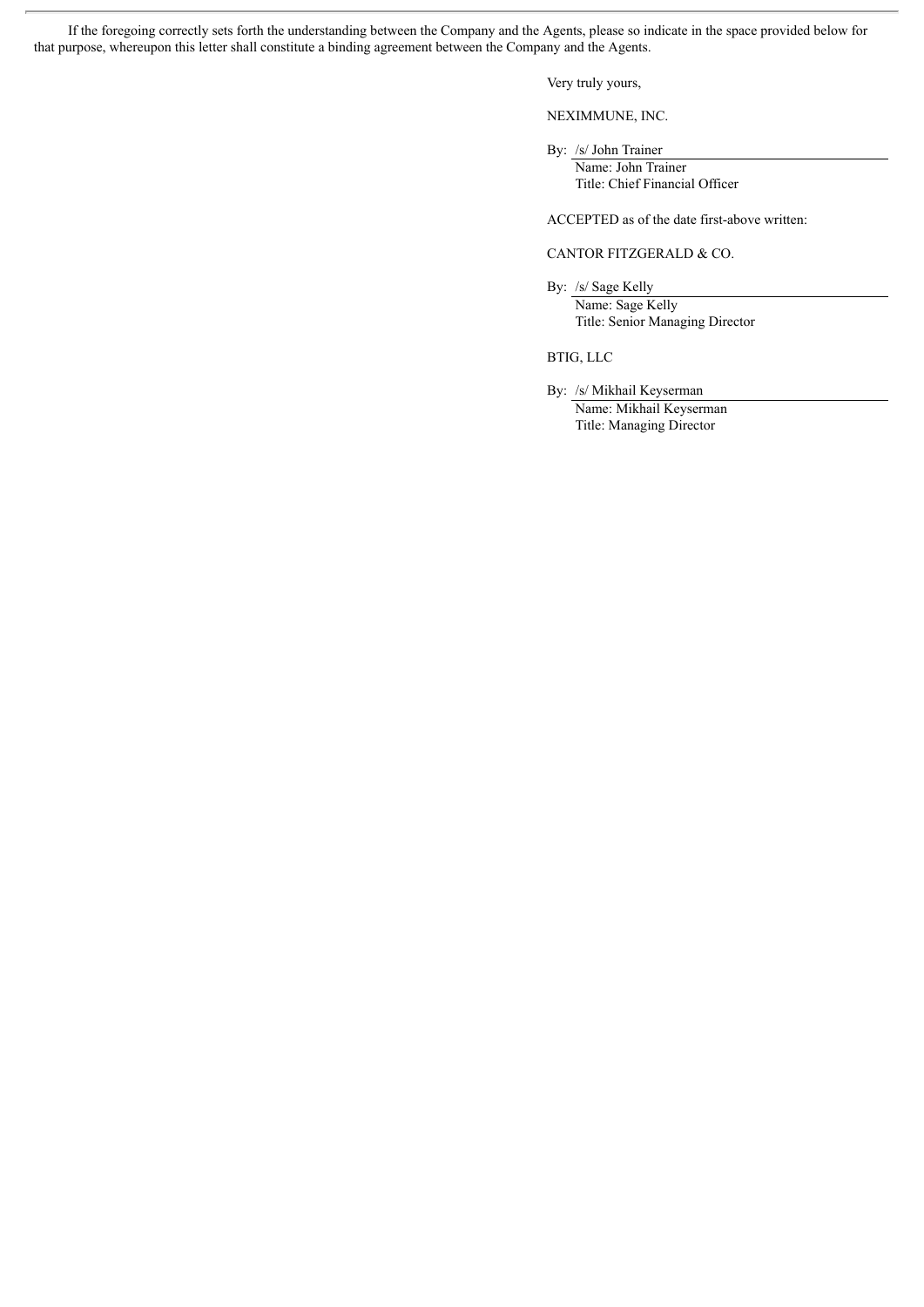If the foregoing correctly sets forth the understanding between the Company and the Agents, please so indicate in the space provided below for that purpose, whereupon this letter shall constitute a binding agreement between the Company and the Agents.

Very truly yours,

NEXIMMUNE, INC.

By: /s/ John Trainer

Name: John Trainer Title: Chief Financial Officer

ACCEPTED as of the date first-above written:

#### CANTOR FITZGERALD & CO.

By: /s/ Sage Kelly Name: Sage Kelly Title: Senior Managing Director

BTIG, LLC

By: /s/ Mikhail Keyserman Name: Mikhail Keyserman

Title: Managing Director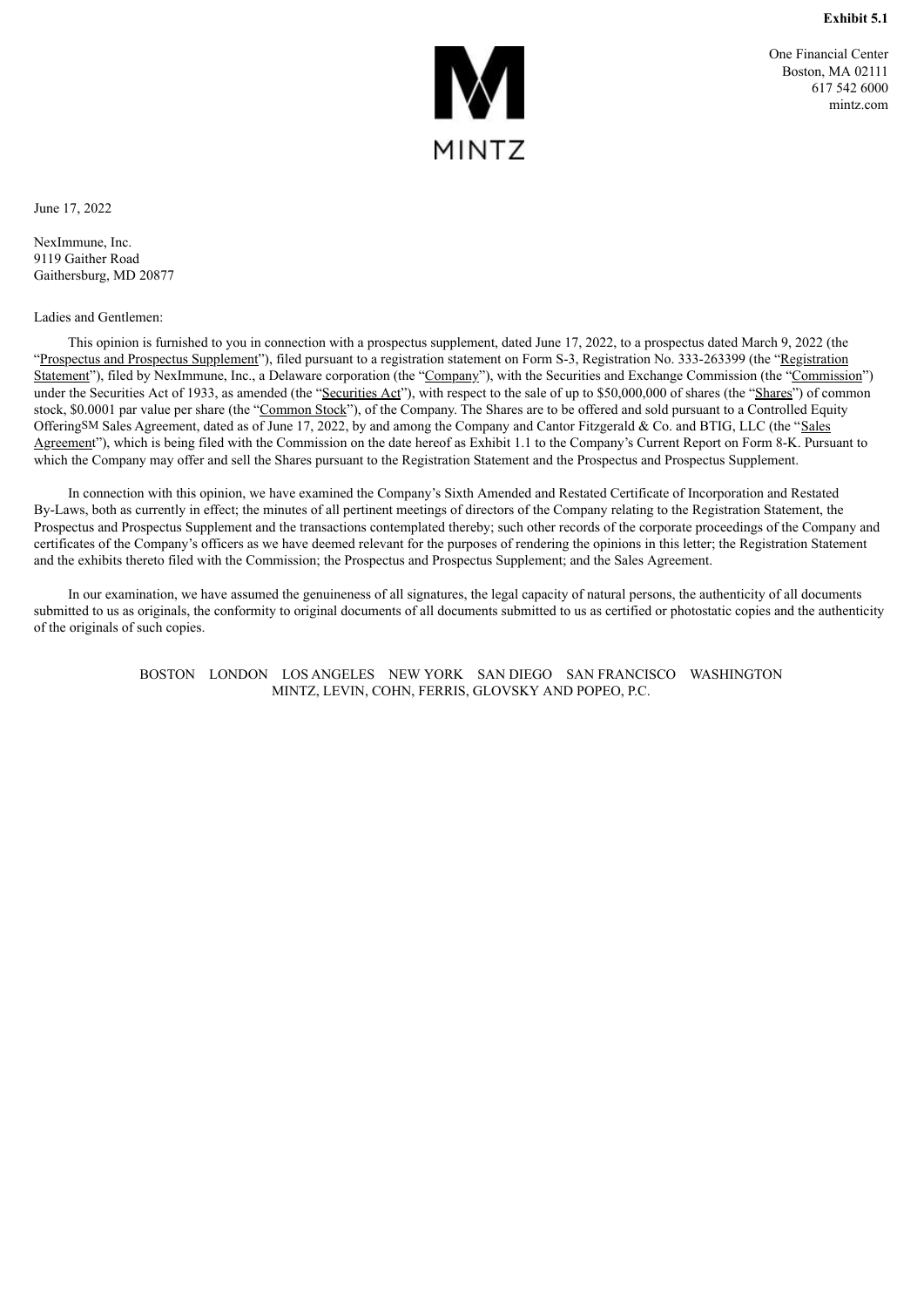

One Financial Center Boston, MA 02111 617 542 6000 mintz.com

<span id="page-44-0"></span>June 17, 2022

NexImmune, Inc. 9119 Gaither Road Gaithersburg, MD 20877

Ladies and Gentlemen:

This opinion is furnished to you in connection with a prospectus supplement, dated June 17, 2022, to a prospectus dated March 9, 2022 (the "Prospectus and Prospectus Supplement"), filed pursuant to a registration statement on Form S-3, Registration No. 333-263399 (the "Registration") Statement"), filed by NexImmune, Inc., a Delaware corporation (the "Company"), with the Securities and Exchange Commission (the "Commission") under the Securities Act of 1933, as amended (the "Securities Act"), with respect to the sale of up to \$50,000,000 of shares (the "Shares") of common stock, \$0.0001 par value per share (the "Common Stock"), of the Company. The Shares are to be offered and sold pursuant to a Controlled Equity OfferingSM Sales Agreement, dated as of June 17, 2022, by and among the Company and Cantor Fitzgerald & Co. and BTIG, LLC (the "Sales Agreement"), which is being filed with the Commission on the date hereof as Exhibit 1.1 to the Company's Current Report on Form 8-K. Pursuant to which the Company may offer and sell the Shares pursuant to the Registration Statement and the Prospectus and Prospectus Supplement.

In connection with this opinion, we have examined the Company's Sixth Amended and Restated Certificate of Incorporation and Restated By-Laws, both as currently in effect; the minutes of all pertinent meetings of directors of the Company relating to the Registration Statement, the Prospectus and Prospectus Supplement and the transactions contemplated thereby; such other records of the corporate proceedings of the Company and certificates of the Company's officers as we have deemed relevant for the purposes of rendering the opinions in this letter; the Registration Statement and the exhibits thereto filed with the Commission; the Prospectus and Prospectus Supplement; and the Sales Agreement.

In our examination, we have assumed the genuineness of all signatures, the legal capacity of natural persons, the authenticity of all documents submitted to us as originals, the conformity to original documents of all documents submitted to us as certified or photostatic copies and the authenticity of the originals of such copies.

> BOSTON LONDON LOS ANGELES NEW YORK SAN DIEGO SAN FRANCISCO WASHINGTON MINTZ, LEVIN, COHN, FERRIS, GLOVSKY AND POPEO, P.C.